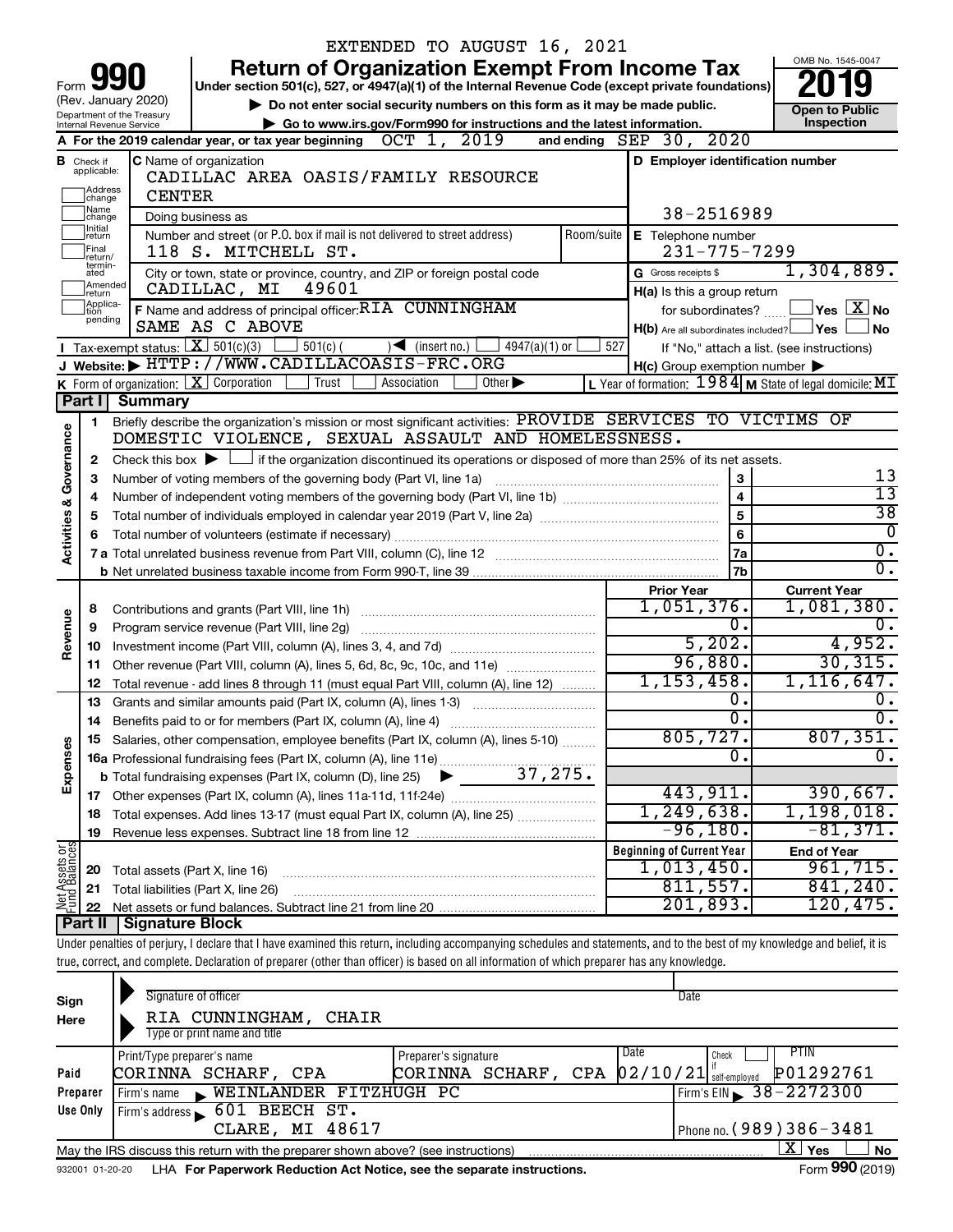|                                |                          |                                                        |                                                                            | EXTENDED TO AUGUST 16, 2021                                                                                                                                                |                                                           |                                                   |
|--------------------------------|--------------------------|--------------------------------------------------------|----------------------------------------------------------------------------|----------------------------------------------------------------------------------------------------------------------------------------------------------------------------|-----------------------------------------------------------|---------------------------------------------------|
|                                |                          |                                                        |                                                                            | <b>Return of Organization Exempt From Income Tax</b>                                                                                                                       |                                                           | OMB No. 1545-0047                                 |
| Form                           |                          |                                                        |                                                                            | Under section 501(c), 527, or 4947(a)(1) of the Internal Revenue Code (except private foundations)                                                                         |                                                           |                                                   |
|                                |                          | (Rev. January 2020)                                    |                                                                            | Do not enter social security numbers on this form as it may be made public.                                                                                                |                                                           | <b>Open to Public</b>                             |
|                                |                          | Department of the Treasury<br>Internal Revenue Service |                                                                            | Go to www.irs.gov/Form990 for instructions and the latest information.                                                                                                     |                                                           | Inspection                                        |
|                                |                          |                                                        | A For the 2019 calendar year, or tax year beginning $OCT$ 1, $2019$        |                                                                                                                                                                            | and ending SEP 30, 2020                                   |                                                   |
|                                | <b>B</b> Check if        |                                                        | C Name of organization                                                     |                                                                                                                                                                            | D Employer identification number                          |                                                   |
|                                | applicable:              |                                                        | CADILLAC AREA OASIS/FAMILY RESOURCE                                        |                                                                                                                                                                            |                                                           |                                                   |
|                                | ]Address<br>]change      | <b>CENTER</b>                                          |                                                                            |                                                                                                                                                                            |                                                           |                                                   |
|                                | Name<br>change           |                                                        | Doing business as                                                          |                                                                                                                                                                            | 38-2516989                                                |                                                   |
|                                | <b>Initial</b><br>return |                                                        | Number and street (or P.O. box if mail is not delivered to street address) | Room/suite                                                                                                                                                                 | E Telephone number                                        |                                                   |
|                                | Final<br>return/         |                                                        | 118 S. MITCHELL ST.                                                        |                                                                                                                                                                            | $231 - 775 - 7299$                                        |                                                   |
|                                | termin-<br>ated          |                                                        | City or town, state or province, country, and ZIP or foreign postal code   |                                                                                                                                                                            | G Gross receipts \$                                       | 1,304,889.                                        |
|                                | Amended<br>return        |                                                        | CADILLAC, MI<br>49601                                                      | H(a) Is this a group return                                                                                                                                                |                                                           |                                                   |
|                                | Applica-<br>tion         |                                                        | F Name and address of principal officer: RIA CUNNINGHAM                    |                                                                                                                                                                            | for subordinates?                                         | $ {\mathsf Y}\mathsf{es}\ \boxed{{\mathsf X}}$ No |
|                                | pending                  |                                                        | SAME AS C ABOVE                                                            |                                                                                                                                                                            | $H(b)$ Are all subordinates included? $\Box$ Yes          | No                                                |
|                                |                          |                                                        | <b>I</b> Tax-exempt status: $X \ 501(c)(3)$<br>$\frac{1}{2}$ 501(c) (      | $\sqrt{\frac{1}{1}}$ (insert no.)<br>4947(a)(1) or                                                                                                                         | 527                                                       | If "No," attach a list. (see instructions)        |
|                                |                          |                                                        | J Website: FITTP://WWW.CADILLACOASIS-FRC.ORG                               |                                                                                                                                                                            | $H(c)$ Group exemption number $\blacktriangleright$       |                                                   |
|                                |                          |                                                        | <b>K</b> Form of organization: $\boxed{\mathbf{X}}$ Corporation<br>Trust   | Association<br>Other $\blacktriangleright$                                                                                                                                 | L Year of formation: $1984$ M State of legal domicile: MT |                                                   |
|                                | Part I                   | <b>Summary</b>                                         |                                                                            |                                                                                                                                                                            |                                                           |                                                   |
|                                | 1.                       |                                                        |                                                                            | Briefly describe the organization's mission or most significant activities: PROVIDE SERVICES TO VICTIMS OF<br>DOMESTIC VIOLENCE, SEXUAL ASSAULT AND HOMELESSNESS.          |                                                           |                                                   |
| Governance                     | 2                        |                                                        |                                                                            | Check this box $\blacktriangleright$ $\Box$ if the organization discontinued its operations or disposed of more than 25% of its net assets.                                |                                                           |                                                   |
|                                | 3                        |                                                        | Number of voting members of the governing body (Part VI, line 1a)          |                                                                                                                                                                            | 3                                                         | 13                                                |
|                                |                          |                                                        |                                                                            |                                                                                                                                                                            | $\overline{\mathbf{4}}$                                   | $\overline{13}$                                   |
|                                | 5                        | $\overline{38}$                                        |                                                                            |                                                                                                                                                                            |                                                           |                                                   |
| <b>Activities &amp;</b>        |                          |                                                        |                                                                            |                                                                                                                                                                            | 5<br>6                                                    | $\overline{0}$                                    |
|                                |                          |                                                        |                                                                            |                                                                                                                                                                            | 7a                                                        | $\overline{0}$ .                                  |
|                                |                          |                                                        |                                                                            |                                                                                                                                                                            | 7 <sub>b</sub>                                            | $\overline{0}$ .                                  |
|                                |                          |                                                        |                                                                            |                                                                                                                                                                            | <b>Prior Year</b>                                         | <b>Current Year</b>                               |
|                                | 8                        |                                                        |                                                                            |                                                                                                                                                                            | $1,051,376$ .                                             | 1,081,380.                                        |
|                                | 9                        |                                                        | Program service revenue (Part VIII, line 2g)                               |                                                                                                                                                                            | 0.                                                        | 0.                                                |
| Revenue                        | 10                       |                                                        |                                                                            |                                                                                                                                                                            | 5,202.                                                    | 4,952.                                            |
|                                | 11                       |                                                        |                                                                            | Other revenue (Part VIII, column (A), lines 5, 6d, 8c, 9c, 10c, and 11e)                                                                                                   | 96,880.                                                   | 30, 315.                                          |
|                                | 12                       |                                                        |                                                                            | Total revenue - add lines 8 through 11 (must equal Part VIII, column (A), line 12)                                                                                         | 1, 153, 458.                                              | 1, 116, 647.                                      |
|                                | 13                       |                                                        |                                                                            | Grants and similar amounts paid (Part IX, column (A), lines 1-3)                                                                                                           | о.                                                        | 0.                                                |
|                                | 14                       |                                                        |                                                                            |                                                                                                                                                                            | σ.                                                        | $\overline{0}$ .                                  |
|                                |                          |                                                        |                                                                            | 15 Salaries, other compensation, employee benefits (Part IX, column (A), lines 5-10)                                                                                       | 805, 727.                                                 | 807,351.                                          |
|                                |                          |                                                        |                                                                            |                                                                                                                                                                            | 0.                                                        | $\overline{0}$ .                                  |
| Expenses                       |                          |                                                        |                                                                            |                                                                                                                                                                            |                                                           |                                                   |
|                                |                          |                                                        |                                                                            |                                                                                                                                                                            | 443,911.                                                  | 390,667.                                          |
|                                | 18                       |                                                        |                                                                            | Total expenses. Add lines 13-17 (must equal Part IX, column (A), line 25) [                                                                                                | 1, 249, 638.                                              | 1,198,018.                                        |
|                                | 19                       |                                                        |                                                                            |                                                                                                                                                                            | $-96,180.$                                                | $-81,371.$                                        |
|                                |                          |                                                        |                                                                            |                                                                                                                                                                            | <b>Beginning of Current Year</b>                          | <b>End of Year</b>                                |
|                                | 20                       |                                                        | Total assets (Part X, line 16)                                             |                                                                                                                                                                            | $1,013,450$ .                                             | 961,715.                                          |
|                                | 21                       |                                                        | Total liabilities (Part X, line 26)                                        |                                                                                                                                                                            | 811,557.                                                  | 841, 240.                                         |
| Net Assets or<br>Fund Balances | 22                       |                                                        |                                                                            |                                                                                                                                                                            | 201,893.                                                  | 120,475.                                          |
|                                | Part II                  | <b>Signature Block</b>                                 |                                                                            |                                                                                                                                                                            |                                                           |                                                   |
|                                |                          |                                                        |                                                                            | Under penalties of perjury, I declare that I have examined this return, including accompanying schedules and statements, and to the best of my knowledge and belief, it is |                                                           |                                                   |
|                                |                          |                                                        |                                                                            | true, correct, and complete. Declaration of preparer (other than officer) is based on all information of which preparer has any knowledge.                                 |                                                           |                                                   |
|                                |                          |                                                        |                                                                            |                                                                                                                                                                            |                                                           |                                                   |
| Sign                           |                          |                                                        | Signature of officer                                                       | Date                                                                                                                                                                       |                                                           |                                                   |
| Here                           |                          |                                                        | RIA CUNNINGHAM,<br><b>CHAIR</b>                                            |                                                                                                                                                                            |                                                           |                                                   |
|                                |                          |                                                        | Type or print name and title                                               |                                                                                                                                                                            |                                                           |                                                   |
|                                |                          | Print/Type preparer's name                             |                                                                            | Preparer's signature                                                                                                                                                       | Date<br>Check                                             | <b>PTIN</b>                                       |
|                                |                          |                                                        | CORINNA SCHARF, CPA                                                        | CORINNA SCHARF, CPA $ 02/10/21 $ self-employed                                                                                                                             |                                                           | P01292761                                         |

| Preparer | Firm's name                                                                       | WEINLANDER FITZHUGH PC |       |  | $1$ Firm's EIN 38 - 2272300 |          |          |
|----------|-----------------------------------------------------------------------------------|------------------------|-------|--|-----------------------------|----------|----------|
| Use Only | Firm's address                                                                    | 601 BEECH ST.          |       |  |                             |          |          |
|          |                                                                                   | МI<br>CLARE,           | 48617 |  | I Phone no. (989) 386-3481  |          |          |
|          | May the IRS discuss this return with the preparer shown above? (see instructions) |                        |       |  |                             | Yes<br>A | No       |
|          |                                                                                   |                        |       |  |                             |          | $\cdots$ |

932001 01-20-20 **For Paperwork Reduction Act Notice, see the separate instructions.** LHA Form (2019)

**990**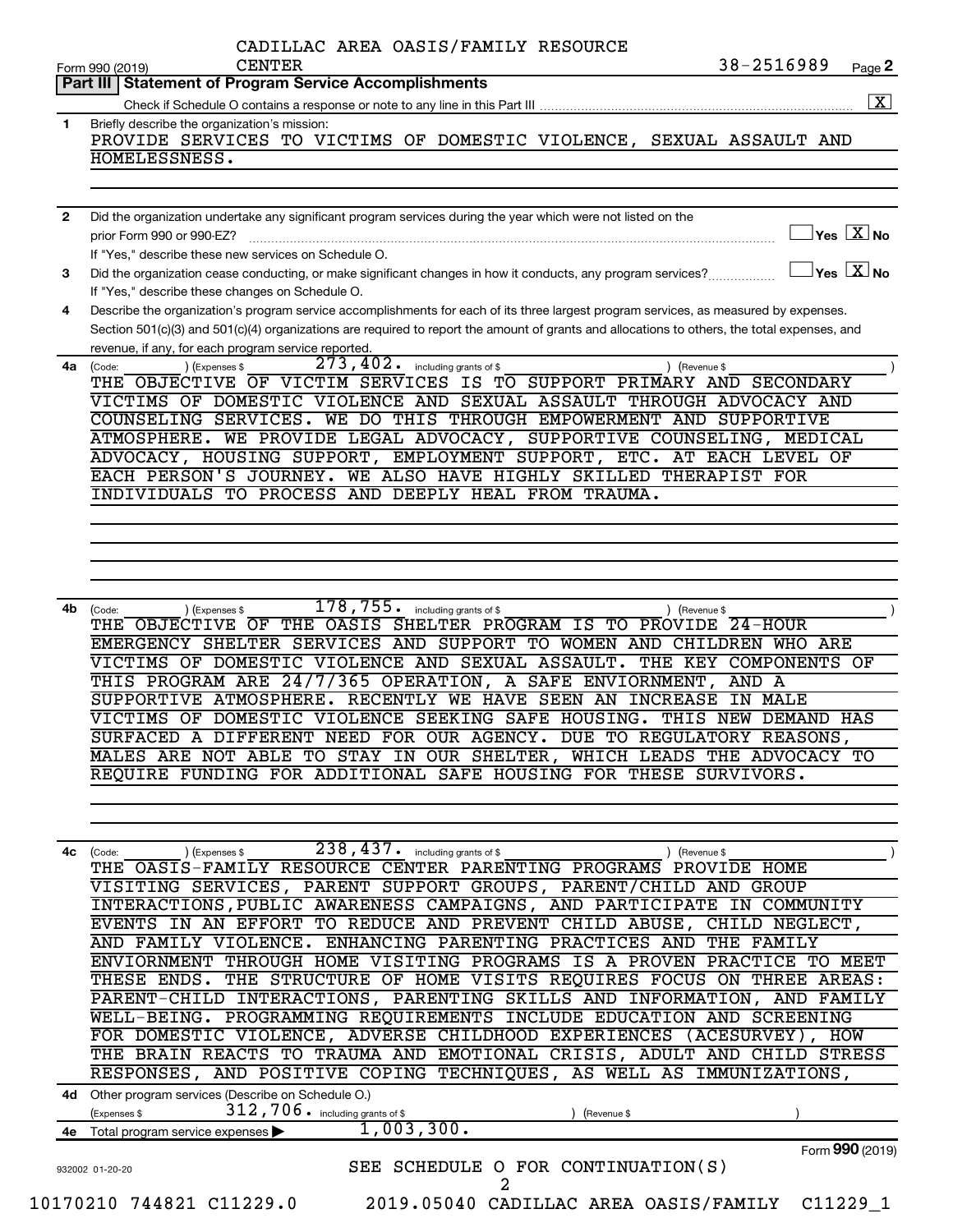| Briefly describe the organization's mission:<br>PROVIDE SERVICES TO VICTIMS OF DOMESTIC VIOLENCE, SEXUAL ASSAULT AND<br>HOMELESSNESS.<br>Did the organization undertake any significant program services during the year which were not listed on the<br>$\sqrt{\mathsf{Yes}\mathord{\;\mathbb{X}}\mathord{\;\mathsf{No}}}$<br>prior Form 990 or 990-EZ?<br>If "Yes," describe these new services on Schedule O.<br>$\Box$ Yes $[\overline{\mathrm{X}}]$ No<br>Did the organization cease conducting, or make significant changes in how it conducts, any program services?<br>If "Yes," describe these changes on Schedule O.<br>Describe the organization's program service accomplishments for each of its three largest program services, as measured by expenses.<br>Section 501(c)(3) and 501(c)(4) organizations are required to report the amount of grants and allocations to others, the total expenses, and<br>revenue, if any, for each program service reported.<br>$\overline{273,402}$ . including grants of \$<br>) (Expenses \$<br>(Code:<br>) (Revenue \$<br>THE OBJECTIVE OF VICTIM SERVICES IS TO SUPPORT PRIMARY AND SECONDARY<br>VICTIMS OF DOMESTIC VIOLENCE AND SEXUAL ASSAULT THROUGH ADVOCACY AND<br>COUNSELING SERVICES. WE DO THIS THROUGH EMPOWERMENT AND SUPPORTIVE<br>ATMOSPHERE. WE PROVIDE LEGAL ADVOCACY, SUPPORTIVE COUNSELING, MEDICAL<br>ADVOCACY, HOUSING SUPPORT, EMPLOYMENT SUPPORT, ETC. AT EACH LEVEL OF<br>EACH PERSON'S JOURNEY. WE ALSO HAVE HIGHLY SKILLED THERAPIST FOR<br>INDIVIDUALS TO PROCESS AND DEEPLY HEAL FROM TRAUMA.<br>$178, 755$ $\cdot$ including grants of \$<br>(Code:<br>(Expenses \$<br>) (Revenue \$<br>THE OBJECTIVE OF THE OASIS SHELTER PROGRAM IS TO PROVIDE 24-HOUR<br>EMERGENCY SHELTER SERVICES AND SUPPORT TO WOMEN AND CHILDREN WHO ARE<br>VICTIMS OF DOMESTIC VIOLENCE AND SEXUAL ASSAULT. THE KEY COMPONENTS OF<br>THIS PROGRAM ARE 24/7/365 OPERATION, A SAFE ENVIORNMENT,<br>AND A<br>SUPPORTIVE ATMOSPHERE. RECENTLY WE HAVE SEEN AN INCREASE IN MALE<br>VICTIMS OF DOMESTIC VIOLENCE SEEKING SAFE HOUSING. THIS NEW DEMAND HAS<br>SURFACED A DIFFERENT NEED FOR OUR AGENCY. DUE TO REGULATORY REASONS,<br>MALES ARE NOT ABLE TO STAY IN OUR SHELTER, WHICH LEADS THE ADVOCACY TO<br>REQUIRE FUNDING FOR ADDITIONAL SAFE HOUSING FOR THESE SURVIVORS.<br>$\overline{238}$ , $437$ . including grants of \$<br>(Code:<br>(Expenses \$<br>) (Revenue \$<br>THE OASIS-FAMILY RESOURCE CENTER PARENTING PROGRAMS PROVIDE HOME<br>VISITING SERVICES, PARENT SUPPORT GROUPS, PARENT/CHILD AND GROUP<br>INTERACTIONS, PUBLIC AWARENESS CAMPAIGNS, AND PARTICIPATE IN COMMUNITY<br>EVENTS IN AN EFFORT TO REDUCE AND PREVENT CHILD ABUSE, CHILD NEGLECT,<br>AND FAMILY VIOLENCE. ENHANCING PARENTING PRACTICES AND THE FAMILY<br>ENVIORNMENT THROUGH HOME VISITING PROGRAMS IS A PROVEN PRACTICE TO MEET<br>THESE ENDS. THE STRUCTURE OF HOME VISITS REQUIRES FOCUS ON THREE AREAS:<br>PARENT-CHILD INTERACTIONS, PARENTING SKILLS AND INFORMATION, AND FAMILY<br>WELL-BEING. PROGRAMMING REQUIREMENTS INCLUDE EDUCATION AND SCREENING<br>FOR DOMESTIC VIOLENCE, ADVERSE CHILDHOOD EXPERIENCES (ACESURVEY), HOW<br>THE BRAIN REACTS TO TRAUMA AND EMOTIONAL CRISIS, ADULT AND CHILD STRESS<br>RESPONSES, AND POSITIVE COPING TECHNIQUES, AS WELL AS IMMUNIZATIONS,<br>4d Other program services (Describe on Schedule O.)<br>312, 706. including grants of \$<br>(Expenses \$<br>(Revenue \$<br>1,003,300.<br>4e Total program service expenses<br>Form 990 (2019)<br>SEE SCHEDULE O FOR CONTINUATION(S)<br>932002 01-20-20<br>$\overline{2}$<br>10170210 744821 C11229.0<br>C11229_1 |                | CADILLAC AREA OASIS/FAMILY RESOURCE<br>38-2516989<br><b>CENTER</b><br>Form 990 (2019)<br>Page 2 |
|--------------------------------------------------------------------------------------------------------------------------------------------------------------------------------------------------------------------------------------------------------------------------------------------------------------------------------------------------------------------------------------------------------------------------------------------------------------------------------------------------------------------------------------------------------------------------------------------------------------------------------------------------------------------------------------------------------------------------------------------------------------------------------------------------------------------------------------------------------------------------------------------------------------------------------------------------------------------------------------------------------------------------------------------------------------------------------------------------------------------------------------------------------------------------------------------------------------------------------------------------------------------------------------------------------------------------------------------------------------------------------------------------------------------------------------------------------------------------------------------------------------------------------------------------------------------------------------------------------------------------------------------------------------------------------------------------------------------------------------------------------------------------------------------------------------------------------------------------------------------------------------------------------------------------------------------------------------------------------------------------------------------------------------------------------------------------------------------------------------------------------------------------------------------------------------------------------------------------------------------------------------------------------------------------------------------------------------------------------------------------------------------------------------------------------------------------------------------------------------------------------------------------------------------------------------------------------------------------------------------------------------------------------------------------------------------------------------------------------------------------------------------------------------------------------------------------------------------------------------------------------------------------------------------------------------------------------------------------------------------------------------------------------------------------------------------------------------------------------------------------------------------------------------------------------------------------------------------------------------------------------------------------------------------------------------------------------------------------------------------------------------------------------------------------------------------------------------------------------------------------------------------------------------------------------------------------------------------------------------------------------------------------------------|----------------|-------------------------------------------------------------------------------------------------|
|                                                                                                                                                                                                                                                                                                                                                                                                                                                                                                                                                                                                                                                                                                                                                                                                                                                                                                                                                                                                                                                                                                                                                                                                                                                                                                                                                                                                                                                                                                                                                                                                                                                                                                                                                                                                                                                                                                                                                                                                                                                                                                                                                                                                                                                                                                                                                                                                                                                                                                                                                                                                                                                                                                                                                                                                                                                                                                                                                                                                                                                                                                                                                                                                                                                                                                                                                                                                                                                                                                                                                                                                                                                              |                | <b>Part III   Statement of Program Service Accomplishments</b>                                  |
|                                                                                                                                                                                                                                                                                                                                                                                                                                                                                                                                                                                                                                                                                                                                                                                                                                                                                                                                                                                                                                                                                                                                                                                                                                                                                                                                                                                                                                                                                                                                                                                                                                                                                                                                                                                                                                                                                                                                                                                                                                                                                                                                                                                                                                                                                                                                                                                                                                                                                                                                                                                                                                                                                                                                                                                                                                                                                                                                                                                                                                                                                                                                                                                                                                                                                                                                                                                                                                                                                                                                                                                                                                                              |                | $\boxed{\text{X}}$                                                                              |
|                                                                                                                                                                                                                                                                                                                                                                                                                                                                                                                                                                                                                                                                                                                                                                                                                                                                                                                                                                                                                                                                                                                                                                                                                                                                                                                                                                                                                                                                                                                                                                                                                                                                                                                                                                                                                                                                                                                                                                                                                                                                                                                                                                                                                                                                                                                                                                                                                                                                                                                                                                                                                                                                                                                                                                                                                                                                                                                                                                                                                                                                                                                                                                                                                                                                                                                                                                                                                                                                                                                                                                                                                                                              | 1              |                                                                                                 |
|                                                                                                                                                                                                                                                                                                                                                                                                                                                                                                                                                                                                                                                                                                                                                                                                                                                                                                                                                                                                                                                                                                                                                                                                                                                                                                                                                                                                                                                                                                                                                                                                                                                                                                                                                                                                                                                                                                                                                                                                                                                                                                                                                                                                                                                                                                                                                                                                                                                                                                                                                                                                                                                                                                                                                                                                                                                                                                                                                                                                                                                                                                                                                                                                                                                                                                                                                                                                                                                                                                                                                                                                                                                              |                |                                                                                                 |
|                                                                                                                                                                                                                                                                                                                                                                                                                                                                                                                                                                                                                                                                                                                                                                                                                                                                                                                                                                                                                                                                                                                                                                                                                                                                                                                                                                                                                                                                                                                                                                                                                                                                                                                                                                                                                                                                                                                                                                                                                                                                                                                                                                                                                                                                                                                                                                                                                                                                                                                                                                                                                                                                                                                                                                                                                                                                                                                                                                                                                                                                                                                                                                                                                                                                                                                                                                                                                                                                                                                                                                                                                                                              |                |                                                                                                 |
|                                                                                                                                                                                                                                                                                                                                                                                                                                                                                                                                                                                                                                                                                                                                                                                                                                                                                                                                                                                                                                                                                                                                                                                                                                                                                                                                                                                                                                                                                                                                                                                                                                                                                                                                                                                                                                                                                                                                                                                                                                                                                                                                                                                                                                                                                                                                                                                                                                                                                                                                                                                                                                                                                                                                                                                                                                                                                                                                                                                                                                                                                                                                                                                                                                                                                                                                                                                                                                                                                                                                                                                                                                                              | $\overline{2}$ |                                                                                                 |
|                                                                                                                                                                                                                                                                                                                                                                                                                                                                                                                                                                                                                                                                                                                                                                                                                                                                                                                                                                                                                                                                                                                                                                                                                                                                                                                                                                                                                                                                                                                                                                                                                                                                                                                                                                                                                                                                                                                                                                                                                                                                                                                                                                                                                                                                                                                                                                                                                                                                                                                                                                                                                                                                                                                                                                                                                                                                                                                                                                                                                                                                                                                                                                                                                                                                                                                                                                                                                                                                                                                                                                                                                                                              | 3              |                                                                                                 |
|                                                                                                                                                                                                                                                                                                                                                                                                                                                                                                                                                                                                                                                                                                                                                                                                                                                                                                                                                                                                                                                                                                                                                                                                                                                                                                                                                                                                                                                                                                                                                                                                                                                                                                                                                                                                                                                                                                                                                                                                                                                                                                                                                                                                                                                                                                                                                                                                                                                                                                                                                                                                                                                                                                                                                                                                                                                                                                                                                                                                                                                                                                                                                                                                                                                                                                                                                                                                                                                                                                                                                                                                                                                              | 4              |                                                                                                 |
|                                                                                                                                                                                                                                                                                                                                                                                                                                                                                                                                                                                                                                                                                                                                                                                                                                                                                                                                                                                                                                                                                                                                                                                                                                                                                                                                                                                                                                                                                                                                                                                                                                                                                                                                                                                                                                                                                                                                                                                                                                                                                                                                                                                                                                                                                                                                                                                                                                                                                                                                                                                                                                                                                                                                                                                                                                                                                                                                                                                                                                                                                                                                                                                                                                                                                                                                                                                                                                                                                                                                                                                                                                                              |                |                                                                                                 |
|                                                                                                                                                                                                                                                                                                                                                                                                                                                                                                                                                                                                                                                                                                                                                                                                                                                                                                                                                                                                                                                                                                                                                                                                                                                                                                                                                                                                                                                                                                                                                                                                                                                                                                                                                                                                                                                                                                                                                                                                                                                                                                                                                                                                                                                                                                                                                                                                                                                                                                                                                                                                                                                                                                                                                                                                                                                                                                                                                                                                                                                                                                                                                                                                                                                                                                                                                                                                                                                                                                                                                                                                                                                              | 4a             |                                                                                                 |
|                                                                                                                                                                                                                                                                                                                                                                                                                                                                                                                                                                                                                                                                                                                                                                                                                                                                                                                                                                                                                                                                                                                                                                                                                                                                                                                                                                                                                                                                                                                                                                                                                                                                                                                                                                                                                                                                                                                                                                                                                                                                                                                                                                                                                                                                                                                                                                                                                                                                                                                                                                                                                                                                                                                                                                                                                                                                                                                                                                                                                                                                                                                                                                                                                                                                                                                                                                                                                                                                                                                                                                                                                                                              |                |                                                                                                 |
|                                                                                                                                                                                                                                                                                                                                                                                                                                                                                                                                                                                                                                                                                                                                                                                                                                                                                                                                                                                                                                                                                                                                                                                                                                                                                                                                                                                                                                                                                                                                                                                                                                                                                                                                                                                                                                                                                                                                                                                                                                                                                                                                                                                                                                                                                                                                                                                                                                                                                                                                                                                                                                                                                                                                                                                                                                                                                                                                                                                                                                                                                                                                                                                                                                                                                                                                                                                                                                                                                                                                                                                                                                                              |                |                                                                                                 |
|                                                                                                                                                                                                                                                                                                                                                                                                                                                                                                                                                                                                                                                                                                                                                                                                                                                                                                                                                                                                                                                                                                                                                                                                                                                                                                                                                                                                                                                                                                                                                                                                                                                                                                                                                                                                                                                                                                                                                                                                                                                                                                                                                                                                                                                                                                                                                                                                                                                                                                                                                                                                                                                                                                                                                                                                                                                                                                                                                                                                                                                                                                                                                                                                                                                                                                                                                                                                                                                                                                                                                                                                                                                              |                |                                                                                                 |
|                                                                                                                                                                                                                                                                                                                                                                                                                                                                                                                                                                                                                                                                                                                                                                                                                                                                                                                                                                                                                                                                                                                                                                                                                                                                                                                                                                                                                                                                                                                                                                                                                                                                                                                                                                                                                                                                                                                                                                                                                                                                                                                                                                                                                                                                                                                                                                                                                                                                                                                                                                                                                                                                                                                                                                                                                                                                                                                                                                                                                                                                                                                                                                                                                                                                                                                                                                                                                                                                                                                                                                                                                                                              |                |                                                                                                 |
|                                                                                                                                                                                                                                                                                                                                                                                                                                                                                                                                                                                                                                                                                                                                                                                                                                                                                                                                                                                                                                                                                                                                                                                                                                                                                                                                                                                                                                                                                                                                                                                                                                                                                                                                                                                                                                                                                                                                                                                                                                                                                                                                                                                                                                                                                                                                                                                                                                                                                                                                                                                                                                                                                                                                                                                                                                                                                                                                                                                                                                                                                                                                                                                                                                                                                                                                                                                                                                                                                                                                                                                                                                                              |                |                                                                                                 |
|                                                                                                                                                                                                                                                                                                                                                                                                                                                                                                                                                                                                                                                                                                                                                                                                                                                                                                                                                                                                                                                                                                                                                                                                                                                                                                                                                                                                                                                                                                                                                                                                                                                                                                                                                                                                                                                                                                                                                                                                                                                                                                                                                                                                                                                                                                                                                                                                                                                                                                                                                                                                                                                                                                                                                                                                                                                                                                                                                                                                                                                                                                                                                                                                                                                                                                                                                                                                                                                                                                                                                                                                                                                              |                |                                                                                                 |
|                                                                                                                                                                                                                                                                                                                                                                                                                                                                                                                                                                                                                                                                                                                                                                                                                                                                                                                                                                                                                                                                                                                                                                                                                                                                                                                                                                                                                                                                                                                                                                                                                                                                                                                                                                                                                                                                                                                                                                                                                                                                                                                                                                                                                                                                                                                                                                                                                                                                                                                                                                                                                                                                                                                                                                                                                                                                                                                                                                                                                                                                                                                                                                                                                                                                                                                                                                                                                                                                                                                                                                                                                                                              |                |                                                                                                 |
|                                                                                                                                                                                                                                                                                                                                                                                                                                                                                                                                                                                                                                                                                                                                                                                                                                                                                                                                                                                                                                                                                                                                                                                                                                                                                                                                                                                                                                                                                                                                                                                                                                                                                                                                                                                                                                                                                                                                                                                                                                                                                                                                                                                                                                                                                                                                                                                                                                                                                                                                                                                                                                                                                                                                                                                                                                                                                                                                                                                                                                                                                                                                                                                                                                                                                                                                                                                                                                                                                                                                                                                                                                                              |                |                                                                                                 |
|                                                                                                                                                                                                                                                                                                                                                                                                                                                                                                                                                                                                                                                                                                                                                                                                                                                                                                                                                                                                                                                                                                                                                                                                                                                                                                                                                                                                                                                                                                                                                                                                                                                                                                                                                                                                                                                                                                                                                                                                                                                                                                                                                                                                                                                                                                                                                                                                                                                                                                                                                                                                                                                                                                                                                                                                                                                                                                                                                                                                                                                                                                                                                                                                                                                                                                                                                                                                                                                                                                                                                                                                                                                              |                |                                                                                                 |
|                                                                                                                                                                                                                                                                                                                                                                                                                                                                                                                                                                                                                                                                                                                                                                                                                                                                                                                                                                                                                                                                                                                                                                                                                                                                                                                                                                                                                                                                                                                                                                                                                                                                                                                                                                                                                                                                                                                                                                                                                                                                                                                                                                                                                                                                                                                                                                                                                                                                                                                                                                                                                                                                                                                                                                                                                                                                                                                                                                                                                                                                                                                                                                                                                                                                                                                                                                                                                                                                                                                                                                                                                                                              |                |                                                                                                 |
|                                                                                                                                                                                                                                                                                                                                                                                                                                                                                                                                                                                                                                                                                                                                                                                                                                                                                                                                                                                                                                                                                                                                                                                                                                                                                                                                                                                                                                                                                                                                                                                                                                                                                                                                                                                                                                                                                                                                                                                                                                                                                                                                                                                                                                                                                                                                                                                                                                                                                                                                                                                                                                                                                                                                                                                                                                                                                                                                                                                                                                                                                                                                                                                                                                                                                                                                                                                                                                                                                                                                                                                                                                                              |                |                                                                                                 |
|                                                                                                                                                                                                                                                                                                                                                                                                                                                                                                                                                                                                                                                                                                                                                                                                                                                                                                                                                                                                                                                                                                                                                                                                                                                                                                                                                                                                                                                                                                                                                                                                                                                                                                                                                                                                                                                                                                                                                                                                                                                                                                                                                                                                                                                                                                                                                                                                                                                                                                                                                                                                                                                                                                                                                                                                                                                                                                                                                                                                                                                                                                                                                                                                                                                                                                                                                                                                                                                                                                                                                                                                                                                              |                |                                                                                                 |
|                                                                                                                                                                                                                                                                                                                                                                                                                                                                                                                                                                                                                                                                                                                                                                                                                                                                                                                                                                                                                                                                                                                                                                                                                                                                                                                                                                                                                                                                                                                                                                                                                                                                                                                                                                                                                                                                                                                                                                                                                                                                                                                                                                                                                                                                                                                                                                                                                                                                                                                                                                                                                                                                                                                                                                                                                                                                                                                                                                                                                                                                                                                                                                                                                                                                                                                                                                                                                                                                                                                                                                                                                                                              | 4b             |                                                                                                 |
|                                                                                                                                                                                                                                                                                                                                                                                                                                                                                                                                                                                                                                                                                                                                                                                                                                                                                                                                                                                                                                                                                                                                                                                                                                                                                                                                                                                                                                                                                                                                                                                                                                                                                                                                                                                                                                                                                                                                                                                                                                                                                                                                                                                                                                                                                                                                                                                                                                                                                                                                                                                                                                                                                                                                                                                                                                                                                                                                                                                                                                                                                                                                                                                                                                                                                                                                                                                                                                                                                                                                                                                                                                                              |                |                                                                                                 |
|                                                                                                                                                                                                                                                                                                                                                                                                                                                                                                                                                                                                                                                                                                                                                                                                                                                                                                                                                                                                                                                                                                                                                                                                                                                                                                                                                                                                                                                                                                                                                                                                                                                                                                                                                                                                                                                                                                                                                                                                                                                                                                                                                                                                                                                                                                                                                                                                                                                                                                                                                                                                                                                                                                                                                                                                                                                                                                                                                                                                                                                                                                                                                                                                                                                                                                                                                                                                                                                                                                                                                                                                                                                              |                |                                                                                                 |
|                                                                                                                                                                                                                                                                                                                                                                                                                                                                                                                                                                                                                                                                                                                                                                                                                                                                                                                                                                                                                                                                                                                                                                                                                                                                                                                                                                                                                                                                                                                                                                                                                                                                                                                                                                                                                                                                                                                                                                                                                                                                                                                                                                                                                                                                                                                                                                                                                                                                                                                                                                                                                                                                                                                                                                                                                                                                                                                                                                                                                                                                                                                                                                                                                                                                                                                                                                                                                                                                                                                                                                                                                                                              |                |                                                                                                 |
|                                                                                                                                                                                                                                                                                                                                                                                                                                                                                                                                                                                                                                                                                                                                                                                                                                                                                                                                                                                                                                                                                                                                                                                                                                                                                                                                                                                                                                                                                                                                                                                                                                                                                                                                                                                                                                                                                                                                                                                                                                                                                                                                                                                                                                                                                                                                                                                                                                                                                                                                                                                                                                                                                                                                                                                                                                                                                                                                                                                                                                                                                                                                                                                                                                                                                                                                                                                                                                                                                                                                                                                                                                                              |                |                                                                                                 |
|                                                                                                                                                                                                                                                                                                                                                                                                                                                                                                                                                                                                                                                                                                                                                                                                                                                                                                                                                                                                                                                                                                                                                                                                                                                                                                                                                                                                                                                                                                                                                                                                                                                                                                                                                                                                                                                                                                                                                                                                                                                                                                                                                                                                                                                                                                                                                                                                                                                                                                                                                                                                                                                                                                                                                                                                                                                                                                                                                                                                                                                                                                                                                                                                                                                                                                                                                                                                                                                                                                                                                                                                                                                              |                |                                                                                                 |
|                                                                                                                                                                                                                                                                                                                                                                                                                                                                                                                                                                                                                                                                                                                                                                                                                                                                                                                                                                                                                                                                                                                                                                                                                                                                                                                                                                                                                                                                                                                                                                                                                                                                                                                                                                                                                                                                                                                                                                                                                                                                                                                                                                                                                                                                                                                                                                                                                                                                                                                                                                                                                                                                                                                                                                                                                                                                                                                                                                                                                                                                                                                                                                                                                                                                                                                                                                                                                                                                                                                                                                                                                                                              |                |                                                                                                 |
|                                                                                                                                                                                                                                                                                                                                                                                                                                                                                                                                                                                                                                                                                                                                                                                                                                                                                                                                                                                                                                                                                                                                                                                                                                                                                                                                                                                                                                                                                                                                                                                                                                                                                                                                                                                                                                                                                                                                                                                                                                                                                                                                                                                                                                                                                                                                                                                                                                                                                                                                                                                                                                                                                                                                                                                                                                                                                                                                                                                                                                                                                                                                                                                                                                                                                                                                                                                                                                                                                                                                                                                                                                                              |                |                                                                                                 |
|                                                                                                                                                                                                                                                                                                                                                                                                                                                                                                                                                                                                                                                                                                                                                                                                                                                                                                                                                                                                                                                                                                                                                                                                                                                                                                                                                                                                                                                                                                                                                                                                                                                                                                                                                                                                                                                                                                                                                                                                                                                                                                                                                                                                                                                                                                                                                                                                                                                                                                                                                                                                                                                                                                                                                                                                                                                                                                                                                                                                                                                                                                                                                                                                                                                                                                                                                                                                                                                                                                                                                                                                                                                              |                |                                                                                                 |
|                                                                                                                                                                                                                                                                                                                                                                                                                                                                                                                                                                                                                                                                                                                                                                                                                                                                                                                                                                                                                                                                                                                                                                                                                                                                                                                                                                                                                                                                                                                                                                                                                                                                                                                                                                                                                                                                                                                                                                                                                                                                                                                                                                                                                                                                                                                                                                                                                                                                                                                                                                                                                                                                                                                                                                                                                                                                                                                                                                                                                                                                                                                                                                                                                                                                                                                                                                                                                                                                                                                                                                                                                                                              |                |                                                                                                 |
|                                                                                                                                                                                                                                                                                                                                                                                                                                                                                                                                                                                                                                                                                                                                                                                                                                                                                                                                                                                                                                                                                                                                                                                                                                                                                                                                                                                                                                                                                                                                                                                                                                                                                                                                                                                                                                                                                                                                                                                                                                                                                                                                                                                                                                                                                                                                                                                                                                                                                                                                                                                                                                                                                                                                                                                                                                                                                                                                                                                                                                                                                                                                                                                                                                                                                                                                                                                                                                                                                                                                                                                                                                                              |                |                                                                                                 |
|                                                                                                                                                                                                                                                                                                                                                                                                                                                                                                                                                                                                                                                                                                                                                                                                                                                                                                                                                                                                                                                                                                                                                                                                                                                                                                                                                                                                                                                                                                                                                                                                                                                                                                                                                                                                                                                                                                                                                                                                                                                                                                                                                                                                                                                                                                                                                                                                                                                                                                                                                                                                                                                                                                                                                                                                                                                                                                                                                                                                                                                                                                                                                                                                                                                                                                                                                                                                                                                                                                                                                                                                                                                              |                |                                                                                                 |
|                                                                                                                                                                                                                                                                                                                                                                                                                                                                                                                                                                                                                                                                                                                                                                                                                                                                                                                                                                                                                                                                                                                                                                                                                                                                                                                                                                                                                                                                                                                                                                                                                                                                                                                                                                                                                                                                                                                                                                                                                                                                                                                                                                                                                                                                                                                                                                                                                                                                                                                                                                                                                                                                                                                                                                                                                                                                                                                                                                                                                                                                                                                                                                                                                                                                                                                                                                                                                                                                                                                                                                                                                                                              | 4c             |                                                                                                 |
|                                                                                                                                                                                                                                                                                                                                                                                                                                                                                                                                                                                                                                                                                                                                                                                                                                                                                                                                                                                                                                                                                                                                                                                                                                                                                                                                                                                                                                                                                                                                                                                                                                                                                                                                                                                                                                                                                                                                                                                                                                                                                                                                                                                                                                                                                                                                                                                                                                                                                                                                                                                                                                                                                                                                                                                                                                                                                                                                                                                                                                                                                                                                                                                                                                                                                                                                                                                                                                                                                                                                                                                                                                                              |                |                                                                                                 |
|                                                                                                                                                                                                                                                                                                                                                                                                                                                                                                                                                                                                                                                                                                                                                                                                                                                                                                                                                                                                                                                                                                                                                                                                                                                                                                                                                                                                                                                                                                                                                                                                                                                                                                                                                                                                                                                                                                                                                                                                                                                                                                                                                                                                                                                                                                                                                                                                                                                                                                                                                                                                                                                                                                                                                                                                                                                                                                                                                                                                                                                                                                                                                                                                                                                                                                                                                                                                                                                                                                                                                                                                                                                              |                |                                                                                                 |
|                                                                                                                                                                                                                                                                                                                                                                                                                                                                                                                                                                                                                                                                                                                                                                                                                                                                                                                                                                                                                                                                                                                                                                                                                                                                                                                                                                                                                                                                                                                                                                                                                                                                                                                                                                                                                                                                                                                                                                                                                                                                                                                                                                                                                                                                                                                                                                                                                                                                                                                                                                                                                                                                                                                                                                                                                                                                                                                                                                                                                                                                                                                                                                                                                                                                                                                                                                                                                                                                                                                                                                                                                                                              |                |                                                                                                 |
|                                                                                                                                                                                                                                                                                                                                                                                                                                                                                                                                                                                                                                                                                                                                                                                                                                                                                                                                                                                                                                                                                                                                                                                                                                                                                                                                                                                                                                                                                                                                                                                                                                                                                                                                                                                                                                                                                                                                                                                                                                                                                                                                                                                                                                                                                                                                                                                                                                                                                                                                                                                                                                                                                                                                                                                                                                                                                                                                                                                                                                                                                                                                                                                                                                                                                                                                                                                                                                                                                                                                                                                                                                                              |                |                                                                                                 |
|                                                                                                                                                                                                                                                                                                                                                                                                                                                                                                                                                                                                                                                                                                                                                                                                                                                                                                                                                                                                                                                                                                                                                                                                                                                                                                                                                                                                                                                                                                                                                                                                                                                                                                                                                                                                                                                                                                                                                                                                                                                                                                                                                                                                                                                                                                                                                                                                                                                                                                                                                                                                                                                                                                                                                                                                                                                                                                                                                                                                                                                                                                                                                                                                                                                                                                                                                                                                                                                                                                                                                                                                                                                              |                |                                                                                                 |
|                                                                                                                                                                                                                                                                                                                                                                                                                                                                                                                                                                                                                                                                                                                                                                                                                                                                                                                                                                                                                                                                                                                                                                                                                                                                                                                                                                                                                                                                                                                                                                                                                                                                                                                                                                                                                                                                                                                                                                                                                                                                                                                                                                                                                                                                                                                                                                                                                                                                                                                                                                                                                                                                                                                                                                                                                                                                                                                                                                                                                                                                                                                                                                                                                                                                                                                                                                                                                                                                                                                                                                                                                                                              |                |                                                                                                 |
|                                                                                                                                                                                                                                                                                                                                                                                                                                                                                                                                                                                                                                                                                                                                                                                                                                                                                                                                                                                                                                                                                                                                                                                                                                                                                                                                                                                                                                                                                                                                                                                                                                                                                                                                                                                                                                                                                                                                                                                                                                                                                                                                                                                                                                                                                                                                                                                                                                                                                                                                                                                                                                                                                                                                                                                                                                                                                                                                                                                                                                                                                                                                                                                                                                                                                                                                                                                                                                                                                                                                                                                                                                                              |                |                                                                                                 |
|                                                                                                                                                                                                                                                                                                                                                                                                                                                                                                                                                                                                                                                                                                                                                                                                                                                                                                                                                                                                                                                                                                                                                                                                                                                                                                                                                                                                                                                                                                                                                                                                                                                                                                                                                                                                                                                                                                                                                                                                                                                                                                                                                                                                                                                                                                                                                                                                                                                                                                                                                                                                                                                                                                                                                                                                                                                                                                                                                                                                                                                                                                                                                                                                                                                                                                                                                                                                                                                                                                                                                                                                                                                              |                |                                                                                                 |
|                                                                                                                                                                                                                                                                                                                                                                                                                                                                                                                                                                                                                                                                                                                                                                                                                                                                                                                                                                                                                                                                                                                                                                                                                                                                                                                                                                                                                                                                                                                                                                                                                                                                                                                                                                                                                                                                                                                                                                                                                                                                                                                                                                                                                                                                                                                                                                                                                                                                                                                                                                                                                                                                                                                                                                                                                                                                                                                                                                                                                                                                                                                                                                                                                                                                                                                                                                                                                                                                                                                                                                                                                                                              |                |                                                                                                 |
|                                                                                                                                                                                                                                                                                                                                                                                                                                                                                                                                                                                                                                                                                                                                                                                                                                                                                                                                                                                                                                                                                                                                                                                                                                                                                                                                                                                                                                                                                                                                                                                                                                                                                                                                                                                                                                                                                                                                                                                                                                                                                                                                                                                                                                                                                                                                                                                                                                                                                                                                                                                                                                                                                                                                                                                                                                                                                                                                                                                                                                                                                                                                                                                                                                                                                                                                                                                                                                                                                                                                                                                                                                                              |                |                                                                                                 |
|                                                                                                                                                                                                                                                                                                                                                                                                                                                                                                                                                                                                                                                                                                                                                                                                                                                                                                                                                                                                                                                                                                                                                                                                                                                                                                                                                                                                                                                                                                                                                                                                                                                                                                                                                                                                                                                                                                                                                                                                                                                                                                                                                                                                                                                                                                                                                                                                                                                                                                                                                                                                                                                                                                                                                                                                                                                                                                                                                                                                                                                                                                                                                                                                                                                                                                                                                                                                                                                                                                                                                                                                                                                              |                |                                                                                                 |
|                                                                                                                                                                                                                                                                                                                                                                                                                                                                                                                                                                                                                                                                                                                                                                                                                                                                                                                                                                                                                                                                                                                                                                                                                                                                                                                                                                                                                                                                                                                                                                                                                                                                                                                                                                                                                                                                                                                                                                                                                                                                                                                                                                                                                                                                                                                                                                                                                                                                                                                                                                                                                                                                                                                                                                                                                                                                                                                                                                                                                                                                                                                                                                                                                                                                                                                                                                                                                                                                                                                                                                                                                                                              |                |                                                                                                 |
|                                                                                                                                                                                                                                                                                                                                                                                                                                                                                                                                                                                                                                                                                                                                                                                                                                                                                                                                                                                                                                                                                                                                                                                                                                                                                                                                                                                                                                                                                                                                                                                                                                                                                                                                                                                                                                                                                                                                                                                                                                                                                                                                                                                                                                                                                                                                                                                                                                                                                                                                                                                                                                                                                                                                                                                                                                                                                                                                                                                                                                                                                                                                                                                                                                                                                                                                                                                                                                                                                                                                                                                                                                                              |                |                                                                                                 |
|                                                                                                                                                                                                                                                                                                                                                                                                                                                                                                                                                                                                                                                                                                                                                                                                                                                                                                                                                                                                                                                                                                                                                                                                                                                                                                                                                                                                                                                                                                                                                                                                                                                                                                                                                                                                                                                                                                                                                                                                                                                                                                                                                                                                                                                                                                                                                                                                                                                                                                                                                                                                                                                                                                                                                                                                                                                                                                                                                                                                                                                                                                                                                                                                                                                                                                                                                                                                                                                                                                                                                                                                                                                              |                |                                                                                                 |
|                                                                                                                                                                                                                                                                                                                                                                                                                                                                                                                                                                                                                                                                                                                                                                                                                                                                                                                                                                                                                                                                                                                                                                                                                                                                                                                                                                                                                                                                                                                                                                                                                                                                                                                                                                                                                                                                                                                                                                                                                                                                                                                                                                                                                                                                                                                                                                                                                                                                                                                                                                                                                                                                                                                                                                                                                                                                                                                                                                                                                                                                                                                                                                                                                                                                                                                                                                                                                                                                                                                                                                                                                                                              |                |                                                                                                 |
|                                                                                                                                                                                                                                                                                                                                                                                                                                                                                                                                                                                                                                                                                                                                                                                                                                                                                                                                                                                                                                                                                                                                                                                                                                                                                                                                                                                                                                                                                                                                                                                                                                                                                                                                                                                                                                                                                                                                                                                                                                                                                                                                                                                                                                                                                                                                                                                                                                                                                                                                                                                                                                                                                                                                                                                                                                                                                                                                                                                                                                                                                                                                                                                                                                                                                                                                                                                                                                                                                                                                                                                                                                                              |                |                                                                                                 |
|                                                                                                                                                                                                                                                                                                                                                                                                                                                                                                                                                                                                                                                                                                                                                                                                                                                                                                                                                                                                                                                                                                                                                                                                                                                                                                                                                                                                                                                                                                                                                                                                                                                                                                                                                                                                                                                                                                                                                                                                                                                                                                                                                                                                                                                                                                                                                                                                                                                                                                                                                                                                                                                                                                                                                                                                                                                                                                                                                                                                                                                                                                                                                                                                                                                                                                                                                                                                                                                                                                                                                                                                                                                              |                |                                                                                                 |
|                                                                                                                                                                                                                                                                                                                                                                                                                                                                                                                                                                                                                                                                                                                                                                                                                                                                                                                                                                                                                                                                                                                                                                                                                                                                                                                                                                                                                                                                                                                                                                                                                                                                                                                                                                                                                                                                                                                                                                                                                                                                                                                                                                                                                                                                                                                                                                                                                                                                                                                                                                                                                                                                                                                                                                                                                                                                                                                                                                                                                                                                                                                                                                                                                                                                                                                                                                                                                                                                                                                                                                                                                                                              |                |                                                                                                 |
|                                                                                                                                                                                                                                                                                                                                                                                                                                                                                                                                                                                                                                                                                                                                                                                                                                                                                                                                                                                                                                                                                                                                                                                                                                                                                                                                                                                                                                                                                                                                                                                                                                                                                                                                                                                                                                                                                                                                                                                                                                                                                                                                                                                                                                                                                                                                                                                                                                                                                                                                                                                                                                                                                                                                                                                                                                                                                                                                                                                                                                                                                                                                                                                                                                                                                                                                                                                                                                                                                                                                                                                                                                                              |                | 2019.05040 CADILLAC AREA OASIS/FAMILY                                                           |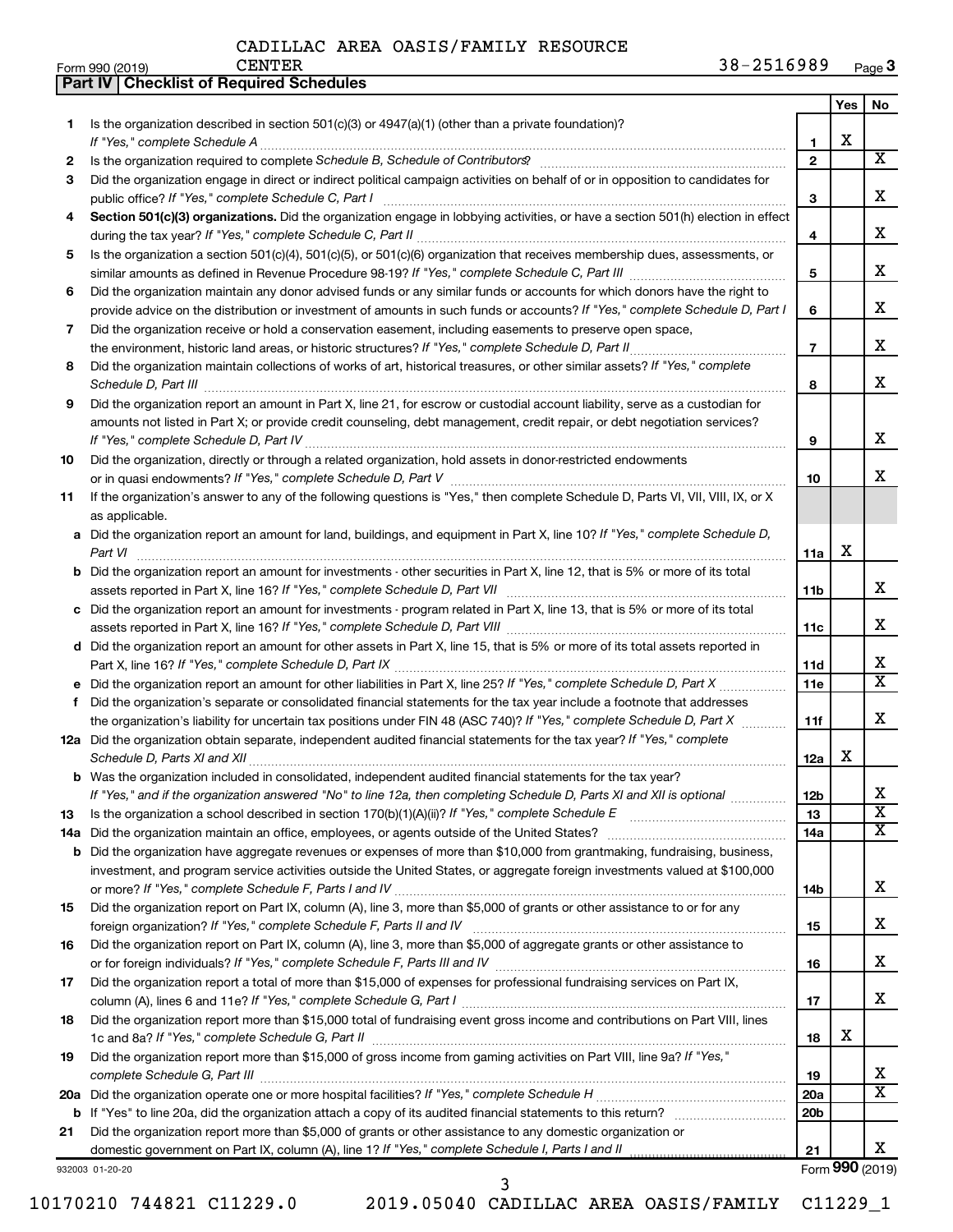**Part IV Checklist of Required Schedules**

|    |                                                                                                                                                                                                                                                   |                 | Yes | No                      |
|----|---------------------------------------------------------------------------------------------------------------------------------------------------------------------------------------------------------------------------------------------------|-----------------|-----|-------------------------|
| 1  | Is the organization described in section 501(c)(3) or $4947(a)(1)$ (other than a private foundation)?                                                                                                                                             |                 |     |                         |
|    | If "Yes," complete Schedule A                                                                                                                                                                                                                     | 1               | х   |                         |
| 2  |                                                                                                                                                                                                                                                   | $\mathbf{2}$    |     | $\overline{\mathbf{X}}$ |
| З  | Did the organization engage in direct or indirect political campaign activities on behalf of or in opposition to candidates for                                                                                                                   |                 |     |                         |
|    |                                                                                                                                                                                                                                                   | 3               |     | х                       |
| 4  | Section 501(c)(3) organizations. Did the organization engage in lobbying activities, or have a section 501(h) election in effect                                                                                                                  |                 |     |                         |
|    |                                                                                                                                                                                                                                                   | 4               |     | х                       |
| 5  | Is the organization a section 501(c)(4), 501(c)(5), or 501(c)(6) organization that receives membership dues, assessments, or                                                                                                                      |                 |     |                         |
|    |                                                                                                                                                                                                                                                   | 5               |     | х                       |
| 6  | Did the organization maintain any donor advised funds or any similar funds or accounts for which donors have the right to                                                                                                                         |                 |     |                         |
|    | provide advice on the distribution or investment of amounts in such funds or accounts? If "Yes," complete Schedule D, Part I                                                                                                                      | 6               |     | x                       |
| 7  | Did the organization receive or hold a conservation easement, including easements to preserve open space,                                                                                                                                         |                 |     |                         |
|    | the environment, historic land areas, or historic structures? If "Yes," complete Schedule D, Part II                                                                                                                                              | $\overline{7}$  |     | x                       |
| 8  | Did the organization maintain collections of works of art, historical treasures, or other similar assets? If "Yes," complete                                                                                                                      |                 |     |                         |
|    |                                                                                                                                                                                                                                                   | 8               |     | x                       |
| 9  | Did the organization report an amount in Part X, line 21, for escrow or custodial account liability, serve as a custodian for                                                                                                                     |                 |     |                         |
|    | amounts not listed in Part X; or provide credit counseling, debt management, credit repair, or debt negotiation services?                                                                                                                         |                 |     |                         |
|    |                                                                                                                                                                                                                                                   | 9               |     | x                       |
| 10 | Did the organization, directly or through a related organization, hold assets in donor-restricted endowments                                                                                                                                      |                 |     |                         |
|    |                                                                                                                                                                                                                                                   | 10              |     | x                       |
| 11 | If the organization's answer to any of the following questions is "Yes," then complete Schedule D, Parts VI, VII, VIII, IX, or X                                                                                                                  |                 |     |                         |
|    | as applicable.                                                                                                                                                                                                                                    |                 |     |                         |
|    | a Did the organization report an amount for land, buildings, and equipment in Part X, line 10? If "Yes," complete Schedule D,                                                                                                                     |                 |     |                         |
|    | Part VI                                                                                                                                                                                                                                           | 11a             | х   |                         |
|    | <b>b</b> Did the organization report an amount for investments - other securities in Part X, line 12, that is 5% or more of its total                                                                                                             |                 |     |                         |
|    |                                                                                                                                                                                                                                                   | 11b             |     | х                       |
|    | c Did the organization report an amount for investments - program related in Part X, line 13, that is 5% or more of its total                                                                                                                     |                 |     | x                       |
|    |                                                                                                                                                                                                                                                   | 11c             |     |                         |
|    | d Did the organization report an amount for other assets in Part X, line 15, that is 5% or more of its total assets reported in                                                                                                                   |                 |     | x                       |
|    |                                                                                                                                                                                                                                                   | 11d             |     | X                       |
|    | e Did the organization report an amount for other liabilities in Part X, line 25? If "Yes," complete Schedule D, Part X                                                                                                                           | 11e             |     |                         |
| f  | Did the organization's separate or consolidated financial statements for the tax year include a footnote that addresses<br>the organization's liability for uncertain tax positions under FIN 48 (ASC 740)? If "Yes," complete Schedule D, Part X | 11f             |     | x                       |
|    | 12a Did the organization obtain separate, independent audited financial statements for the tax year? If "Yes," complete                                                                                                                           |                 |     |                         |
|    | Schedule D, Parts XI and XII                                                                                                                                                                                                                      | 12a             | x   |                         |
|    | <b>b</b> Was the organization included in consolidated, independent audited financial statements for the tax year?                                                                                                                                |                 |     |                         |
|    | If "Yes," and if the organization answered "No" to line 12a, then completing Schedule D, Parts XI and XII is optional                                                                                                                             | 12 <sub>b</sub> |     | ┻                       |
| 13 |                                                                                                                                                                                                                                                   | 13              |     | $\overline{\text{x}}$   |
|    | 14a Did the organization maintain an office, employees, or agents outside of the United States?                                                                                                                                                   | 14a             |     | x                       |
|    | <b>b</b> Did the organization have aggregate revenues or expenses of more than \$10,000 from grantmaking, fundraising, business,                                                                                                                  |                 |     |                         |
|    | investment, and program service activities outside the United States, or aggregate foreign investments valued at \$100,000                                                                                                                        |                 |     |                         |
|    |                                                                                                                                                                                                                                                   | 14b             |     | х                       |
| 15 | Did the organization report on Part IX, column (A), line 3, more than \$5,000 of grants or other assistance to or for any                                                                                                                         |                 |     |                         |
|    |                                                                                                                                                                                                                                                   | 15              |     | x                       |
| 16 | Did the organization report on Part IX, column (A), line 3, more than \$5,000 of aggregate grants or other assistance to                                                                                                                          |                 |     |                         |
|    |                                                                                                                                                                                                                                                   | 16              |     | x                       |
| 17 | Did the organization report a total of more than \$15,000 of expenses for professional fundraising services on Part IX,                                                                                                                           |                 |     |                         |
|    |                                                                                                                                                                                                                                                   | 17              |     | x.                      |
| 18 | Did the organization report more than \$15,000 total of fundraising event gross income and contributions on Part VIII, lines                                                                                                                      |                 |     |                         |
|    |                                                                                                                                                                                                                                                   | 18              | х   |                         |
| 19 | Did the organization report more than \$15,000 of gross income from gaming activities on Part VIII, line 9a? If "Yes,"                                                                                                                            |                 |     |                         |
|    | complete Schedule G, Part III                                                                                                                                                                                                                     | 19              |     | x                       |
|    |                                                                                                                                                                                                                                                   | 20a             |     | $\overline{\text{X}}$   |
|    |                                                                                                                                                                                                                                                   | 20 <sub>b</sub> |     |                         |
| 21 | Did the organization report more than \$5,000 of grants or other assistance to any domestic organization or                                                                                                                                       |                 |     |                         |
|    |                                                                                                                                                                                                                                                   | 21              |     | x                       |
|    | 932003 01-20-20                                                                                                                                                                                                                                   |                 |     | Form 990 (2019)         |

10170210 744821 C11229.0 2019.05040 CADILLAC AREA OASIS/FAMILY C11229\_1

3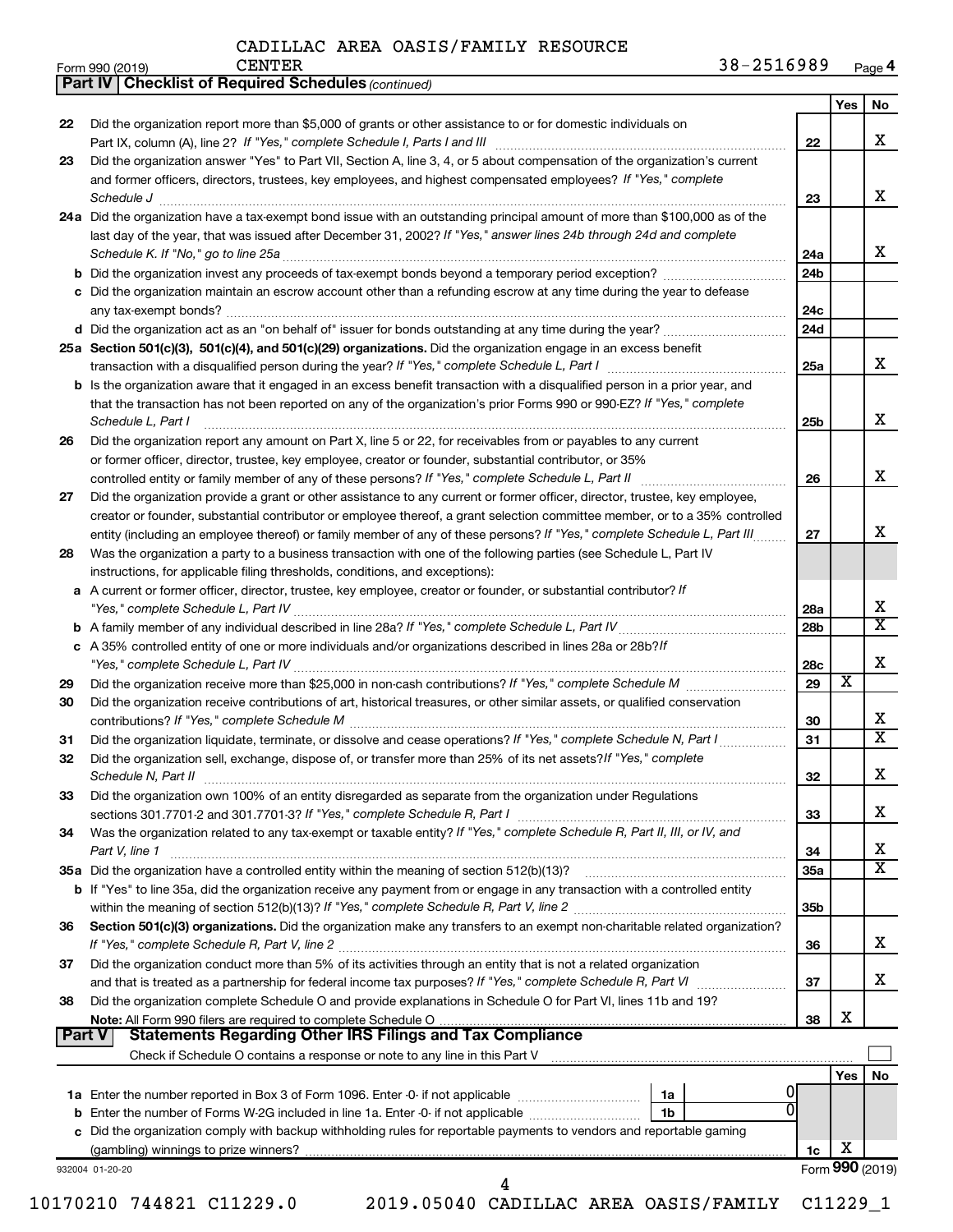|               | <b>Part IV   Checklist of Required Schedules (continued)</b>                                                                                                    |     |                         |                         |
|---------------|-----------------------------------------------------------------------------------------------------------------------------------------------------------------|-----|-------------------------|-------------------------|
|               |                                                                                                                                                                 |     | Yes                     | No                      |
| 22            | Did the organization report more than \$5,000 of grants or other assistance to or for domestic individuals on                                                   |     |                         |                         |
|               |                                                                                                                                                                 | 22  |                         | X                       |
|               | Did the organization answer "Yes" to Part VII, Section A, line 3, 4, or 5 about compensation of the organization's current                                      |     |                         |                         |
| 23            |                                                                                                                                                                 |     |                         |                         |
|               | and former officers, directors, trustees, key employees, and highest compensated employees? If "Yes," complete                                                  |     |                         |                         |
|               |                                                                                                                                                                 | 23  |                         | х                       |
|               | 24a Did the organization have a tax-exempt bond issue with an outstanding principal amount of more than \$100,000 as of the                                     |     |                         |                         |
|               | last day of the year, that was issued after December 31, 2002? If "Yes," answer lines 24b through 24d and complete                                              |     |                         |                         |
|               |                                                                                                                                                                 | 24a |                         | x                       |
|               |                                                                                                                                                                 | 24b |                         |                         |
|               | c Did the organization maintain an escrow account other than a refunding escrow at any time during the year to defease                                          |     |                         |                         |
|               |                                                                                                                                                                 | 24c |                         |                         |
|               |                                                                                                                                                                 | 24d |                         |                         |
|               | 25a Section 501(c)(3), 501(c)(4), and 501(c)(29) organizations. Did the organization engage in an excess benefit                                                |     |                         |                         |
|               |                                                                                                                                                                 | 25a |                         | х                       |
|               | <b>b</b> Is the organization aware that it engaged in an excess benefit transaction with a disqualified person in a prior year, and                             |     |                         |                         |
|               |                                                                                                                                                                 |     |                         |                         |
|               | that the transaction has not been reported on any of the organization's prior Forms 990 or 990-EZ? If "Yes," complete                                           |     |                         | х                       |
|               | Schedule L, Part I                                                                                                                                              | 25b |                         |                         |
| 26            | Did the organization report any amount on Part X, line 5 or 22, for receivables from or payables to any current                                                 |     |                         |                         |
|               | or former officer, director, trustee, key employee, creator or founder, substantial contributor, or 35%                                                         |     |                         |                         |
|               | controlled entity or family member of any of these persons? If "Yes," complete Schedule L, Part II                                                              | 26  |                         | х                       |
| 27            | Did the organization provide a grant or other assistance to any current or former officer, director, trustee, key employee,                                     |     |                         |                         |
|               | creator or founder, substantial contributor or employee thereof, a grant selection committee member, or to a 35% controlled                                     |     |                         |                         |
|               | entity (including an employee thereof) or family member of any of these persons? If "Yes," complete Schedule L, Part III                                        | 27  |                         | x                       |
| 28            | Was the organization a party to a business transaction with one of the following parties (see Schedule L, Part IV                                               |     |                         |                         |
|               | instructions, for applicable filing thresholds, conditions, and exceptions):                                                                                    |     |                         |                         |
| а             | A current or former officer, director, trustee, key employee, creator or founder, or substantial contributor? If                                                |     |                         |                         |
|               |                                                                                                                                                                 | 28a |                         | x                       |
|               |                                                                                                                                                                 | 28b |                         | $\overline{\textbf{x}}$ |
|               | c A 35% controlled entity of one or more individuals and/or organizations described in lines 28a or 28b?!f                                                      |     |                         |                         |
|               |                                                                                                                                                                 | 28c |                         | X                       |
|               |                                                                                                                                                                 |     | $\overline{\textbf{x}}$ |                         |
| 29            |                                                                                                                                                                 | 29  |                         |                         |
| 30            | Did the organization receive contributions of art, historical treasures, or other similar assets, or qualified conservation                                     |     |                         |                         |
|               |                                                                                                                                                                 | 30  |                         | х                       |
| 31            | Did the organization liquidate, terminate, or dissolve and cease operations? If "Yes," complete Schedule N, Part I                                              | 31  |                         | $\overline{\mathbf{X}}$ |
| 32            | Did the organization sell, exchange, dispose of, or transfer more than 25% of its net assets? If "Yes," complete                                                |     |                         |                         |
|               | Schedule N, Part II                                                                                                                                             | 32  |                         | ▵                       |
| 33            | Did the organization own 100% of an entity disregarded as separate from the organization under Regulations                                                      |     |                         |                         |
|               |                                                                                                                                                                 | 33  |                         | x.                      |
| 34            | Was the organization related to any tax-exempt or taxable entity? If "Yes," complete Schedule R, Part II, III, or IV, and                                       |     |                         |                         |
|               | Part V, line 1                                                                                                                                                  | 34  |                         | х                       |
|               | 35a Did the organization have a controlled entity within the meaning of section 512(b)(13)?                                                                     | 35a |                         | $\overline{\textbf{X}}$ |
|               | b If "Yes" to line 35a, did the organization receive any payment from or engage in any transaction with a controlled entity                                     |     |                         |                         |
|               |                                                                                                                                                                 | 35b |                         |                         |
| 36            | Section 501(c)(3) organizations. Did the organization make any transfers to an exempt non-charitable related organization?                                      |     |                         |                         |
|               |                                                                                                                                                                 | 36  |                         | x                       |
| 37            | Did the organization conduct more than 5% of its activities through an entity that is not a related organization                                                |     |                         |                         |
|               |                                                                                                                                                                 |     |                         | x                       |
|               |                                                                                                                                                                 | 37  |                         |                         |
| 38            | Did the organization complete Schedule O and provide explanations in Schedule O for Part VI, lines 11b and 19?                                                  |     | х                       |                         |
| <b>Part V</b> | Statements Regarding Other IRS Filings and Tax Compliance                                                                                                       | 38  |                         |                         |
|               |                                                                                                                                                                 |     |                         |                         |
|               | Check if Schedule O contains a response or note to any line in this Part V [11] [12] Check if Schedule O contains a response or note to any line in this Part V |     |                         |                         |
|               |                                                                                                                                                                 |     | Yes                     | No                      |
|               | 1a                                                                                                                                                              |     |                         |                         |
| b             | 1b                                                                                                                                                              |     |                         |                         |
|               | c Did the organization comply with backup withholding rules for reportable payments to vendors and reportable gaming                                            |     |                         |                         |
|               |                                                                                                                                                                 | 1c  | х                       |                         |
|               | 932004 01-20-20                                                                                                                                                 |     | Form 990 (2019)         |                         |
|               | 4                                                                                                                                                               |     |                         |                         |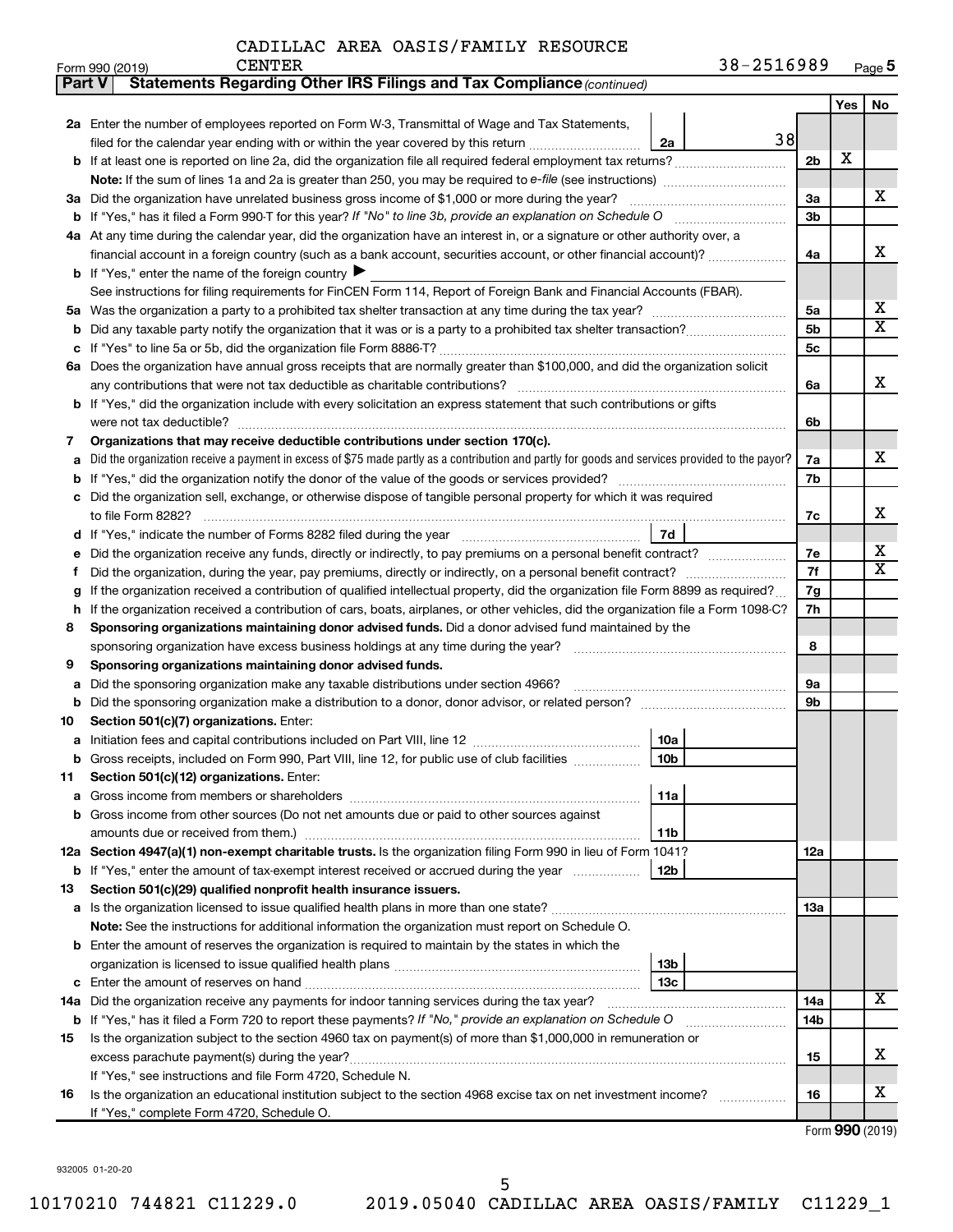| Part V | Statements Regarding Other IRS Filings and Tax Compliance (continued)                                                                           |     |     |    |  |  |  |  |  |
|--------|-------------------------------------------------------------------------------------------------------------------------------------------------|-----|-----|----|--|--|--|--|--|
|        |                                                                                                                                                 |     | Yes | No |  |  |  |  |  |
|        | 2a Enter the number of employees reported on Form W-3, Transmittal of Wage and Tax Statements,                                                  |     |     |    |  |  |  |  |  |
|        | 38<br>filed for the calendar year ending with or within the year covered by this return<br>2a                                                   |     |     |    |  |  |  |  |  |
|        | <b>b</b> If at least one is reported on line 2a, did the organization file all required federal employment tax returns?                         | 2b  | X   |    |  |  |  |  |  |
|        | Note: If the sum of lines 1a and 2a is greater than 250, you may be required to e-file (see instructions) <i>marroummann</i>                    |     |     |    |  |  |  |  |  |
|        | 3a Did the organization have unrelated business gross income of \$1,000 or more during the year?                                                |     |     |    |  |  |  |  |  |
| b      |                                                                                                                                                 |     |     |    |  |  |  |  |  |
|        | 4a At any time during the calendar year, did the organization have an interest in, or a signature or other authority over, a                    |     |     |    |  |  |  |  |  |
|        | financial account in a foreign country (such as a bank account, securities account, or other financial account)?                                | 4a  |     | x  |  |  |  |  |  |
|        | <b>b</b> If "Yes," enter the name of the foreign country ▶                                                                                      |     |     |    |  |  |  |  |  |
|        | See instructions for filing requirements for FinCEN Form 114, Report of Foreign Bank and Financial Accounts (FBAR).                             |     |     |    |  |  |  |  |  |
|        |                                                                                                                                                 | 5a  |     | x  |  |  |  |  |  |
| b      |                                                                                                                                                 | 5b  |     | X  |  |  |  |  |  |
| с      |                                                                                                                                                 | 5c  |     |    |  |  |  |  |  |
|        | 6a Does the organization have annual gross receipts that are normally greater than \$100,000, and did the organization solicit                  |     |     |    |  |  |  |  |  |
|        |                                                                                                                                                 | 6a  |     | x  |  |  |  |  |  |
|        | <b>b</b> If "Yes," did the organization include with every solicitation an express statement that such contributions or gifts                   |     |     |    |  |  |  |  |  |
|        |                                                                                                                                                 | 6b  |     |    |  |  |  |  |  |
| 7      | Organizations that may receive deductible contributions under section 170(c).                                                                   |     |     |    |  |  |  |  |  |
|        | Did the organization receive a payment in excess of \$75 made partly as a contribution and partly for goods and services provided to the payor? | 7a  |     | х  |  |  |  |  |  |
| а<br>b |                                                                                                                                                 | 7b  |     |    |  |  |  |  |  |
|        | c Did the organization sell, exchange, or otherwise dispose of tangible personal property for which it was required                             |     |     |    |  |  |  |  |  |
|        |                                                                                                                                                 | 7c  |     | х  |  |  |  |  |  |
|        | <b>7d</b>                                                                                                                                       |     |     |    |  |  |  |  |  |
| е      |                                                                                                                                                 |     |     |    |  |  |  |  |  |
| f.     |                                                                                                                                                 |     |     |    |  |  |  |  |  |
| g      | If the organization received a contribution of qualified intellectual property, did the organization file Form 8899 as required?                |     |     |    |  |  |  |  |  |
| h      | If the organization received a contribution of cars, boats, airplanes, or other vehicles, did the organization file a Form 1098-C?              |     |     |    |  |  |  |  |  |
| 8      | Sponsoring organizations maintaining donor advised funds. Did a donor advised fund maintained by the                                            |     |     |    |  |  |  |  |  |
|        |                                                                                                                                                 |     |     |    |  |  |  |  |  |
| 9      | Sponsoring organizations maintaining donor advised funds.                                                                                       |     |     |    |  |  |  |  |  |
| а      | Did the sponsoring organization make any taxable distributions under section 4966?                                                              | 9а  |     |    |  |  |  |  |  |
| b      | Did the sponsoring organization make a distribution to a donor, donor advisor, or related person?                                               | 9b  |     |    |  |  |  |  |  |
| 10     | Section 501(c)(7) organizations. Enter:                                                                                                         |     |     |    |  |  |  |  |  |
| а      | 10a                                                                                                                                             |     |     |    |  |  |  |  |  |
|        | 10 <sub>b</sub><br>b Gross receipts, included on Form 990, Part VIII, line 12, for public use of club facilities                                |     |     |    |  |  |  |  |  |
| 11     | Section 501(c)(12) organizations. Enter:                                                                                                        |     |     |    |  |  |  |  |  |
| а      | 11a                                                                                                                                             |     |     |    |  |  |  |  |  |
|        | b Gross income from other sources (Do not net amounts due or paid to other sources against                                                      |     |     |    |  |  |  |  |  |
|        | 11b                                                                                                                                             |     |     |    |  |  |  |  |  |
|        | 12a Section 4947(a)(1) non-exempt charitable trusts. Is the organization filing Form 990 in lieu of Form 1041?                                  | 12a |     |    |  |  |  |  |  |
|        | 12 <sub>b</sub><br><b>b</b> If "Yes," enter the amount of tax-exempt interest received or accrued during the year                               |     |     |    |  |  |  |  |  |
| 13     | Section 501(c)(29) qualified nonprofit health insurance issuers.                                                                                |     |     |    |  |  |  |  |  |
| а      | Is the organization licensed to issue qualified health plans in more than one state?                                                            | 1За |     |    |  |  |  |  |  |
|        | <b>Note:</b> See the instructions for additional information the organization must report on Schedule O.                                        |     |     |    |  |  |  |  |  |
|        | <b>b</b> Enter the amount of reserves the organization is required to maintain by the states in which the                                       |     |     |    |  |  |  |  |  |
|        | 13 <sub>b</sub>                                                                                                                                 |     |     |    |  |  |  |  |  |
| с      | 13с                                                                                                                                             |     |     |    |  |  |  |  |  |
|        | 14a Did the organization receive any payments for indoor tanning services during the tax year?                                                  |     |     |    |  |  |  |  |  |
| b      | If "Yes," has it filed a Form 720 to report these payments? If "No," provide an explanation on Schedule O                                       | 14b |     |    |  |  |  |  |  |
| 15     | Is the organization subject to the section 4960 tax on payment(s) of more than \$1,000,000 in remuneration or                                   |     |     |    |  |  |  |  |  |
|        |                                                                                                                                                 | 15  |     | х  |  |  |  |  |  |
|        | If "Yes," see instructions and file Form 4720, Schedule N.                                                                                      |     |     |    |  |  |  |  |  |
| 16     | Is the organization an educational institution subject to the section 4968 excise tax on net investment income?                                 | 16  |     | х  |  |  |  |  |  |
|        | If "Yes," complete Form 4720, Schedule O.                                                                                                       |     |     |    |  |  |  |  |  |

Form (2019) **990**

932005 01-20-20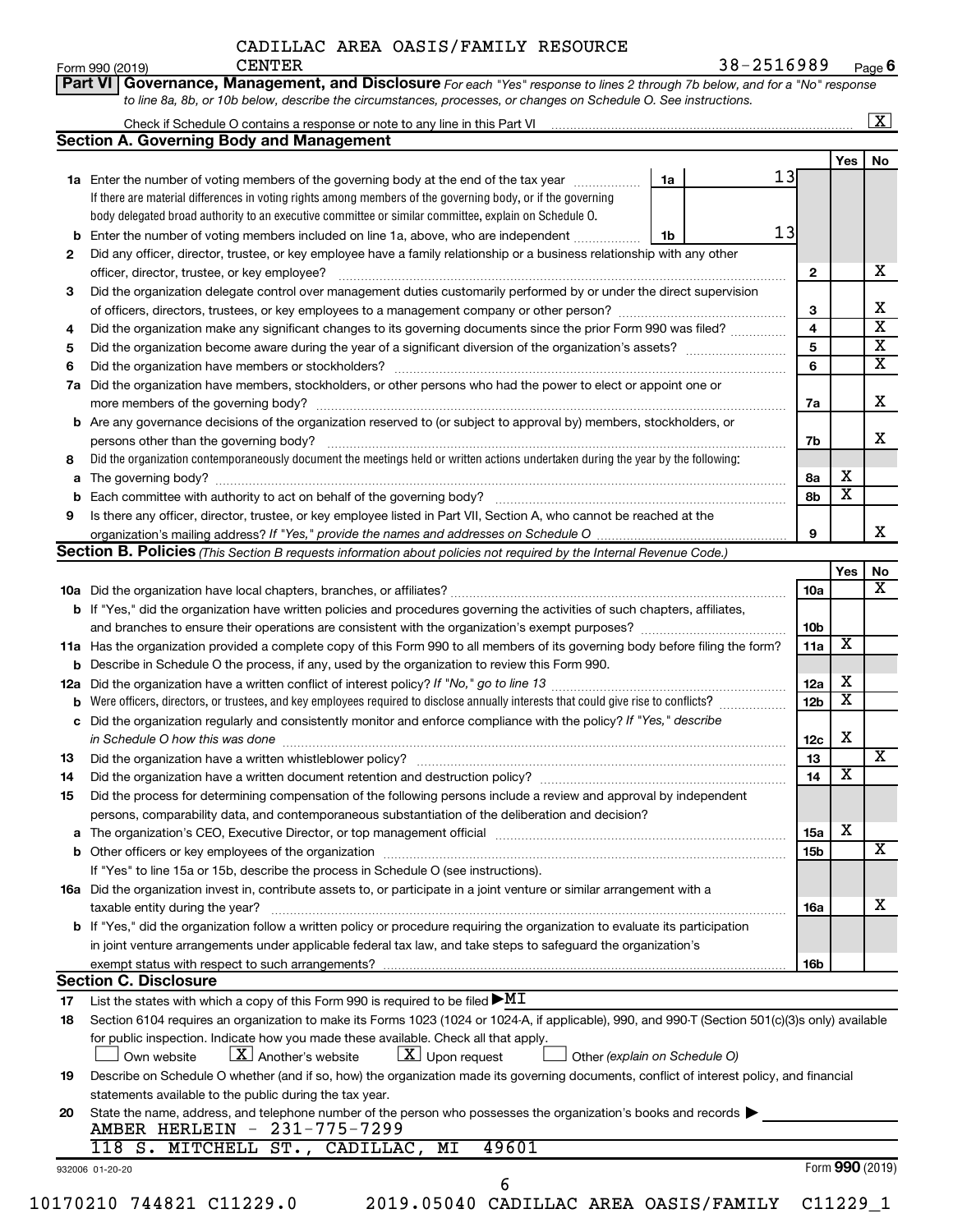Form 990 (2019) Page **6** CENTER 38-2516989

|     | <b>Section A. Governing Body and Management</b>                                                                                                  |    |    |                 |                         |                         |
|-----|--------------------------------------------------------------------------------------------------------------------------------------------------|----|----|-----------------|-------------------------|-------------------------|
|     |                                                                                                                                                  |    |    |                 | Yes                     | No                      |
|     | 1a Enter the number of voting members of the governing body at the end of the tax year                                                           | 1a | 13 |                 |                         |                         |
|     | If there are material differences in voting rights among members of the governing body, or if the governing                                      |    |    |                 |                         |                         |
|     | body delegated broad authority to an executive committee or similar committee, explain on Schedule O.                                            |    |    |                 |                         |                         |
|     | <b>b</b> Enter the number of voting members included on line 1a, above, who are independent                                                      | 1b | 13 |                 |                         |                         |
| 2   | Did any officer, director, trustee, or key employee have a family relationship or a business relationship with any other                         |    |    |                 |                         |                         |
|     |                                                                                                                                                  |    |    | $\mathbf{2}$    |                         | x                       |
| З   | Did the organization delegate control over management duties customarily performed by or under the direct supervision                            |    |    |                 |                         |                         |
|     |                                                                                                                                                  |    |    | 3               |                         | х                       |
| 4   | Did the organization make any significant changes to its governing documents since the prior Form 990 was filed?                                 |    |    | 4               |                         | $\overline{\textbf{x}}$ |
| 5   |                                                                                                                                                  |    |    | 5               |                         | $\overline{\textbf{x}}$ |
|     |                                                                                                                                                  |    |    | 6               |                         | $\overline{\mathtt{x}}$ |
| 6   |                                                                                                                                                  |    |    |                 |                         |                         |
| 7a  | Did the organization have members, stockholders, or other persons who had the power to elect or appoint one or                                   |    |    |                 |                         |                         |
|     |                                                                                                                                                  |    |    | 7a              |                         | x                       |
|     | <b>b</b> Are any governance decisions of the organization reserved to (or subject to approval by) members, stockholders, or                      |    |    |                 |                         |                         |
|     | persons other than the governing body?                                                                                                           |    |    | 7b              |                         | x                       |
| 8   | Did the organization contemporaneously document the meetings held or written actions undertaken during the year by the following:                |    |    |                 |                         |                         |
|     |                                                                                                                                                  |    |    | 8а              | х                       |                         |
|     |                                                                                                                                                  |    |    | 8b              | $\overline{\textbf{x}}$ |                         |
| 9   | Is there any officer, director, trustee, or key employee listed in Part VII, Section A, who cannot be reached at the                             |    |    |                 |                         |                         |
|     |                                                                                                                                                  |    |    | 9               |                         | x                       |
|     | Section B. Policies (This Section B requests information about policies not required by the Internal Revenue Code.)                              |    |    |                 |                         |                         |
|     |                                                                                                                                                  |    |    |                 | Yes                     | No                      |
|     |                                                                                                                                                  |    |    | 10a             |                         | $\overline{\mathbf{X}}$ |
|     | b If "Yes," did the organization have written policies and procedures governing the activities of such chapters, affiliates,                     |    |    |                 |                         |                         |
|     |                                                                                                                                                  |    |    | 10b             |                         |                         |
|     | 11a Has the organization provided a complete copy of this Form 990 to all members of its governing body before filing the form?                  |    |    | 11a             | X                       |                         |
|     | <b>b</b> Describe in Schedule O the process, if any, used by the organization to review this Form 990.                                           |    |    |                 |                         |                         |
| 12a |                                                                                                                                                  |    |    | 12a             | х                       |                         |
|     | Were officers, directors, or trustees, and key employees required to disclose annually interests that could give rise to conflicts?              |    |    | 12 <sub>b</sub> | $\overline{\textbf{x}}$ |                         |
|     |                                                                                                                                                  |    |    |                 |                         |                         |
|     | c Did the organization regularly and consistently monitor and enforce compliance with the policy? If "Yes," describe                             |    |    |                 |                         |                         |
|     |                                                                                                                                                  |    |    | 12c             | Х                       |                         |
| 13  |                                                                                                                                                  |    |    | 13              |                         | $\overline{\mathbf{X}}$ |
| 14  | Did the organization have a written document retention and destruction policy? [11] manufaction manufaction in                                   |    |    | 14              | $\overline{\texttt{x}}$ |                         |
| 15  | Did the process for determining compensation of the following persons include a review and approval by independent                               |    |    |                 |                         |                         |
|     | persons, comparability data, and contemporaneous substantiation of the deliberation and decision?                                                |    |    |                 |                         |                         |
|     |                                                                                                                                                  |    |    | 15a             | X                       |                         |
|     |                                                                                                                                                  |    |    | 15b             |                         | $\overline{\text{X}}$   |
|     | If "Yes" to line 15a or 15b, describe the process in Schedule O (see instructions).                                                              |    |    |                 |                         |                         |
|     | 16a Did the organization invest in, contribute assets to, or participate in a joint venture or similar arrangement with a                        |    |    |                 |                         |                         |
|     | taxable entity during the year?                                                                                                                  |    |    | 16a             |                         | x                       |
|     | b If "Yes," did the organization follow a written policy or procedure requiring the organization to evaluate its participation                   |    |    |                 |                         |                         |
|     | in joint venture arrangements under applicable federal tax law, and take steps to safeguard the organization's                                   |    |    |                 |                         |                         |
|     |                                                                                                                                                  |    |    | 16b             |                         |                         |
|     | <b>Section C. Disclosure</b>                                                                                                                     |    |    |                 |                         |                         |
|     | List the states with which a copy of this Form 990 is required to be filed $\blacktriangleright\text{MI}$                                        |    |    |                 |                         |                         |
| 17  |                                                                                                                                                  |    |    |                 |                         |                         |
| 18  | Section 6104 requires an organization to make its Forms 1023 (1024 or 1024-A, if applicable), 990, and 990-T (Section 501(c)(3)s only) available |    |    |                 |                         |                         |
|     | for public inspection. Indicate how you made these available. Check all that apply.                                                              |    |    |                 |                         |                         |
|     | $\lfloor x \rfloor$ Upon request<br>$\lfloor X \rfloor$ Another's website<br>Other (explain on Schedule O)<br>Own website                        |    |    |                 |                         |                         |
| 19  | Describe on Schedule O whether (and if so, how) the organization made its governing documents, conflict of interest policy, and financial        |    |    |                 |                         |                         |
|     | statements available to the public during the tax year.                                                                                          |    |    |                 |                         |                         |
| 20  | State the name, address, and telephone number of the person who possesses the organization's books and records $\blacktriangleright$             |    |    |                 |                         |                         |
|     | AMBER HERLEIN - 231-775-7299                                                                                                                     |    |    |                 |                         |                         |
|     | 118 S. MITCHELL ST., CADILLAC, MI<br>49601                                                                                                       |    |    |                 |                         |                         |
|     | 932006 01-20-20                                                                                                                                  |    |    |                 | Form 990 (2019)         |                         |
|     | 6                                                                                                                                                |    |    |                 |                         |                         |
|     | 10170210 744821 C11229.0<br>2019.05040 CADILLAC AREA OASIS/FAMILY                                                                                |    |    | C11229_1        |                         |                         |
|     |                                                                                                                                                  |    |    |                 |                         |                         |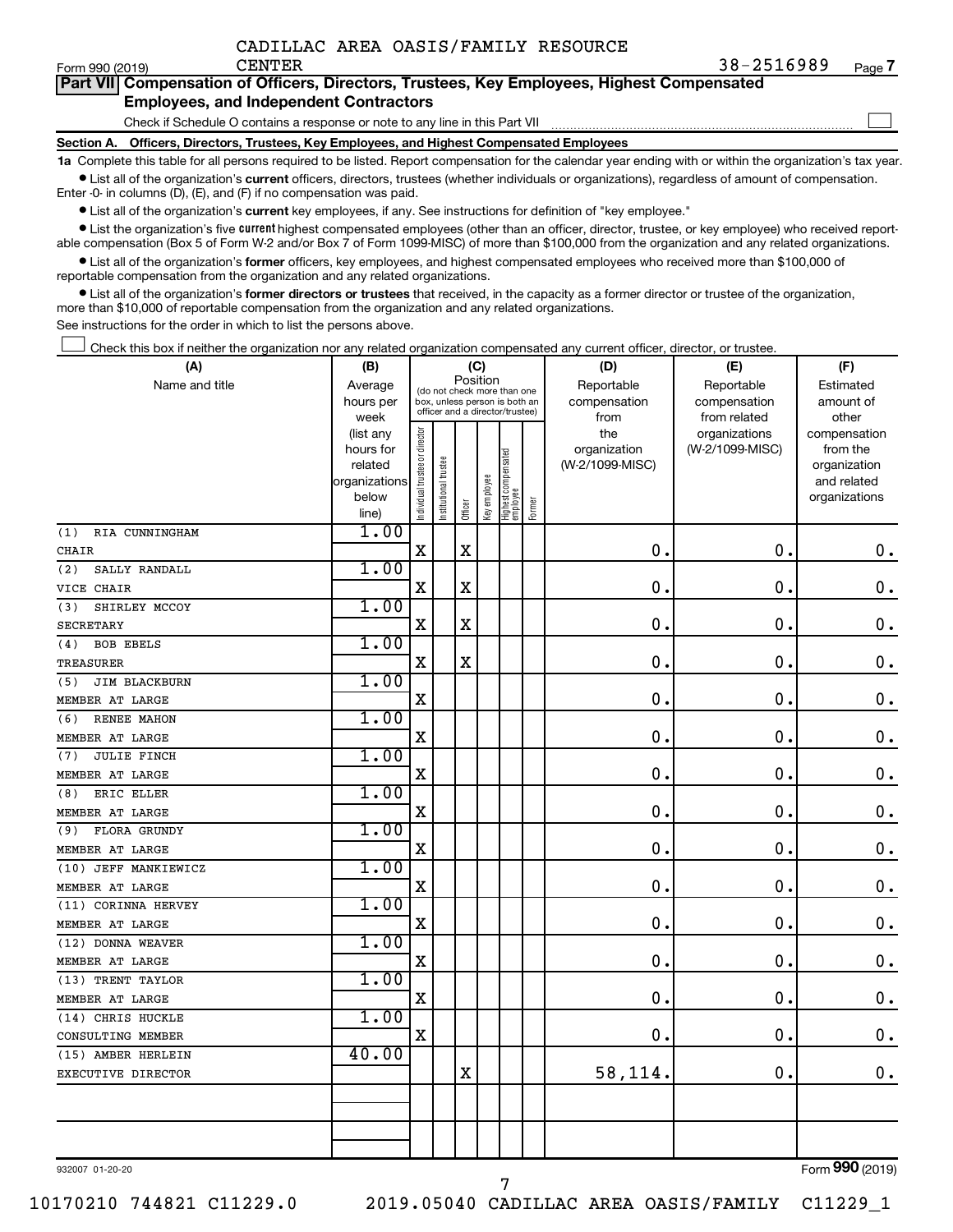$\Box$ 

| Part VII Compensation of Officers, Directors, Trustees, Key Employees, Highest Compensated |
|--------------------------------------------------------------------------------------------|
| <b>Employees, and Independent Contractors</b>                                              |

Check if Schedule O contains a response or note to any line in this Part VII

**Section A. Officers, Directors, Trustees, Key Employees, and Highest Compensated Employees**

**1a**  Complete this table for all persons required to be listed. Report compensation for the calendar year ending with or within the organization's tax year.  $\bullet$  List all of the organization's current officers, directors, trustees (whether individuals or organizations), regardless of amount of compensation.

Enter -0- in columns (D), (E), and (F) if no compensation was paid.

**•** List all of the organization's current key employees, if any. See instructions for definition of "key employee."

• List the organization's five *current* highest compensated employees (other than an officer, director, trustee, or key employee) who received reportable compensation (Box 5 of Form W-2 and/or Box 7 of Form 1099-MISC) of more than \$100,000 from the organization and any related organizations.

 $\bullet$  List all of the organization's former officers, key employees, and highest compensated employees who received more than \$100,000 of reportable compensation from the organization and any related organizations.

**•** List all of the organization's former directors or trustees that received, in the capacity as a former director or trustee of the organization, more than \$10,000 of reportable compensation from the organization and any related organizations.

See instructions for the order in which to list the persons above.

Check this box if neither the organization nor any related organization compensated any current officer, director, or trustee.  $\Box$ 

| (A)                         | (B)                    |                                |                                                                  |             | (C)          |                                 |        | (D)             | (E)             | (F)                |
|-----------------------------|------------------------|--------------------------------|------------------------------------------------------------------|-------------|--------------|---------------------------------|--------|-----------------|-----------------|--------------------|
| Name and title              | Average                |                                | (do not check more than one                                      | Position    |              |                                 |        | Reportable      | Reportable      | Estimated          |
|                             | hours per              |                                | box, unless person is both an<br>officer and a director/trustee) |             |              |                                 |        | compensation    | compensation    | amount of          |
|                             | week                   |                                |                                                                  |             |              |                                 |        | from            | from related    | other              |
|                             | (list any              |                                |                                                                  |             |              |                                 |        | the             | organizations   | compensation       |
|                             | hours for              |                                |                                                                  |             |              |                                 |        | organization    | (W-2/1099-MISC) | from the           |
|                             | related                |                                |                                                                  |             |              |                                 |        | (W-2/1099-MISC) |                 | organization       |
|                             | organizations<br>below |                                |                                                                  |             |              |                                 |        |                 |                 | and related        |
|                             | line)                  | Individual trustee or director | Institutional trustee                                            | Officer     | Key employee | Highest compensated<br>employee | Former |                 |                 | organizations      |
| RIA CUNNINGHAM<br>(1)       | 1.00                   |                                |                                                                  |             |              |                                 |        |                 |                 |                    |
| <b>CHAIR</b>                |                        | $\mathbf X$                    |                                                                  | $\mathbf x$ |              |                                 |        | 0.              | $\mathbf 0$     | $\mathbf 0$ .      |
| (2)<br>SALLY RANDALL        | 1.00                   |                                |                                                                  |             |              |                                 |        |                 |                 |                    |
| VICE CHAIR                  |                        | X                              |                                                                  | $\rm X$     |              |                                 |        | $\mathbf 0$ .   | $\mathbf 0$     | $\mathbf 0$ .      |
| (3)<br>SHIRLEY MCCOY        | 1.00                   |                                |                                                                  |             |              |                                 |        |                 |                 |                    |
| <b>SECRETARY</b>            |                        | X                              |                                                                  | $\rm X$     |              |                                 |        | $\mathbf 0$ .   | $\mathbf 0$     | $\boldsymbol{0}$ . |
| (4)<br><b>BOB EBELS</b>     | 1.00                   |                                |                                                                  |             |              |                                 |        |                 |                 |                    |
| <b>TREASURER</b>            |                        | $\mathbf X$                    |                                                                  | $\rm X$     |              |                                 |        | 0.              | $\mathbf 0$     | $\mathbf 0$ .      |
| <b>JIM BLACKBURN</b><br>(5) | 1.00                   |                                |                                                                  |             |              |                                 |        |                 |                 |                    |
| MEMBER AT LARGE             |                        | $\mathbf X$                    |                                                                  |             |              |                                 |        | $\mathbf 0$ .   | $\mathbf 0$     | $\mathbf 0$ .      |
| RENEE MAHON<br>(6)          | 1.00                   |                                |                                                                  |             |              |                                 |        |                 |                 |                    |
| MEMBER AT LARGE             |                        | $\mathbf X$                    |                                                                  |             |              |                                 |        | $\mathbf 0$     | $\mathbf 0$     | $\mathbf 0$ .      |
| <b>JULIE FINCH</b><br>(7)   | 1.00                   |                                |                                                                  |             |              |                                 |        |                 |                 |                    |
| MEMBER AT LARGE             |                        | $\mathbf X$                    |                                                                  |             |              |                                 |        | $\mathbf 0$ .   | $\mathbf 0$     | $\boldsymbol{0}$ . |
| ERIC ELLER<br>(8)           | 1.00                   |                                |                                                                  |             |              |                                 |        |                 |                 |                    |
| MEMBER AT LARGE             |                        | $\mathbf X$                    |                                                                  |             |              |                                 |        | 0.              | $\mathbf 0$     | $\mathbf 0$ .      |
| FLORA GRUNDY<br>(9)         | 1.00                   |                                |                                                                  |             |              |                                 |        |                 |                 |                    |
| MEMBER AT LARGE             |                        | $\mathbf X$                    |                                                                  |             |              |                                 |        | $\mathbf 0$ .   | $\mathbf 0$     | $\boldsymbol{0}$ . |
| (10) JEFF MANKIEWICZ        | 1.00                   |                                |                                                                  |             |              |                                 |        |                 |                 |                    |
| MEMBER AT LARGE             |                        | $\mathbf X$                    |                                                                  |             |              |                                 |        | $\mathbf 0$     | $\mathbf 0$     | $\mathbf 0$ .      |
| (11) CORINNA HERVEY         | 1.00                   |                                |                                                                  |             |              |                                 |        |                 |                 |                    |
| MEMBER AT LARGE             |                        | $\mathbf X$                    |                                                                  |             |              |                                 |        | $\mathbf 0$     | $\mathbf 0$     | $\mathbf 0$ .      |
| (12) DONNA WEAVER           | 1.00                   |                                |                                                                  |             |              |                                 |        |                 |                 |                    |
| MEMBER AT LARGE             |                        | $\mathbf X$                    |                                                                  |             |              |                                 |        | $\mathbf 0$ .   | $\mathbf 0$     | $\mathbf 0$ .      |
| (13) TRENT TAYLOR           | 1.00                   |                                |                                                                  |             |              |                                 |        |                 |                 |                    |
| MEMBER AT LARGE             |                        | $\mathbf X$                    |                                                                  |             |              |                                 |        | $\mathbf 0$     | $\mathbf 0$     | $\mathbf 0$ .      |
| (14) CHRIS HUCKLE           | 1.00                   |                                |                                                                  |             |              |                                 |        |                 |                 |                    |
| CONSULTING MEMBER           |                        | $\mathbf X$                    |                                                                  |             |              |                                 |        | $\mathbf 0$ .   | $\mathbf 0$     | $\mathbf 0$ .      |
| (15) AMBER HERLEIN          | 40.00                  |                                |                                                                  |             |              |                                 |        |                 |                 |                    |
| EXECUTIVE DIRECTOR          |                        |                                |                                                                  | $\mathbf X$ |              |                                 |        | 58,114.         | $\mathbf 0$     | $\mathbf 0$ .      |
|                             |                        |                                |                                                                  |             |              |                                 |        |                 |                 |                    |
|                             |                        |                                |                                                                  |             |              |                                 |        |                 |                 |                    |
|                             |                        |                                |                                                                  |             |              |                                 |        |                 |                 |                    |
|                             |                        |                                |                                                                  |             |              |                                 |        |                 |                 |                    |

7

932007 01-20-20

Form (2019) **990**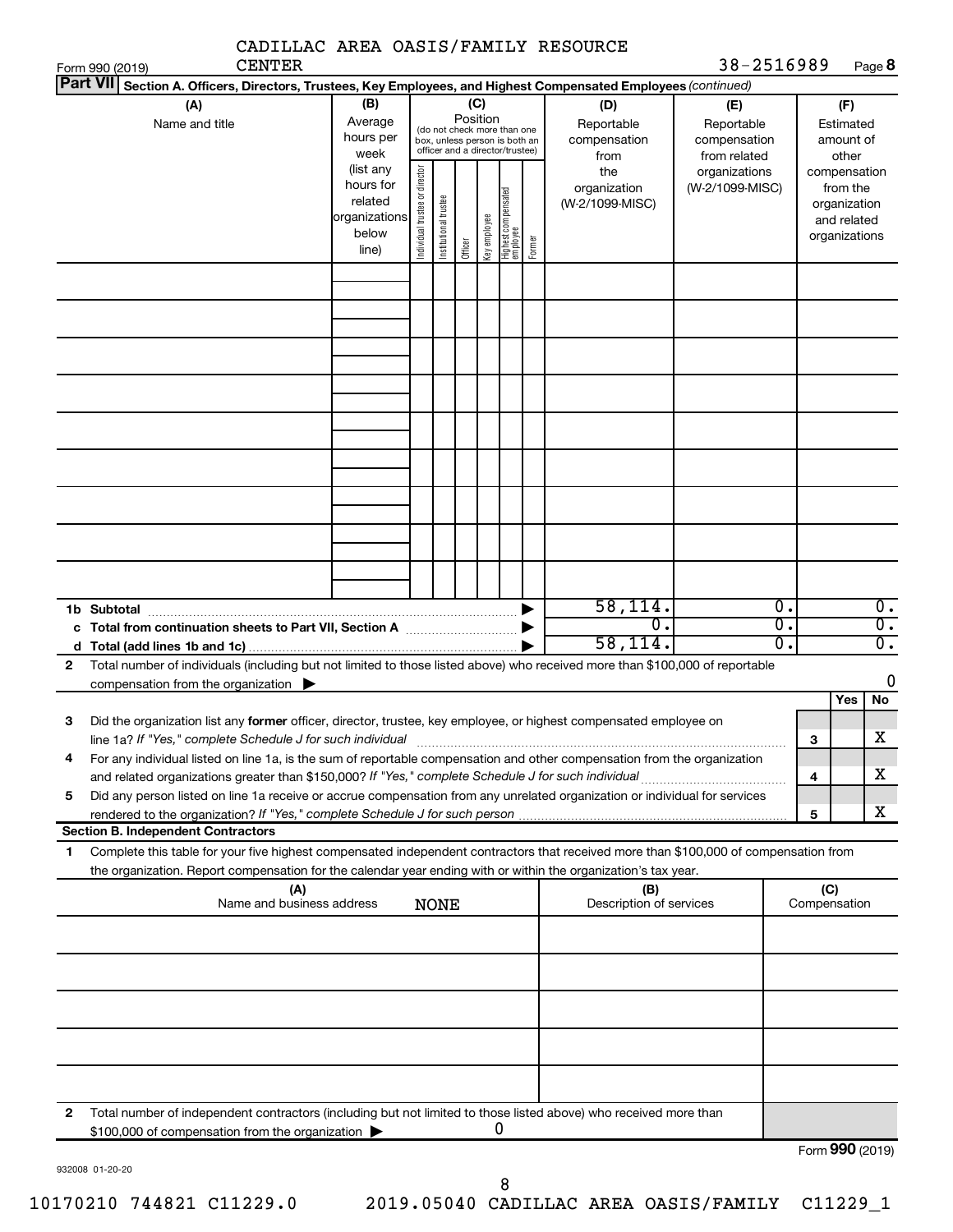|                                           | CADILLAC AREA OASIS/FAMILY RESOURCE                                                                                                                                                                                                                    |                                                                       |                                |                                                                                                                                                                 |         |              |                                                   |        |                                        |                                  |                                                                          |                           |                                      |
|-------------------------------------------|--------------------------------------------------------------------------------------------------------------------------------------------------------------------------------------------------------------------------------------------------------|-----------------------------------------------------------------------|--------------------------------|-----------------------------------------------------------------------------------------------------------------------------------------------------------------|---------|--------------|---------------------------------------------------|--------|----------------------------------------|----------------------------------|--------------------------------------------------------------------------|---------------------------|--------------------------------------|
| Form 990 (2019)<br><b>Part VII</b>        | <b>CENTER</b><br>Section A. Officers, Directors, Trustees, Key Employees, and Highest Compensated Employees (continued)                                                                                                                                |                                                                       |                                |                                                                                                                                                                 |         |              |                                                   |        |                                        | 38-2516989                       |                                                                          |                           | Page 8                               |
|                                           | (A)<br>Name and title                                                                                                                                                                                                                                  |                                                                       |                                | (C)<br>(D)<br>Position<br>Reportable<br>(do not check more than one<br>compensation<br>box, unless person is both an<br>officer and a director/trustee)<br>from |         |              | (E)<br>Reportable<br>compensation<br>from related |        | (F)<br>Estimated<br>amount of<br>other |                                  |                                                                          |                           |                                      |
|                                           |                                                                                                                                                                                                                                                        | (list any<br>hours for<br>related<br> organizations<br>below<br>line) | Individual trustee or director | Institutional trustee                                                                                                                                           | Officer | Key employee | Highest compensated<br>  employee                 | Former | the<br>organization<br>(W-2/1099-MISC) | organizations<br>(W-2/1099-MISC) | compensation<br>from the<br>organization<br>and related<br>organizations |                           |                                      |
|                                           |                                                                                                                                                                                                                                                        |                                                                       |                                |                                                                                                                                                                 |         |              |                                                   |        |                                        |                                  |                                                                          |                           |                                      |
|                                           |                                                                                                                                                                                                                                                        |                                                                       |                                |                                                                                                                                                                 |         |              |                                                   |        |                                        |                                  |                                                                          |                           |                                      |
|                                           |                                                                                                                                                                                                                                                        |                                                                       |                                |                                                                                                                                                                 |         |              |                                                   |        |                                        |                                  |                                                                          |                           |                                      |
|                                           |                                                                                                                                                                                                                                                        |                                                                       |                                |                                                                                                                                                                 |         |              |                                                   |        |                                        |                                  |                                                                          |                           |                                      |
|                                           |                                                                                                                                                                                                                                                        |                                                                       |                                |                                                                                                                                                                 |         |              |                                                   |        |                                        |                                  |                                                                          |                           | $\overline{0}$ .                     |
| 1b Subtotal                               | Total from continuation sheets to Part VII, Section A <b>manual</b> continuum                                                                                                                                                                          |                                                                       |                                |                                                                                                                                                                 |         |              |                                                   |        | 58, 114.<br>0.<br>58,114.              |                                  | о.<br>σ.<br>σ.                                                           |                           | $\overline{0}$ .<br>$\overline{0}$ . |
| d<br>2                                    | Total number of individuals (including but not limited to those listed above) who received more than \$100,000 of reportable                                                                                                                           |                                                                       |                                |                                                                                                                                                                 |         |              |                                                   |        |                                        |                                  |                                                                          |                           |                                      |
|                                           | compensation from the organization $\blacktriangleright$                                                                                                                                                                                               |                                                                       |                                |                                                                                                                                                                 |         |              |                                                   |        |                                        |                                  |                                                                          | Yes                       | 0<br>No                              |
| 3                                         | Did the organization list any former officer, director, trustee, key employee, or highest compensated employee on<br>line 1a? If "Yes," complete Schedule J for such individual                                                                        |                                                                       |                                |                                                                                                                                                                 |         |              |                                                   |        |                                        |                                  |                                                                          | з                         | $\mathbf X$                          |
| 4                                         | For any individual listed on line 1a, is the sum of reportable compensation and other compensation from the organization<br>and related organizations greater than \$150,000? If "Yes," complete Schedule J for such individual                        |                                                                       |                                |                                                                                                                                                                 |         |              |                                                   |        |                                        |                                  |                                                                          | 4                         | x                                    |
| 5                                         | Did any person listed on line 1a receive or accrue compensation from any unrelated organization or individual for services                                                                                                                             |                                                                       |                                |                                                                                                                                                                 |         |              |                                                   |        |                                        |                                  |                                                                          |                           |                                      |
| <b>Section B. Independent Contractors</b> | rendered to the organization? If "Yes," complete Schedule J for such person                                                                                                                                                                            |                                                                       |                                |                                                                                                                                                                 |         |              |                                                   |        |                                        |                                  |                                                                          | 5                         | X                                    |
| 1                                         | Complete this table for your five highest compensated independent contractors that received more than \$100,000 of compensation from<br>the organization. Report compensation for the calendar year ending with or within the organization's tax year. |                                                                       |                                |                                                                                                                                                                 |         |              |                                                   |        |                                        |                                  |                                                                          |                           |                                      |
|                                           | (A)<br>Name and business address                                                                                                                                                                                                                       |                                                                       |                                | <b>NONE</b>                                                                                                                                                     |         |              |                                                   |        | (B)<br>Description of services         |                                  |                                                                          | (C)<br>Compensation       |                                      |
|                                           |                                                                                                                                                                                                                                                        |                                                                       |                                |                                                                                                                                                                 |         |              |                                                   |        |                                        |                                  |                                                                          |                           |                                      |
|                                           |                                                                                                                                                                                                                                                        |                                                                       |                                |                                                                                                                                                                 |         |              |                                                   |        |                                        |                                  |                                                                          |                           |                                      |
|                                           |                                                                                                                                                                                                                                                        |                                                                       |                                |                                                                                                                                                                 |         |              |                                                   |        |                                        |                                  |                                                                          |                           |                                      |
|                                           |                                                                                                                                                                                                                                                        |                                                                       |                                |                                                                                                                                                                 |         |              |                                                   |        |                                        |                                  |                                                                          |                           |                                      |
| 2                                         | Total number of independent contractors (including but not limited to those listed above) who received more than                                                                                                                                       |                                                                       |                                |                                                                                                                                                                 |         |              |                                                   |        |                                        |                                  |                                                                          |                           |                                      |
|                                           | \$100,000 of compensation from the organization                                                                                                                                                                                                        |                                                                       |                                |                                                                                                                                                                 |         |              | 0                                                 |        |                                        |                                  |                                                                          | $F_{\text{O}}$ QQ0 (2010) |                                      |

932008 01-20-20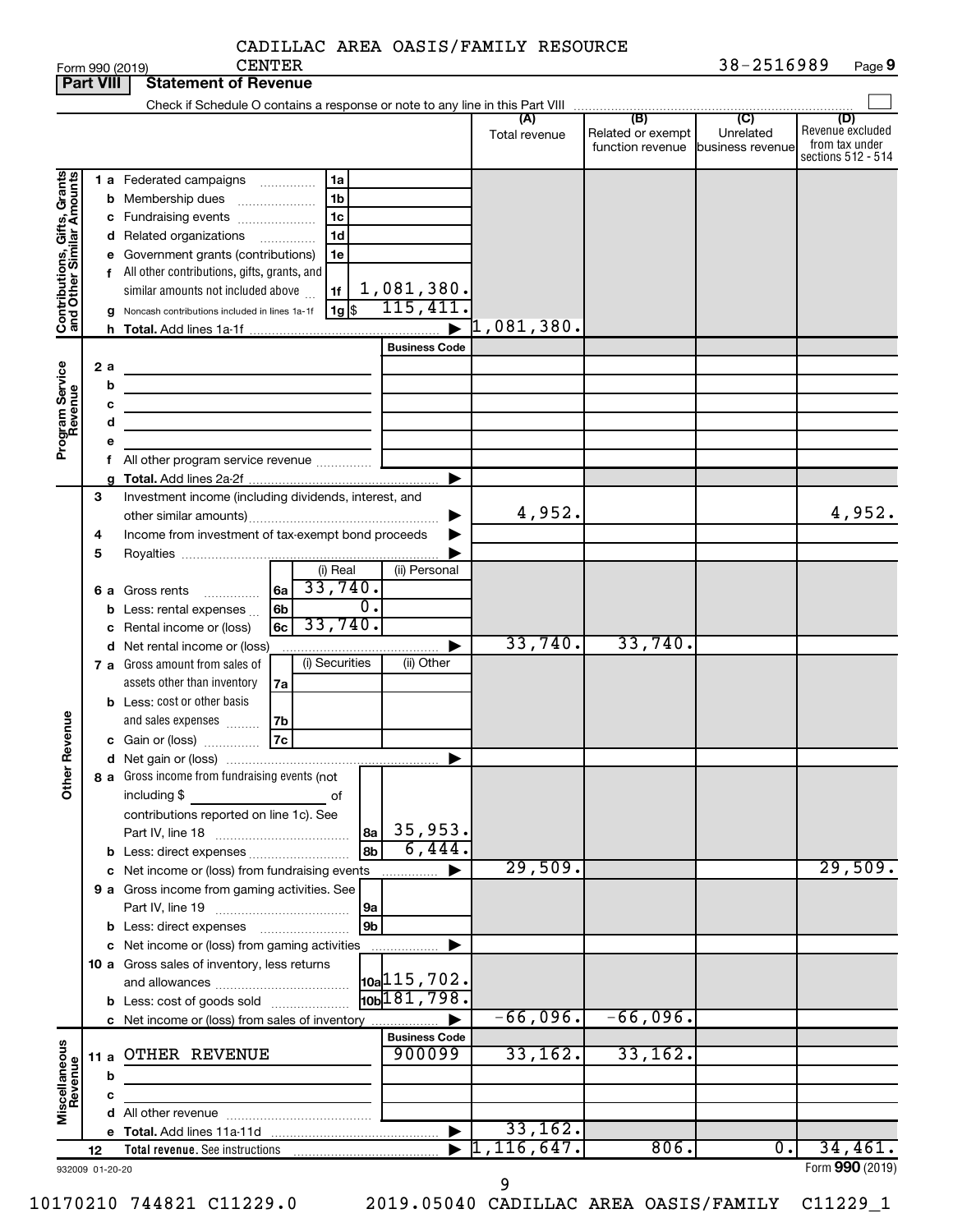| CADILLAC AREA OASIS/FAMILY RESOURCE |  |
|-------------------------------------|--|
|-------------------------------------|--|

|                                                           | <b>Part VIII</b> | <b>Statement of Revenue</b>                                                                                                                                                              |                          |                      |                                                                 |                             |                                                                 |
|-----------------------------------------------------------|------------------|------------------------------------------------------------------------------------------------------------------------------------------------------------------------------------------|--------------------------|----------------------|-----------------------------------------------------------------|-----------------------------|-----------------------------------------------------------------|
|                                                           |                  | Check if Schedule O contains a response or note to any line in this Part VIII                                                                                                            |                          |                      |                                                                 |                             |                                                                 |
|                                                           |                  |                                                                                                                                                                                          |                          | (A)<br>Total revenue | (B)<br>Related or exempt<br>function revenue   business revenue | $\overline{C}$<br>Unrelated | (D)<br>Revenue excluded<br>from tax under<br>sections 512 - 514 |
|                                                           | b                | 1a<br>1 a Federated campaigns<br>1 <sub>b</sub><br>Membership dues<br>$\ldots \ldots \ldots \ldots \ldots$<br>1 <sub>c</sub><br>c Fundraising events                                     |                          |                      |                                                                 |                             |                                                                 |
| Contributions, Gifts, Grants<br>and Other Similar Amounts |                  | 1 <sub>d</sub><br>d Related organizations<br>.<br>e Government grants (contributions)<br>1e<br>f All other contributions, gifts, grants, and<br>similar amounts not included above<br>1f | $1,081,380$ .            |                      |                                                                 |                             |                                                                 |
|                                                           |                  | $1g\sqrt{s}$<br>Noncash contributions included in lines 1a-1f                                                                                                                            | 115,411.                 | $\rceil$ 1,081,380.  |                                                                 |                             |                                                                 |
|                                                           |                  |                                                                                                                                                                                          | <b>Business Code</b>     |                      |                                                                 |                             |                                                                 |
|                                                           | 2 a              |                                                                                                                                                                                          |                          |                      |                                                                 |                             |                                                                 |
|                                                           | b                |                                                                                                                                                                                          |                          |                      |                                                                 |                             |                                                                 |
|                                                           | с                | <u> 1980 - Johann Barbara, martin amerikan basar dan berasal dan berasal dalam basar dalam basar dalam basar dala</u>                                                                    |                          |                      |                                                                 |                             |                                                                 |
|                                                           | d                | the control of the control of the control of the control of                                                                                                                              |                          |                      |                                                                 |                             |                                                                 |
| Program Service<br>Revenue                                | е                |                                                                                                                                                                                          |                          |                      |                                                                 |                             |                                                                 |
|                                                           |                  |                                                                                                                                                                                          |                          |                      |                                                                 |                             |                                                                 |
|                                                           |                  |                                                                                                                                                                                          |                          |                      |                                                                 |                             |                                                                 |
|                                                           | 3                | Investment income (including dividends, interest, and                                                                                                                                    |                          |                      |                                                                 |                             |                                                                 |
|                                                           |                  |                                                                                                                                                                                          |                          | 4,952.               |                                                                 |                             | 4,952.                                                          |
|                                                           | 4                | Income from investment of tax-exempt bond proceeds                                                                                                                                       |                          |                      |                                                                 |                             |                                                                 |
|                                                           | 5                |                                                                                                                                                                                          |                          |                      |                                                                 |                             |                                                                 |
|                                                           |                  | (i) Real<br>$ _{6a}$ 33,740.                                                                                                                                                             | (ii) Personal            |                      |                                                                 |                             |                                                                 |
|                                                           |                  | 6 a Gross rents<br>$\overline{0}$ .                                                                                                                                                      |                          |                      |                                                                 |                             |                                                                 |
|                                                           | b                | 6b<br>Less: rental expenses<br>33,740.                                                                                                                                                   |                          |                      |                                                                 |                             |                                                                 |
|                                                           |                  | 6c<br>c Rental income or (loss)                                                                                                                                                          |                          | 33,740.              | 33,740.                                                         |                             |                                                                 |
|                                                           |                  | d Net rental income or (loss)<br>(i) Securities<br>7 a Gross amount from sales of                                                                                                        | (ii) Other               |                      |                                                                 |                             |                                                                 |
|                                                           |                  | assets other than inventory<br>7a                                                                                                                                                        |                          |                      |                                                                 |                             |                                                                 |
|                                                           |                  | <b>b</b> Less: cost or other basis                                                                                                                                                       |                          |                      |                                                                 |                             |                                                                 |
|                                                           |                  | and sales expenses<br>7b                                                                                                                                                                 |                          |                      |                                                                 |                             |                                                                 |
| Revenue                                                   |                  |                                                                                                                                                                                          |                          |                      |                                                                 |                             |                                                                 |
|                                                           |                  |                                                                                                                                                                                          |                          |                      |                                                                 |                             |                                                                 |
|                                                           |                  | 8 a Gross income from fundraising events (not                                                                                                                                            |                          |                      |                                                                 |                             |                                                                 |
| $\check{\epsilon}$                                        |                  | including \$<br>оf<br>contributions reported on line 1c). See                                                                                                                            |                          |                      |                                                                 |                             |                                                                 |
|                                                           |                  | l 8a                                                                                                                                                                                     | 35,953.<br>6,444         |                      |                                                                 |                             |                                                                 |
|                                                           |                  | <b>8h</b><br><b>b</b> Less: direct expenses <i>mused</i> mused by Less: direct expenses                                                                                                  |                          | 29,509.              |                                                                 |                             | 29,509.                                                         |
|                                                           |                  | c Net income or (loss) from fundraising events                                                                                                                                           | .                        |                      |                                                                 |                             |                                                                 |
|                                                           |                  | 9 a Gross income from gaming activities. See                                                                                                                                             |                          |                      |                                                                 |                             |                                                                 |
|                                                           |                  | 9a<br>9 <sub>b</sub>                                                                                                                                                                     |                          |                      |                                                                 |                             |                                                                 |
|                                                           |                  | c Net income or (loss) from gaming activities                                                                                                                                            |                          |                      |                                                                 |                             |                                                                 |
|                                                           |                  | 10 a Gross sales of inventory, less returns                                                                                                                                              | .                        |                      |                                                                 |                             |                                                                 |
|                                                           |                  |                                                                                                                                                                                          | $ $ 10a $ 115$ , $702$ . |                      |                                                                 |                             |                                                                 |
|                                                           |                  | <b>b</b> Less: cost of goods sold                                                                                                                                                        | 10 <sub>b</sub> 181,798. |                      |                                                                 |                             |                                                                 |
|                                                           |                  | c Net income or (loss) from sales of inventory                                                                                                                                           |                          | $-66,096.$           | $-66,096.$                                                      |                             |                                                                 |
|                                                           |                  |                                                                                                                                                                                          | <b>Business Code</b>     |                      |                                                                 |                             |                                                                 |
|                                                           |                  | 11 a OTHER REVENUE                                                                                                                                                                       | 900099                   | 33,162.              | 33,162.                                                         |                             |                                                                 |
|                                                           | b                |                                                                                                                                                                                          |                          |                      |                                                                 |                             |                                                                 |
|                                                           | с                |                                                                                                                                                                                          |                          |                      |                                                                 |                             |                                                                 |
| Miscellaneous<br>Revenue                                  |                  |                                                                                                                                                                                          |                          |                      |                                                                 |                             |                                                                 |
|                                                           |                  |                                                                                                                                                                                          | ▶                        | 33, 162.             |                                                                 |                             |                                                                 |
|                                                           | 12               |                                                                                                                                                                                          |                          | ,116,647.            | 806.                                                            | 0.                          | 34,461.                                                         |
|                                                           | 932009 01-20-20  |                                                                                                                                                                                          |                          |                      |                                                                 |                             | Form 990 (2019)                                                 |

9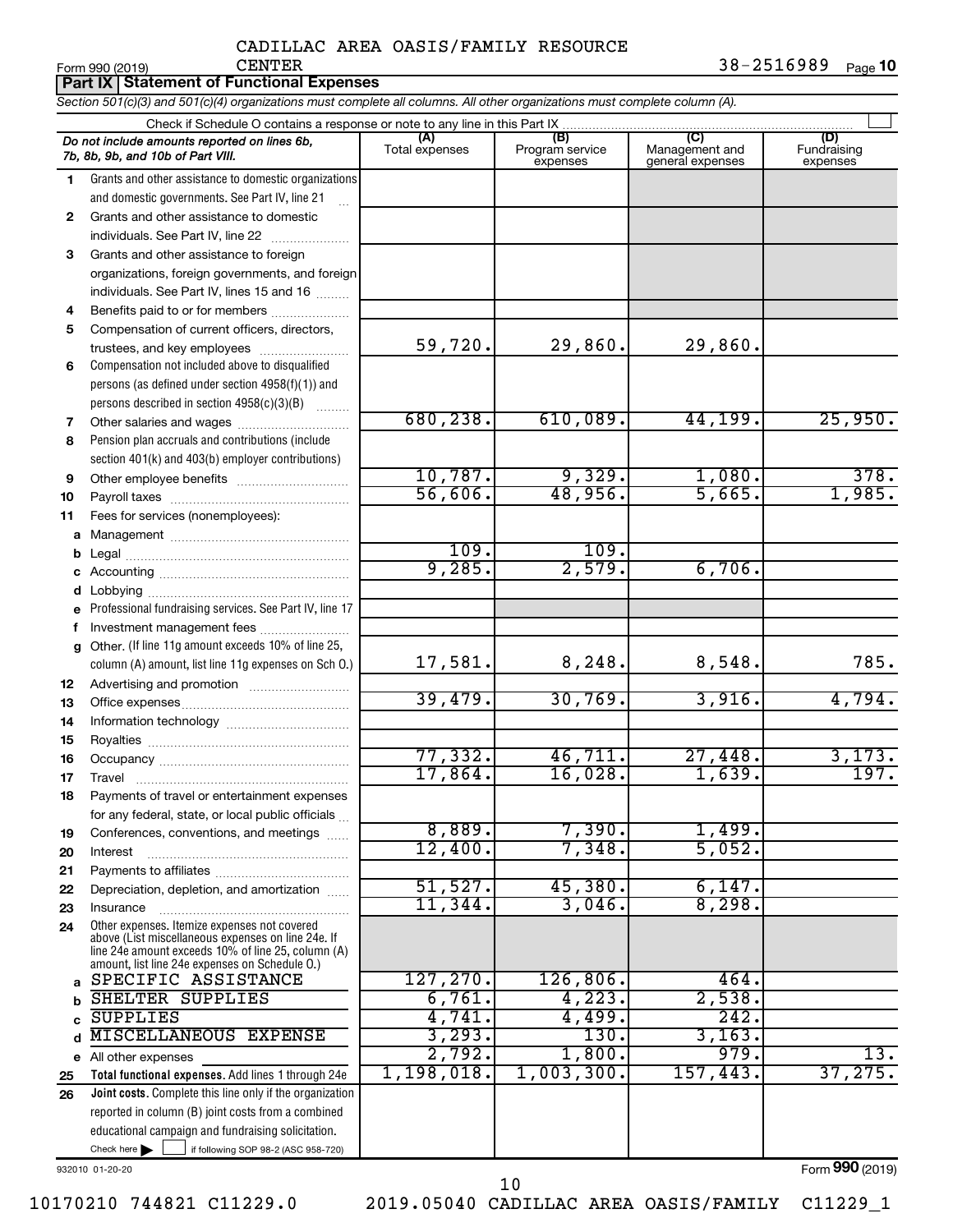Form 990 (2019) CENTER 5 8-Z 5 L 6 9 8 9 Page 38-2516989 Page 10 CENTER 38-2516989

|              | <b>Part IX   Statement of Functional Expenses</b>                                                                          |                       |                                    |                                           |                                |
|--------------|----------------------------------------------------------------------------------------------------------------------------|-----------------------|------------------------------------|-------------------------------------------|--------------------------------|
|              | Section 501(c)(3) and 501(c)(4) organizations must complete all columns. All other organizations must complete column (A). |                       |                                    |                                           |                                |
|              | Check if Schedule O contains a response or note to any line in this Part IX                                                |                       |                                    |                                           |                                |
|              | Do not include amounts reported on lines 6b,<br>7b, 8b, 9b, and 10b of Part VIII.                                          | (A)<br>Total expenses | (B)<br>Program service<br>expenses | (C)<br>Management and<br>general expenses | (D)<br>Fundraising<br>expenses |
| 1.           | Grants and other assistance to domestic organizations                                                                      |                       |                                    |                                           |                                |
|              | and domestic governments. See Part IV, line 21                                                                             |                       |                                    |                                           |                                |
| $\mathbf{2}$ | Grants and other assistance to domestic                                                                                    |                       |                                    |                                           |                                |
|              | individuals. See Part IV, line 22<br>$\mathcal{L} = \{1, 2, \ldots, n\}$                                                   |                       |                                    |                                           |                                |
| 3            | Grants and other assistance to foreign                                                                                     |                       |                                    |                                           |                                |
|              | organizations, foreign governments, and foreign                                                                            |                       |                                    |                                           |                                |
|              | individuals. See Part IV, lines 15 and 16                                                                                  |                       |                                    |                                           |                                |
| 4            | Benefits paid to or for members                                                                                            |                       |                                    |                                           |                                |
| 5            | Compensation of current officers, directors,                                                                               |                       |                                    |                                           |                                |
|              |                                                                                                                            | 59,720.               | 29,860.                            | 29,860.                                   |                                |
| 6            | Compensation not included above to disqualified                                                                            |                       |                                    |                                           |                                |
|              | persons (as defined under section 4958(f)(1)) and                                                                          |                       |                                    |                                           |                                |
|              | persons described in section 4958(c)(3)(B)                                                                                 | 680, 238.             | 610,089.                           | 44,199.                                   | 25,950.                        |
| 7<br>8       | Other salaries and wages<br>Pension plan accruals and contributions (include                                               |                       |                                    |                                           |                                |
|              | section 401(k) and 403(b) employer contributions)                                                                          |                       |                                    |                                           |                                |
| 9            |                                                                                                                            | 10,787.               | 9,329.                             | 1,080.                                    | 378.                           |
| 10           |                                                                                                                            | 56,606.               | 48,956.                            | 5,665.                                    | 1,985.                         |
| 11           | Fees for services (nonemployees):                                                                                          |                       |                                    |                                           |                                |
| а            |                                                                                                                            |                       |                                    |                                           |                                |
| b            |                                                                                                                            | 109.                  | 109.                               |                                           |                                |
|              |                                                                                                                            | 9,285.                | 2,579.                             | 6,706.                                    |                                |
| d            |                                                                                                                            |                       |                                    |                                           |                                |
|              | Professional fundraising services. See Part IV, line 17                                                                    |                       |                                    |                                           |                                |
| f            | Investment management fees                                                                                                 |                       |                                    |                                           |                                |
| a            | Other. (If line 11g amount exceeds 10% of line 25,                                                                         |                       |                                    |                                           |                                |
|              | column (A) amount, list line 11g expenses on Sch O.)                                                                       | 17,581.               | 8,248.                             | 8,548.                                    | 785.                           |
| 12           |                                                                                                                            |                       |                                    |                                           |                                |
| 13           |                                                                                                                            | 39,479.               | 30,769.                            | 3,916.                                    | 4,794.                         |
| 14           |                                                                                                                            |                       |                                    |                                           |                                |
| 15           |                                                                                                                            |                       |                                    |                                           |                                |
| 16           |                                                                                                                            | 77,332.               | 46,711.                            | 27,448.                                   | 3,173.                         |
| 17           | Travel                                                                                                                     | 17,864.               | 16,028.                            | 1,639.                                    | 197.                           |
| 18           | Payments of travel or entertainment expenses                                                                               |                       |                                    |                                           |                                |
|              | for any federal, state, or local public officials                                                                          | 8,889.                | 7,390.                             | 1,499.                                    |                                |
| 19           | Conferences, conventions, and meetings                                                                                     | 12,400.               | 7,348.                             | 5,052.                                    |                                |
| 20<br>21     | Interest                                                                                                                   |                       |                                    |                                           |                                |
| 22           | Depreciation, depletion, and amortization                                                                                  | 51,527.               | 45,380.                            | 6,147.                                    |                                |
| 23           | Insurance                                                                                                                  | 11,344.               | 3,046.                             | 8,298.                                    |                                |
| 24           | Other expenses. Itemize expenses not covered                                                                               |                       |                                    |                                           |                                |
|              | above (List miscellaneous expenses on line 24e. If<br>line 24e amount exceeds 10% of line 25, column (A)                   |                       |                                    |                                           |                                |
|              | amount, list line 24e expenses on Schedule 0.)                                                                             |                       |                                    |                                           |                                |
| a            | SPECIFIC ASSISTANCE                                                                                                        | 127, 270.             | 126,806.                           | 464.                                      |                                |
| b            | SHELTER SUPPLIES                                                                                                           | 6,761.                | 4,223.                             | 2,538.                                    |                                |
| C            | <b>SUPPLIES</b>                                                                                                            | 4,741.                | 4,499.                             | 242.                                      |                                |
| d            | <b>MISCELLANEOUS EXPENSE</b>                                                                                               | 3,293.                | 130.                               | 3,163.                                    |                                |
|              | e All other expenses                                                                                                       | 2,792.                | 1,800.                             | 979.                                      | 13.                            |
| 25           | Total functional expenses. Add lines 1 through 24e                                                                         | 1,198,018.            | 1,003,300.                         | 157,443.                                  | 37, 275.                       |
| 26           | Joint costs. Complete this line only if the organization                                                                   |                       |                                    |                                           |                                |
|              | reported in column (B) joint costs from a combined                                                                         |                       |                                    |                                           |                                |
|              | educational campaign and fundraising solicitation.                                                                         |                       |                                    |                                           |                                |
|              | Check here<br>if following SOP 98-2 (ASC 958-720)<br>932010 01-20-20                                                       |                       |                                    |                                           | Form 990 (2019)                |
|              |                                                                                                                            |                       |                                    |                                           |                                |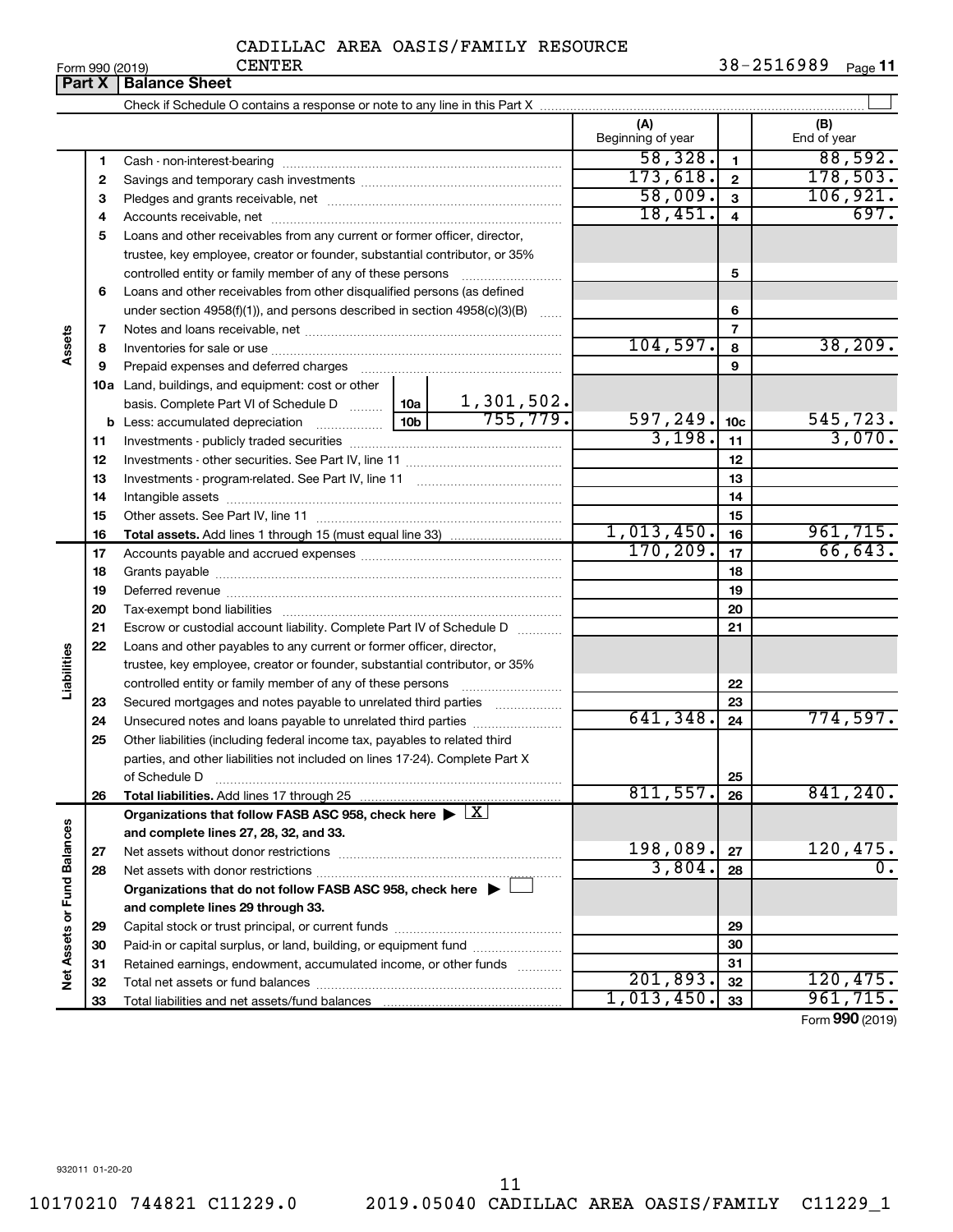| Form 990 (2019 |  |  |
|----------------|--|--|

|                             |    | <b>Part X   Balance Sheet</b>                                                                                                                        |                 |                               |                          |                         |                    |
|-----------------------------|----|------------------------------------------------------------------------------------------------------------------------------------------------------|-----------------|-------------------------------|--------------------------|-------------------------|--------------------|
|                             |    |                                                                                                                                                      |                 |                               |                          |                         |                    |
|                             |    |                                                                                                                                                      |                 |                               | (A)<br>Beginning of year |                         | (B)<br>End of year |
|                             | 1  |                                                                                                                                                      |                 |                               | 58,328.                  | $\mathbf{1}$            | 88,592.            |
|                             | 2  |                                                                                                                                                      |                 |                               | 173,618.                 | $\mathbf{2}$            | 178,503.           |
|                             | з  |                                                                                                                                                      | 58,009.         | $\mathbf{3}$                  | 106, 921.                |                         |                    |
|                             | 4  |                                                                                                                                                      |                 |                               | 18,451.                  | $\overline{\mathbf{4}}$ | 697.               |
|                             | 5  | Loans and other receivables from any current or former officer, director,                                                                            |                 |                               |                          |                         |                    |
|                             |    | trustee, key employee, creator or founder, substantial contributor, or 35%                                                                           |                 |                               |                          |                         |                    |
|                             |    | controlled entity or family member of any of these persons                                                                                           |                 |                               |                          | 5                       |                    |
|                             | 6  | Loans and other receivables from other disqualified persons (as defined                                                                              |                 |                               |                          |                         |                    |
|                             |    | under section $4958(f)(1)$ , and persons described in section $4958(c)(3)(B)$                                                                        |                 | $\ldots$                      |                          | 6                       |                    |
|                             | 7  |                                                                                                                                                      |                 |                               |                          | 7                       |                    |
| Assets                      | 8  |                                                                                                                                                      |                 |                               | 104,597.                 | 8                       | 38, 209.           |
|                             | 9  | Prepaid expenses and deferred charges                                                                                                                |                 |                               |                          | 9                       |                    |
|                             |    | 10a Land, buildings, and equipment: cost or other                                                                                                    |                 |                               |                          |                         |                    |
|                             |    | basis. Complete Part VI of Schedule D  10a                                                                                                           |                 | $\frac{1,301,502.}{755,779.}$ |                          |                         |                    |
|                             | b  |                                                                                                                                                      | 10 <sub>b</sub> |                               | 597, 249.                | 10 <sub>c</sub>         | 545,723.           |
|                             | 11 |                                                                                                                                                      |                 |                               | 3,198.                   | 11                      | 3,070.             |
|                             | 12 |                                                                                                                                                      |                 |                               |                          | 12                      |                    |
|                             | 13 |                                                                                                                                                      |                 |                               |                          | 13                      |                    |
|                             | 14 |                                                                                                                                                      |                 | 14                            |                          |                         |                    |
|                             | 15 |                                                                                                                                                      |                 | 15                            |                          |                         |                    |
|                             | 16 |                                                                                                                                                      |                 |                               | 1,013,450.               | 16                      | 961, 715.          |
|                             | 17 |                                                                                                                                                      | 170, 209.       | 17                            | 66,643.                  |                         |                    |
|                             | 18 |                                                                                                                                                      |                 |                               |                          | 18                      |                    |
|                             | 19 |                                                                                                                                                      |                 |                               |                          | 19                      |                    |
|                             | 20 |                                                                                                                                                      |                 |                               |                          | 20                      |                    |
|                             | 21 | Escrow or custodial account liability. Complete Part IV of Schedule D                                                                                |                 |                               |                          | 21                      |                    |
| Liabilities                 | 22 | Loans and other payables to any current or former officer, director,                                                                                 |                 |                               |                          |                         |                    |
|                             |    | trustee, key employee, creator or founder, substantial contributor, or 35%                                                                           |                 |                               |                          |                         |                    |
|                             |    |                                                                                                                                                      |                 |                               |                          | 22                      |                    |
|                             | 23 | Secured mortgages and notes payable to unrelated third parties                                                                                       |                 |                               | 641,348.                 | 23                      | 774,597.           |
|                             | 24 | Unsecured notes and loans payable to unrelated third parties                                                                                         |                 |                               |                          | 24                      |                    |
|                             | 25 | Other liabilities (including federal income tax, payables to related third                                                                           |                 |                               |                          |                         |                    |
|                             |    | parties, and other liabilities not included on lines 17-24). Complete Part X                                                                         |                 |                               |                          |                         |                    |
|                             |    | of Schedule D                                                                                                                                        |                 |                               | 811,557.                 | 25                      | 841, 240.          |
|                             | 26 | Total liabilities. Add lines 17 through 25<br>Organizations that follow FASB ASC 958, check here $\blacktriangleright \lfloor \underline{X} \rfloor$ |                 |                               |                          | 26                      |                    |
|                             |    | and complete lines 27, 28, 32, and 33.                                                                                                               |                 |                               |                          |                         |                    |
|                             | 27 |                                                                                                                                                      |                 |                               | 198,089.                 | 27                      | 120,475.           |
|                             | 28 |                                                                                                                                                      |                 |                               | 3,804.                   | 28                      | о.                 |
|                             |    | Organizations that do not follow FASB ASC 958, check here $\blacktriangleright$                                                                      |                 |                               |                          |                         |                    |
|                             |    | and complete lines 29 through 33.                                                                                                                    |                 |                               |                          |                         |                    |
|                             | 29 |                                                                                                                                                      |                 |                               |                          | 29                      |                    |
| Net Assets or Fund Balances | 30 | Paid-in or capital surplus, or land, building, or equipment fund                                                                                     |                 |                               |                          | 30                      |                    |
|                             | 31 | Retained earnings, endowment, accumulated income, or other funds                                                                                     |                 |                               |                          | 31                      |                    |
|                             | 32 |                                                                                                                                                      |                 |                               | 201,893.                 | 32                      | 120,475.           |
|                             | 33 |                                                                                                                                                      |                 |                               | 1,013,450.               | 33                      | 961, 715.          |
|                             |    |                                                                                                                                                      |                 |                               |                          |                         |                    |

Form (2019) **990**

932011 01-20-20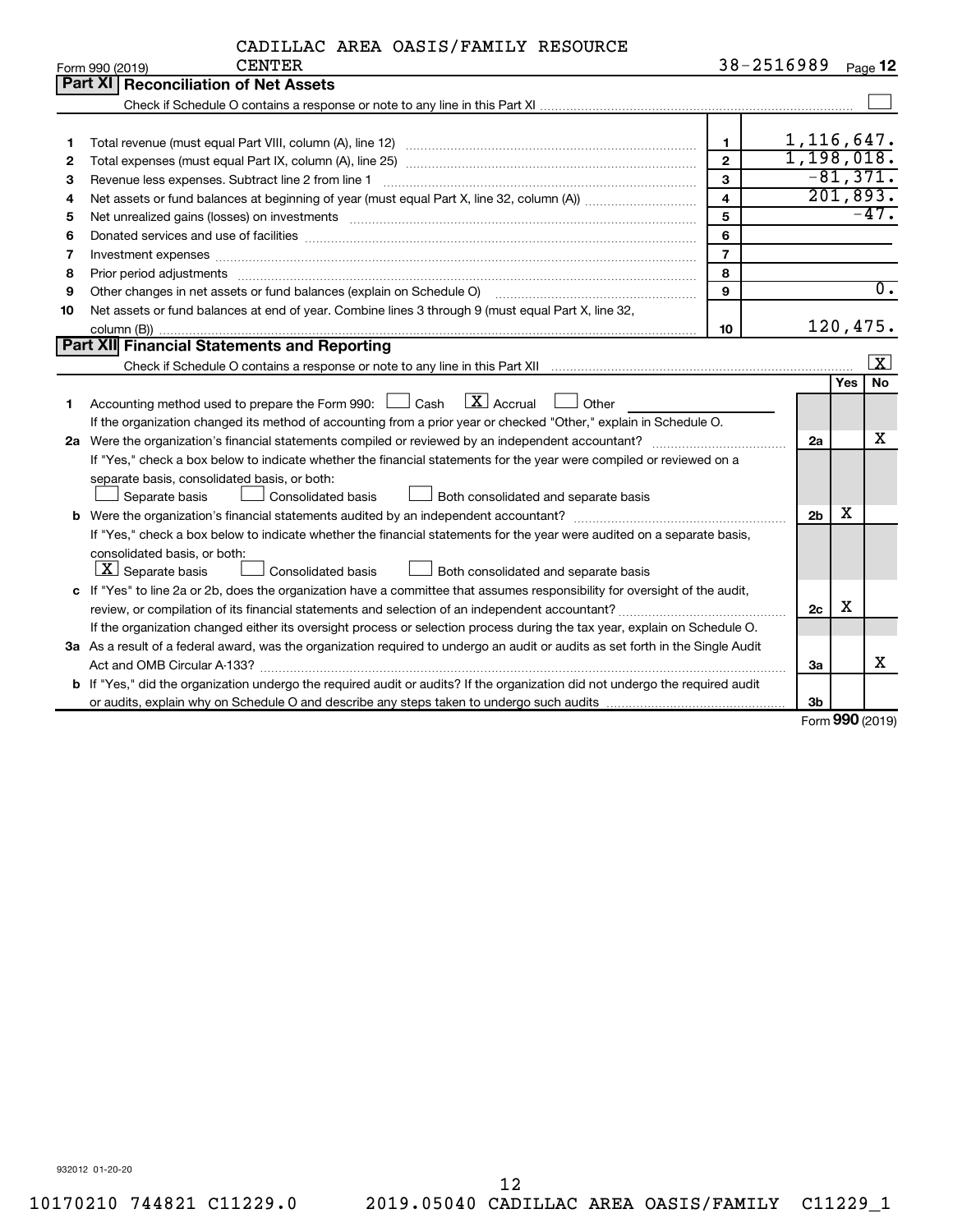| CADILLAC AREA OASIS/FAMILY RESOURCE |  |  |  |
|-------------------------------------|--|--|--|
|-------------------------------------|--|--|--|

|    | <b>CENTER</b><br>Form 990 (2019)                                                                                                                                                                                               |                | 38-2516989     |            | Page 12                 |
|----|--------------------------------------------------------------------------------------------------------------------------------------------------------------------------------------------------------------------------------|----------------|----------------|------------|-------------------------|
|    | Part XI<br><b>Reconciliation of Net Assets</b>                                                                                                                                                                                 |                |                |            |                         |
|    |                                                                                                                                                                                                                                |                |                |            |                         |
|    |                                                                                                                                                                                                                                |                |                |            |                         |
| 1  |                                                                                                                                                                                                                                | $\blacksquare$ | 1,116,647.     |            |                         |
| 2  |                                                                                                                                                                                                                                | $\mathfrak{p}$ | 1,198,018.     |            |                         |
| З  | Revenue less expenses. Subtract line 2 from line 1                                                                                                                                                                             | $\mathbf{3}$   |                |            | $-81,371.$              |
| 4  |                                                                                                                                                                                                                                | $\overline{4}$ |                |            | 201,893.                |
| 5  |                                                                                                                                                                                                                                | 5              |                |            | $-47.$                  |
| 6  |                                                                                                                                                                                                                                | 6              |                |            |                         |
| 7  | Investment expenses [[11] https://www.facebook.com/www.facebook.com/www.facebook.com/www.facebook.com/www.facebook.com/www.facebook.com/www.facebook.com/www.facebook.com/www.facebook.com/www.facebook.com/www.facebook.com/w | $\overline{7}$ |                |            |                         |
| 8  |                                                                                                                                                                                                                                | 8              |                |            |                         |
| 9  | Other changes in net assets or fund balances (explain on Schedule O)                                                                                                                                                           | $\mathbf{Q}$   |                |            | $\overline{0}$ .        |
| 10 | Net assets or fund balances at end of year. Combine lines 3 through 9 (must equal Part X, line 32,                                                                                                                             |                |                |            |                         |
|    |                                                                                                                                                                                                                                | 10             |                |            | 120,475.                |
|    | Part XII Financial Statements and Reporting                                                                                                                                                                                    |                |                |            |                         |
|    |                                                                                                                                                                                                                                |                |                |            | $\overline{\mathbf{x}}$ |
|    |                                                                                                                                                                                                                                |                |                | <b>Yes</b> | <b>No</b>               |
| 1  | Accounting method used to prepare the Form 990: $\Box$ Cash $\Box X$ Accrual<br>Other                                                                                                                                          |                |                |            |                         |
|    | If the organization changed its method of accounting from a prior year or checked "Other," explain in Schedule O.                                                                                                              |                |                |            |                         |
|    | 2a Were the organization's financial statements compiled or reviewed by an independent accountant?                                                                                                                             |                | 2a             |            | x                       |
|    | If "Yes," check a box below to indicate whether the financial statements for the year were compiled or reviewed on a                                                                                                           |                |                |            |                         |
|    | separate basis, consolidated basis, or both:                                                                                                                                                                                   |                |                |            |                         |
|    | Separate basis<br><b>Consolidated basis</b><br>Both consolidated and separate basis                                                                                                                                            |                |                |            |                         |
|    |                                                                                                                                                                                                                                |                | 2 <sub>b</sub> | х          |                         |
|    | If "Yes," check a box below to indicate whether the financial statements for the year were audited on a separate basis,                                                                                                        |                |                |            |                         |
|    | consolidated basis, or both:                                                                                                                                                                                                   |                |                |            |                         |
|    | $ \mathbf{X} $ Separate basis<br>Consolidated basis<br>Both consolidated and separate basis                                                                                                                                    |                |                |            |                         |
|    | c If "Yes" to line 2a or 2b, does the organization have a committee that assumes responsibility for oversight of the audit,                                                                                                    |                |                |            |                         |
|    |                                                                                                                                                                                                                                |                | 2c             | x          |                         |
|    | If the organization changed either its oversight process or selection process during the tax year, explain on Schedule O.                                                                                                      |                |                |            |                         |
|    | 3a As a result of a federal award, was the organization required to undergo an audit or audits as set forth in the Single Audit                                                                                                |                |                |            |                         |
|    |                                                                                                                                                                                                                                |                | За             |            | x                       |
|    | b If "Yes," did the organization undergo the required audit or audits? If the organization did not undergo the required audit                                                                                                  |                |                |            |                         |
|    |                                                                                                                                                                                                                                |                | 3b             |            |                         |

Form (2019) **990**

932012 01-20-20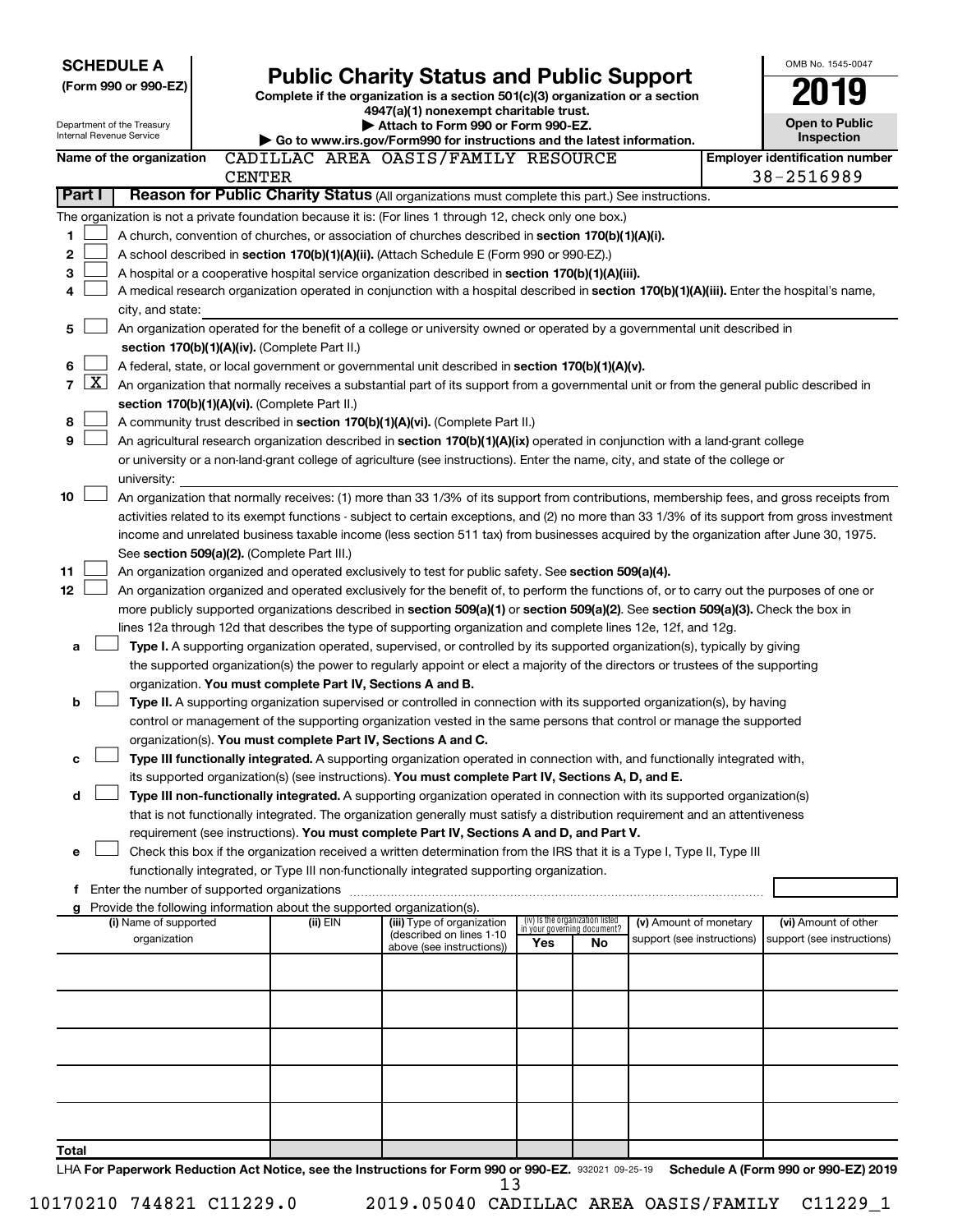| <b>SCHEDULE A</b>                                      |               |                                                                                                                         |                                                                                                                                               |     |                                   |                            |  | OMB No. 1545-0047                     |
|--------------------------------------------------------|---------------|-------------------------------------------------------------------------------------------------------------------------|-----------------------------------------------------------------------------------------------------------------------------------------------|-----|-----------------------------------|----------------------------|--|---------------------------------------|
| (Form 990 or 990-EZ)                                   |               |                                                                                                                         | <b>Public Charity Status and Public Support</b>                                                                                               |     |                                   |                            |  |                                       |
|                                                        |               | Complete if the organization is a section 501(c)(3) organization or a section<br>4947(a)(1) nonexempt charitable trust. |                                                                                                                                               |     |                                   |                            |  |                                       |
| Department of the Treasury<br>Internal Revenue Service |               |                                                                                                                         | Attach to Form 990 or Form 990-EZ.                                                                                                            |     |                                   |                            |  | <b>Open to Public</b><br>Inspection   |
|                                                        |               |                                                                                                                         | Go to www.irs.gov/Form990 for instructions and the latest information.                                                                        |     |                                   |                            |  | <b>Employer identification number</b> |
| Name of the organization                               | <b>CENTER</b> |                                                                                                                         | CADILLAC AREA OASIS/FAMILY RESOURCE                                                                                                           |     |                                   |                            |  | 38-2516989                            |
| Part I                                                 |               |                                                                                                                         | Reason for Public Charity Status (All organizations must complete this part.) See instructions.                                               |     |                                   |                            |  |                                       |
|                                                        |               |                                                                                                                         | The organization is not a private foundation because it is: (For lines 1 through 12, check only one box.)                                     |     |                                   |                            |  |                                       |
| 1                                                      |               |                                                                                                                         | A church, convention of churches, or association of churches described in section 170(b)(1)(A)(i).                                            |     |                                   |                            |  |                                       |
| 2                                                      |               |                                                                                                                         | A school described in section 170(b)(1)(A)(ii). (Attach Schedule E (Form 990 or 990-EZ).)                                                     |     |                                   |                            |  |                                       |
| 3                                                      |               |                                                                                                                         | A hospital or a cooperative hospital service organization described in section 170(b)(1)(A)(iii).                                             |     |                                   |                            |  |                                       |
| 4                                                      |               |                                                                                                                         | A medical research organization operated in conjunction with a hospital described in section 170(b)(1)(A)(iii). Enter the hospital's name,    |     |                                   |                            |  |                                       |
| city, and state:                                       |               |                                                                                                                         |                                                                                                                                               |     |                                   |                            |  |                                       |
| 5                                                      |               |                                                                                                                         | An organization operated for the benefit of a college or university owned or operated by a governmental unit described in                     |     |                                   |                            |  |                                       |
|                                                        |               | section 170(b)(1)(A)(iv). (Complete Part II.)                                                                           |                                                                                                                                               |     |                                   |                            |  |                                       |
| 6                                                      |               |                                                                                                                         | A federal, state, or local government or governmental unit described in section 170(b)(1)(A)(v).                                              |     |                                   |                            |  |                                       |
| $\lfloor x \rfloor$<br>$\overline{7}$                  |               |                                                                                                                         | An organization that normally receives a substantial part of its support from a governmental unit or from the general public described in     |     |                                   |                            |  |                                       |
|                                                        |               | section 170(b)(1)(A)(vi). (Complete Part II.)                                                                           |                                                                                                                                               |     |                                   |                            |  |                                       |
| 8                                                      |               |                                                                                                                         | A community trust described in section 170(b)(1)(A)(vi). (Complete Part II.)                                                                  |     |                                   |                            |  |                                       |
| 9                                                      |               |                                                                                                                         | An agricultural research organization described in section 170(b)(1)(A)(ix) operated in conjunction with a land-grant college                 |     |                                   |                            |  |                                       |
| university:                                            |               |                                                                                                                         | or university or a non-land-grant college of agriculture (see instructions). Enter the name, city, and state of the college or                |     |                                   |                            |  |                                       |
| 10                                                     |               |                                                                                                                         | An organization that normally receives: (1) more than 33 1/3% of its support from contributions, membership fees, and gross receipts from     |     |                                   |                            |  |                                       |
|                                                        |               |                                                                                                                         | activities related to its exempt functions - subject to certain exceptions, and (2) no more than 33 1/3% of its support from gross investment |     |                                   |                            |  |                                       |
|                                                        |               |                                                                                                                         | income and unrelated business taxable income (less section 511 tax) from businesses acquired by the organization after June 30, 1975.         |     |                                   |                            |  |                                       |
|                                                        |               | See section 509(a)(2). (Complete Part III.)                                                                             |                                                                                                                                               |     |                                   |                            |  |                                       |
| 11                                                     |               |                                                                                                                         | An organization organized and operated exclusively to test for public safety. See section 509(a)(4).                                          |     |                                   |                            |  |                                       |
| 12 <sub>2</sub>                                        |               |                                                                                                                         | An organization organized and operated exclusively for the benefit of, to perform the functions of, or to carry out the purposes of one or    |     |                                   |                            |  |                                       |
|                                                        |               |                                                                                                                         | more publicly supported organizations described in section 509(a)(1) or section 509(a)(2). See section 509(a)(3). Check the box in            |     |                                   |                            |  |                                       |
|                                                        |               |                                                                                                                         | lines 12a through 12d that describes the type of supporting organization and complete lines 12e, 12f, and 12g.                                |     |                                   |                            |  |                                       |
| a                                                      |               |                                                                                                                         | Type I. A supporting organization operated, supervised, or controlled by its supported organization(s), typically by giving                   |     |                                   |                            |  |                                       |
|                                                        |               |                                                                                                                         | the supported organization(s) the power to regularly appoint or elect a majority of the directors or trustees of the supporting               |     |                                   |                            |  |                                       |
| b                                                      |               | organization. You must complete Part IV, Sections A and B.                                                              | Type II. A supporting organization supervised or controlled in connection with its supported organization(s), by having                       |     |                                   |                            |  |                                       |
|                                                        |               |                                                                                                                         | control or management of the supporting organization vested in the same persons that control or manage the supported                          |     |                                   |                            |  |                                       |
|                                                        |               |                                                                                                                         | organization(s). You must complete Part IV, Sections A and C.                                                                                 |     |                                   |                            |  |                                       |
| с                                                      |               |                                                                                                                         | Type III functionally integrated. A supporting organization operated in connection with, and functionally integrated with,                    |     |                                   |                            |  |                                       |
|                                                        |               |                                                                                                                         | its supported organization(s) (see instructions). You must complete Part IV, Sections A, D, and E.                                            |     |                                   |                            |  |                                       |
| d                                                      |               |                                                                                                                         | Type III non-functionally integrated. A supporting organization operated in connection with its supported organization(s)                     |     |                                   |                            |  |                                       |
|                                                        |               |                                                                                                                         | that is not functionally integrated. The organization generally must satisfy a distribution requirement and an attentiveness                  |     |                                   |                            |  |                                       |
|                                                        |               |                                                                                                                         | requirement (see instructions). You must complete Part IV, Sections A and D, and Part V.                                                      |     |                                   |                            |  |                                       |
| e                                                      |               |                                                                                                                         | Check this box if the organization received a written determination from the IRS that it is a Type I, Type II, Type III                       |     |                                   |                            |  |                                       |
|                                                        |               |                                                                                                                         | functionally integrated, or Type III non-functionally integrated supporting organization.                                                     |     |                                   |                            |  |                                       |
| f Enter the number of supported organizations          |               |                                                                                                                         |                                                                                                                                               |     |                                   |                            |  |                                       |
| g<br>(i) Name of supported                             |               | Provide the following information about the supported organization(s).<br>(ii) EIN                                      | (iii) Type of organization                                                                                                                    |     | (iv) Is the organization listed   | (v) Amount of monetary     |  | (vi) Amount of other                  |
| organization                                           |               |                                                                                                                         | (described on lines 1-10<br>above (see instructions))                                                                                         | Yes | in your governing document?<br>No | support (see instructions) |  | support (see instructions)            |
|                                                        |               |                                                                                                                         |                                                                                                                                               |     |                                   |                            |  |                                       |
|                                                        |               |                                                                                                                         |                                                                                                                                               |     |                                   |                            |  |                                       |
|                                                        |               |                                                                                                                         |                                                                                                                                               |     |                                   |                            |  |                                       |
|                                                        |               |                                                                                                                         |                                                                                                                                               |     |                                   |                            |  |                                       |
|                                                        |               |                                                                                                                         |                                                                                                                                               |     |                                   |                            |  |                                       |
|                                                        |               |                                                                                                                         |                                                                                                                                               |     |                                   |                            |  |                                       |
|                                                        |               |                                                                                                                         |                                                                                                                                               |     |                                   |                            |  |                                       |
|                                                        |               |                                                                                                                         |                                                                                                                                               |     |                                   |                            |  |                                       |
|                                                        |               |                                                                                                                         |                                                                                                                                               |     |                                   |                            |  |                                       |
| Total                                                  |               |                                                                                                                         |                                                                                                                                               |     |                                   |                            |  |                                       |
|                                                        |               |                                                                                                                         | LHA For Paperwork Reduction Act Notice, see the Instructions for Form 990 or 990-EZ. 932021 09-25-19                                          |     |                                   |                            |  | Schedule A (Form 990 or 990-EZ) 2019  |

|  |  |  | 10170210 744821 C11229.0 |  |
|--|--|--|--------------------------|--|
|  |  |  |                          |  |

13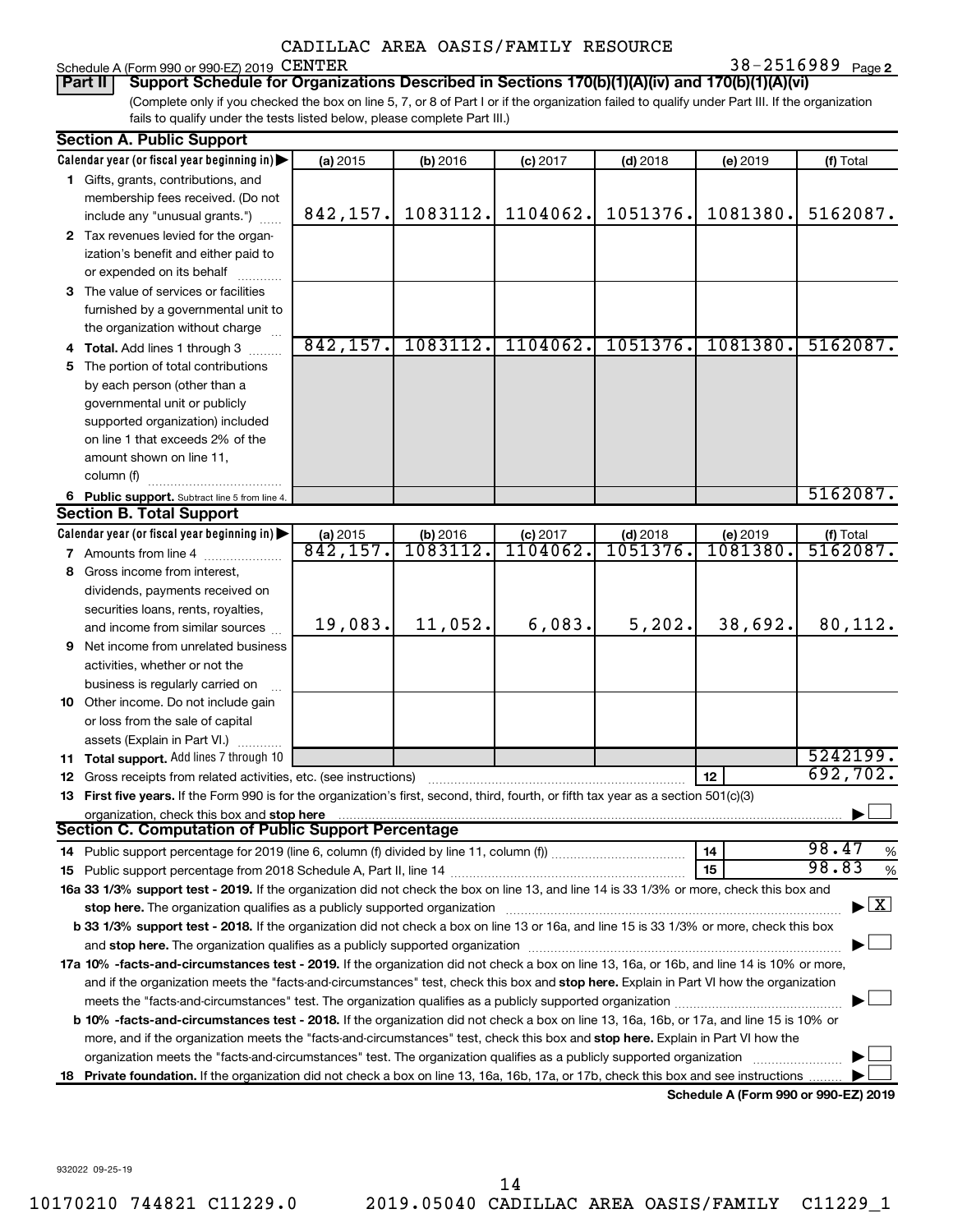# Schedule A (Form 990 or 990-EZ) 2019 CENTER<br>| Part II | Support Schedule for Organiz

**2** CENTER 38-2516989

(Complete only if you checked the box on line 5, 7, or 8 of Part I or if the organization failed to qualify under Part III. If the organization fails to qualify under the tests listed below, please complete Part III.) **Bupport Schedule for Organizations Described in Sections 170(b)(1)(A)(iv) and 170(b)(1)(A)(vi)** 

|    | <b>Section A. Public Support</b>                                                                                                                                                                                               |                        |          |            |            |                                      |                                    |
|----|--------------------------------------------------------------------------------------------------------------------------------------------------------------------------------------------------------------------------------|------------------------|----------|------------|------------|--------------------------------------|------------------------------------|
|    | Calendar year (or fiscal year beginning in)                                                                                                                                                                                    | (a) 2015               | (b) 2016 | $(c)$ 2017 | $(d)$ 2018 | (e) 2019                             | (f) Total                          |
|    | 1 Gifts, grants, contributions, and                                                                                                                                                                                            |                        |          |            |            |                                      |                                    |
|    | membership fees received. (Do not                                                                                                                                                                                              |                        |          |            |            |                                      |                                    |
|    | include any "unusual grants.")                                                                                                                                                                                                 | 842,157.               | 1083112. | 1104062.   | 1051376.   | 1081380.                             | 5162087.                           |
|    | 2 Tax revenues levied for the organ-                                                                                                                                                                                           |                        |          |            |            |                                      |                                    |
|    | ization's benefit and either paid to                                                                                                                                                                                           |                        |          |            |            |                                      |                                    |
|    | or expended on its behalf                                                                                                                                                                                                      |                        |          |            |            |                                      |                                    |
|    | 3 The value of services or facilities                                                                                                                                                                                          |                        |          |            |            |                                      |                                    |
|    | furnished by a governmental unit to                                                                                                                                                                                            |                        |          |            |            |                                      |                                    |
|    | the organization without charge                                                                                                                                                                                                |                        |          |            |            |                                      |                                    |
|    | 4 Total. Add lines 1 through 3                                                                                                                                                                                                 | 842, 157.              | 1083112. | 1104062.   | 1051376.   | 1081380.                             | 5162087.                           |
| 5. | The portion of total contributions                                                                                                                                                                                             |                        |          |            |            |                                      |                                    |
|    | by each person (other than a                                                                                                                                                                                                   |                        |          |            |            |                                      |                                    |
|    | governmental unit or publicly                                                                                                                                                                                                  |                        |          |            |            |                                      |                                    |
|    | supported organization) included                                                                                                                                                                                               |                        |          |            |            |                                      |                                    |
|    | on line 1 that exceeds 2% of the                                                                                                                                                                                               |                        |          |            |            |                                      |                                    |
|    | amount shown on line 11,                                                                                                                                                                                                       |                        |          |            |            |                                      |                                    |
|    | column (f)                                                                                                                                                                                                                     |                        |          |            |            |                                      |                                    |
|    | 6 Public support. Subtract line 5 from line 4.                                                                                                                                                                                 |                        |          |            |            |                                      | 5162087.                           |
|    | <b>Section B. Total Support</b>                                                                                                                                                                                                |                        |          |            |            |                                      |                                    |
|    | Calendar year (or fiscal year beginning in)                                                                                                                                                                                    | (a) 2015               | (b) 2016 | $(c)$ 2017 | $(d)$ 2018 | (e) 2019                             | (f) Total                          |
|    | 7 Amounts from line 4                                                                                                                                                                                                          | $\overline{842,157}$ . | 1083112. | II04062.   | 1051376    | 1081380.                             | 5162087.                           |
| 8  | Gross income from interest.                                                                                                                                                                                                    |                        |          |            |            |                                      |                                    |
|    | dividends, payments received on                                                                                                                                                                                                |                        |          |            |            |                                      |                                    |
|    | securities loans, rents, royalties,                                                                                                                                                                                            |                        |          |            |            |                                      |                                    |
|    | and income from similar sources                                                                                                                                                                                                | 19,083.                | 11,052.  | 6,083.     | 5,202.     | 38,692.                              | 80, 112.                           |
| 9. | Net income from unrelated business                                                                                                                                                                                             |                        |          |            |            |                                      |                                    |
|    | activities, whether or not the                                                                                                                                                                                                 |                        |          |            |            |                                      |                                    |
|    | business is regularly carried on                                                                                                                                                                                               |                        |          |            |            |                                      |                                    |
|    | 10 Other income. Do not include gain                                                                                                                                                                                           |                        |          |            |            |                                      |                                    |
|    | or loss from the sale of capital                                                                                                                                                                                               |                        |          |            |            |                                      |                                    |
|    | assets (Explain in Part VI.)                                                                                                                                                                                                   |                        |          |            |            |                                      |                                    |
|    | <b>11 Total support.</b> Add lines 7 through 10                                                                                                                                                                                |                        |          |            |            |                                      | 5242199.                           |
|    | <b>12</b> Gross receipts from related activities, etc. (see instructions)                                                                                                                                                      |                        |          |            |            | 12                                   | 692,702.                           |
|    | 13 First five years. If the Form 990 is for the organization's first, second, third, fourth, or fifth tax year as a section 501(c)(3)                                                                                          |                        |          |            |            |                                      |                                    |
|    | organization, check this box and stop here                                                                                                                                                                                     |                        |          |            |            |                                      |                                    |
|    | <b>Section C. Computation of Public Support Percentage</b>                                                                                                                                                                     |                        |          |            |            |                                      |                                    |
|    |                                                                                                                                                                                                                                |                        |          |            |            | 14                                   | 98.47<br>%                         |
|    |                                                                                                                                                                                                                                |                        |          |            |            | 15                                   | 98.83<br>%                         |
|    | 16a 33 1/3% support test - 2019. If the organization did not check the box on line 13, and line 14 is 33 1/3% or more, check this box and                                                                                      |                        |          |            |            |                                      |                                    |
|    | stop here. The organization qualifies as a publicly supported organization manufactured content and the content of the state of the state of the state of the state of the state of the state of the state of the state of the |                        |          |            |            |                                      | $\blacktriangleright$ $\mathbf{X}$ |
|    | b 33 1/3% support test - 2018. If the organization did not check a box on line 13 or 16a, and line 15 is 33 1/3% or more, check this box                                                                                       |                        |          |            |            |                                      |                                    |
|    |                                                                                                                                                                                                                                |                        |          |            |            |                                      |                                    |
|    | 17a 10% -facts-and-circumstances test - 2019. If the organization did not check a box on line 13, 16a, or 16b, and line 14 is 10% or more,                                                                                     |                        |          |            |            |                                      |                                    |
|    | and if the organization meets the "facts-and-circumstances" test, check this box and stop here. Explain in Part VI how the organization                                                                                        |                        |          |            |            |                                      |                                    |
|    |                                                                                                                                                                                                                                |                        |          |            |            |                                      |                                    |
|    | <b>b 10%</b> -facts-and-circumstances test - 2018. If the organization did not check a box on line 13, 16a, 16b, or 17a, and line 15 is 10% or                                                                                 |                        |          |            |            |                                      |                                    |
|    | more, and if the organization meets the "facts-and-circumstances" test, check this box and <b>stop here.</b> Explain in Part VI how the                                                                                        |                        |          |            |            |                                      |                                    |
|    | organization meets the "facts-and-circumstances" test. The organization qualifies as a publicly supported organization                                                                                                         |                        |          |            |            |                                      |                                    |
|    | 18 Private foundation. If the organization did not check a box on line 13, 16a, 16b, 17a, or 17b, check this box and see instructions.                                                                                         |                        |          |            |            |                                      |                                    |
|    |                                                                                                                                                                                                                                |                        |          |            |            | Schedule A (Form 990 or 990-F7) 2019 |                                    |

**Schedule A (Form 990 or 990-EZ) 2019**

932022 09-25-19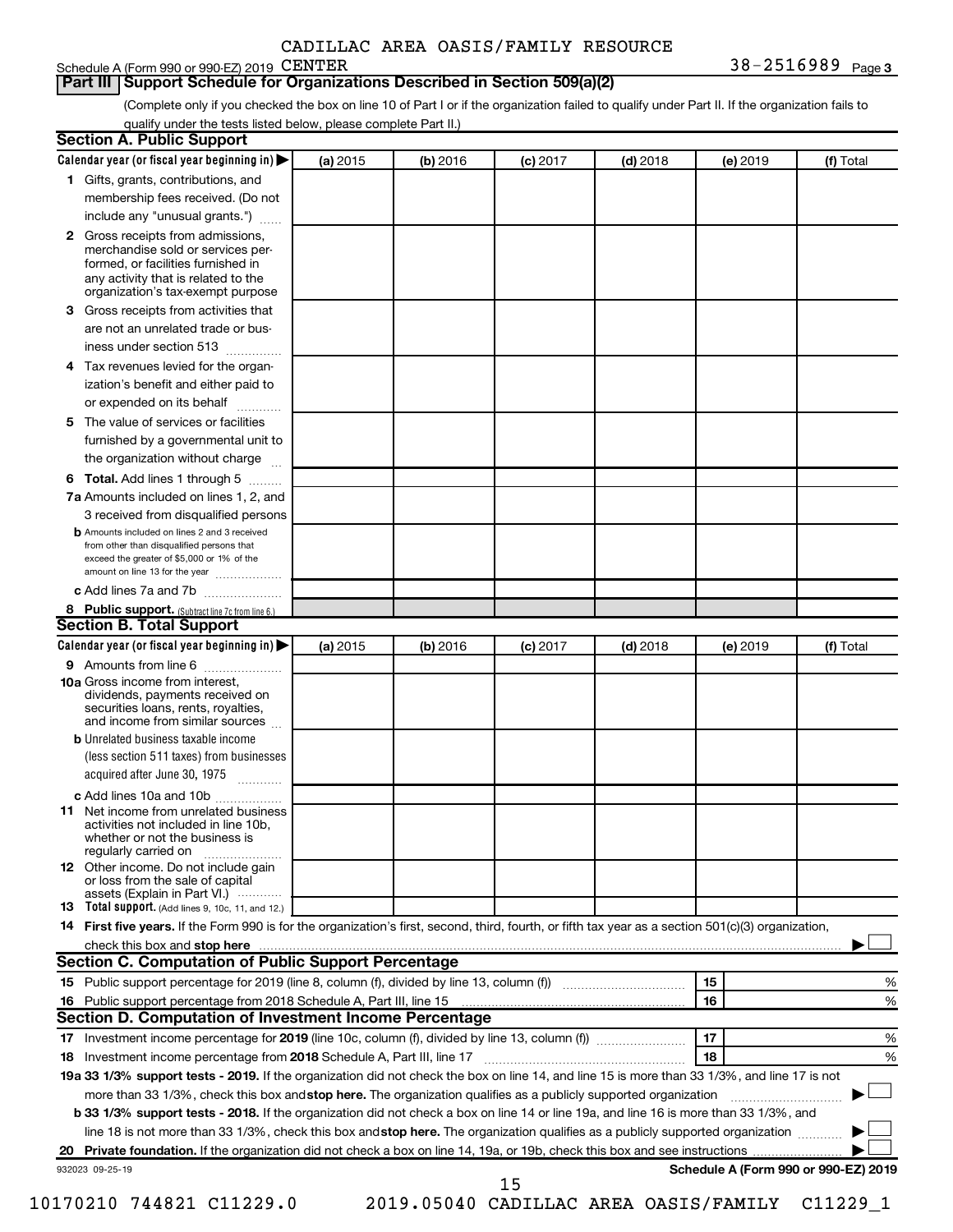#### Schedule A (Form 990 or 990-EZ) 2019 CENTER

#### **Part III Support Schedule for Organizations Described in Section 509(a)(2)**

(Complete only if you checked the box on line 10 of Part I or if the organization failed to qualify under Part II. If the organization fails to qualify under the tests listed below, please complete Part II.)

| <b>Section A. Public Support</b>                                                                                                                                                                |          |          |          |            |          |                                      |
|-------------------------------------------------------------------------------------------------------------------------------------------------------------------------------------------------|----------|----------|----------|------------|----------|--------------------------------------|
| Calendar year (or fiscal year beginning in)                                                                                                                                                     | (a) 2015 | (b) 2016 | (c) 2017 | $(d)$ 2018 | (e) 2019 | (f) Total                            |
| 1 Gifts, grants, contributions, and                                                                                                                                                             |          |          |          |            |          |                                      |
| membership fees received. (Do not                                                                                                                                                               |          |          |          |            |          |                                      |
| include any "unusual grants.")                                                                                                                                                                  |          |          |          |            |          |                                      |
| <b>2</b> Gross receipts from admissions,<br>merchandise sold or services per-<br>formed, or facilities furnished in<br>any activity that is related to the<br>organization's tax-exempt purpose |          |          |          |            |          |                                      |
| 3 Gross receipts from activities that                                                                                                                                                           |          |          |          |            |          |                                      |
| are not an unrelated trade or bus-<br>iness under section 513                                                                                                                                   |          |          |          |            |          |                                      |
| 4 Tax revenues levied for the organ-                                                                                                                                                            |          |          |          |            |          |                                      |
| ization's benefit and either paid to<br>or expended on its behalf<br>.                                                                                                                          |          |          |          |            |          |                                      |
| 5 The value of services or facilities                                                                                                                                                           |          |          |          |            |          |                                      |
| furnished by a governmental unit to                                                                                                                                                             |          |          |          |            |          |                                      |
| the organization without charge                                                                                                                                                                 |          |          |          |            |          |                                      |
| <b>6 Total.</b> Add lines 1 through 5                                                                                                                                                           |          |          |          |            |          |                                      |
| 7a Amounts included on lines 1, 2, and                                                                                                                                                          |          |          |          |            |          |                                      |
| 3 received from disqualified persons                                                                                                                                                            |          |          |          |            |          |                                      |
| <b>b</b> Amounts included on lines 2 and 3 received<br>from other than disqualified persons that<br>exceed the greater of \$5,000 or 1% of the<br>amount on line 13 for the year                |          |          |          |            |          |                                      |
| c Add lines 7a and 7b                                                                                                                                                                           |          |          |          |            |          |                                      |
| 8 Public support. (Subtract line 7c from line 6.)                                                                                                                                               |          |          |          |            |          |                                      |
| <b>Section B. Total Support</b>                                                                                                                                                                 |          |          |          |            |          |                                      |
| Calendar year (or fiscal year beginning in)                                                                                                                                                     | (a) 2015 | (b) 2016 | (c) 2017 | $(d)$ 2018 | (e) 2019 | (f) Total                            |
| <b>9</b> Amounts from line 6                                                                                                                                                                    |          |          |          |            |          |                                      |
| <b>10a</b> Gross income from interest,<br>dividends, payments received on<br>securities loans, rents, royalties,<br>and income from similar sources                                             |          |          |          |            |          |                                      |
| <b>b</b> Unrelated business taxable income<br>(less section 511 taxes) from businesses                                                                                                          |          |          |          |            |          |                                      |
| acquired after June 30, 1975                                                                                                                                                                    |          |          |          |            |          |                                      |
| c Add lines 10a and 10b                                                                                                                                                                         |          |          |          |            |          |                                      |
| <b>11</b> Net income from unrelated business<br>activities not included in line 10b.<br>whether or not the business is<br>regularly carried on                                                  |          |          |          |            |          |                                      |
| 12 Other income. Do not include gain<br>or loss from the sale of capital<br>assets (Explain in Part VI.) $\cdots$                                                                               |          |          |          |            |          |                                      |
| <b>13</b> Total support. (Add lines 9, 10c, 11, and 12.)                                                                                                                                        |          |          |          |            |          |                                      |
| 14 First five years. If the Form 990 is for the organization's first, second, third, fourth, or fifth tax year as a section 501(c)(3) organization,                                             |          |          |          |            |          |                                      |
| check this box and stop here <b>manufacture and intervention and starting and stop here</b> and stop here <b>manufacture</b>                                                                    |          |          |          |            |          |                                      |
| Section C. Computation of Public Support Percentage                                                                                                                                             |          |          |          |            |          |                                      |
| 15 Public support percentage for 2019 (line 8, column (f), divided by line 13, column (f) <i></i>                                                                                               |          |          |          |            | 15       | %                                    |
| 16 Public support percentage from 2018 Schedule A, Part III, line 15                                                                                                                            |          |          |          |            | 16       | %                                    |
| Section D. Computation of Investment Income Percentage                                                                                                                                          |          |          |          |            |          |                                      |
| 17 Investment income percentage for 2019 (line 10c, column (f), divided by line 13, column (f))                                                                                                 |          |          |          |            | 17       | %                                    |
| 18 Investment income percentage from 2018 Schedule A, Part III, line 17                                                                                                                         |          |          |          |            | 18       | %                                    |
| 19a 33 1/3% support tests - 2019. If the organization did not check the box on line 14, and line 15 is more than 33 1/3%, and line 17 is not                                                    |          |          |          |            |          |                                      |
| more than 33 1/3%, check this box and stop here. The organization qualifies as a publicly supported organization                                                                                |          |          |          |            |          |                                      |
| b 33 1/3% support tests - 2018. If the organization did not check a box on line 14 or line 19a, and line 16 is more than 33 1/3%, and                                                           |          |          |          |            |          |                                      |
| line 18 is not more than 33 1/3%, check this box and stop here. The organization qualifies as a publicly supported organization                                                                 |          |          |          |            |          |                                      |
|                                                                                                                                                                                                 |          |          |          |            |          |                                      |
| 932023 09-25-19                                                                                                                                                                                 |          |          |          |            |          | Schedule A (Form 990 or 990-EZ) 2019 |
|                                                                                                                                                                                                 |          |          | 15       |            |          |                                      |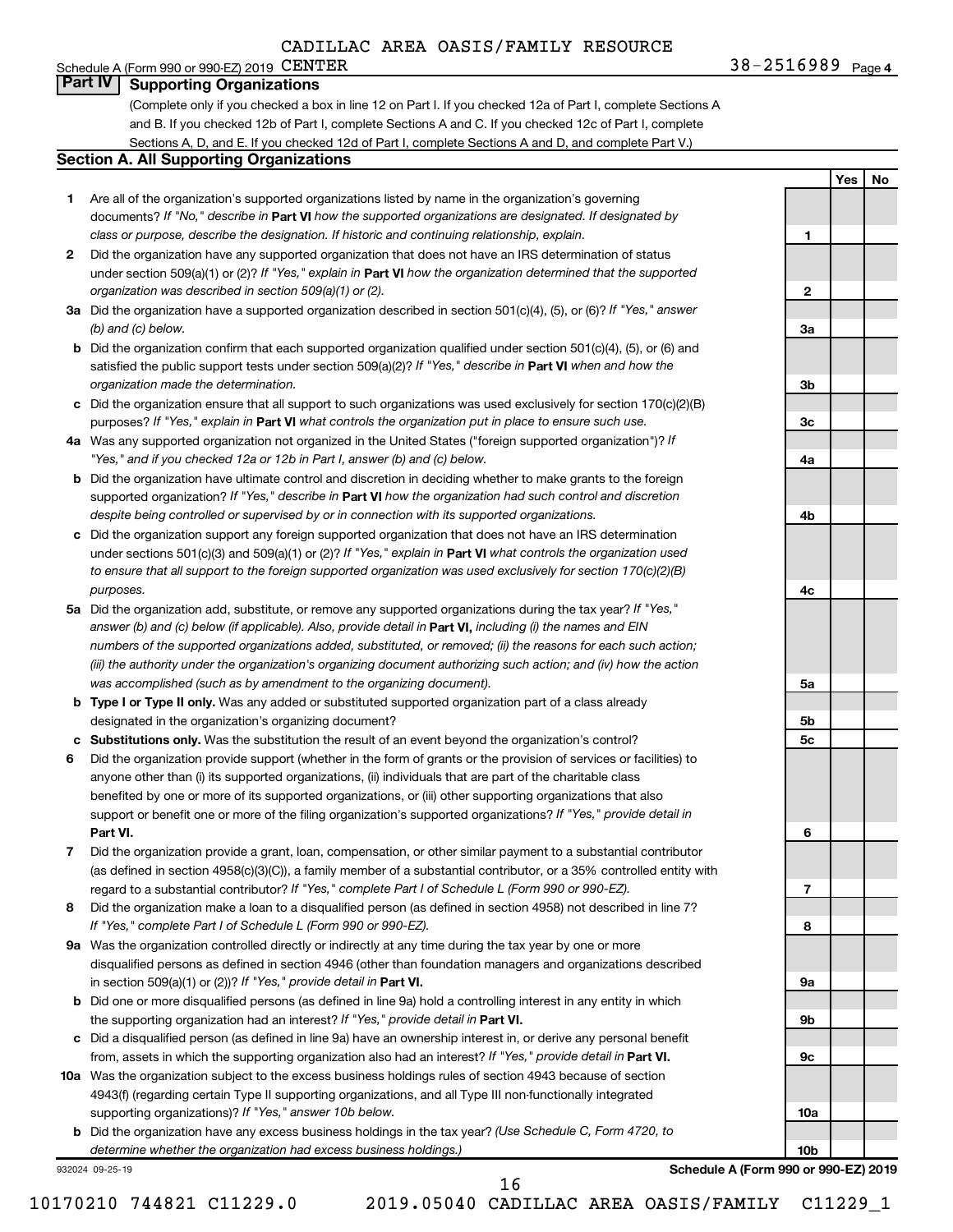#### **4** CENTER 38-2516989 Schedule A (Form 990 or 990-EZ) 2019  $\text{CENTER}$ **Part IV Supporting Organizations**

(Complete only if you checked a box in line 12 on Part I. If you checked 12a of Part I, complete Sections A and B. If you checked 12b of Part I, complete Sections A and C. If you checked 12c of Part I, complete Sections A, D, and E. If you checked 12d of Part I, complete Sections A and D, and complete Part V.)

#### **Section A. All Supporting Organizations**

- **1** Are all of the organization's supported organizations listed by name in the organization's governing documents? If "No," describe in Part VI how the supported organizations are designated. If designated by *class or purpose, describe the designation. If historic and continuing relationship, explain.*
- **2** Did the organization have any supported organization that does not have an IRS determination of status under section 509(a)(1) or (2)? If "Yes," explain in Part **VI** how the organization determined that the supported *organization was described in section 509(a)(1) or (2).*
- **3a** Did the organization have a supported organization described in section 501(c)(4), (5), or (6)? If "Yes," answer *(b) and (c) below.*
- **b** Did the organization confirm that each supported organization qualified under section 501(c)(4), (5), or (6) and satisfied the public support tests under section 509(a)(2)? If "Yes," describe in Part VI when and how the *organization made the determination.*
- **c** Did the organization ensure that all support to such organizations was used exclusively for section 170(c)(2)(B) purposes? If "Yes," explain in Part VI what controls the organization put in place to ensure such use.
- **4 a** *If* Was any supported organization not organized in the United States ("foreign supported organization")? *"Yes," and if you checked 12a or 12b in Part I, answer (b) and (c) below.*
- **b** Did the organization have ultimate control and discretion in deciding whether to make grants to the foreign supported organization? If "Yes," describe in Part VI how the organization had such control and discretion *despite being controlled or supervised by or in connection with its supported organizations.*
- **c** Did the organization support any foreign supported organization that does not have an IRS determination under sections 501(c)(3) and 509(a)(1) or (2)? If "Yes," explain in Part VI what controls the organization used *to ensure that all support to the foreign supported organization was used exclusively for section 170(c)(2)(B) purposes.*
- **5a** Did the organization add, substitute, or remove any supported organizations during the tax year? If "Yes," answer (b) and (c) below (if applicable). Also, provide detail in **Part VI,** including (i) the names and EIN *numbers of the supported organizations added, substituted, or removed; (ii) the reasons for each such action; (iii) the authority under the organization's organizing document authorizing such action; and (iv) how the action was accomplished (such as by amendment to the organizing document).*
- **b Type I or Type II only.** Was any added or substituted supported organization part of a class already designated in the organization's organizing document?
- **c Substitutions only.**  Was the substitution the result of an event beyond the organization's control?
- **6** Did the organization provide support (whether in the form of grants or the provision of services or facilities) to **Part VI.** support or benefit one or more of the filing organization's supported organizations? If "Yes," provide detail in anyone other than (i) its supported organizations, (ii) individuals that are part of the charitable class benefited by one or more of its supported organizations, or (iii) other supporting organizations that also
- **7** Did the organization provide a grant, loan, compensation, or other similar payment to a substantial contributor regard to a substantial contributor? If "Yes," complete Part I of Schedule L (Form 990 or 990-EZ). (as defined in section 4958(c)(3)(C)), a family member of a substantial contributor, or a 35% controlled entity with
- **8** Did the organization make a loan to a disqualified person (as defined in section 4958) not described in line 7? *If "Yes," complete Part I of Schedule L (Form 990 or 990-EZ).*
- **9 a** Was the organization controlled directly or indirectly at any time during the tax year by one or more in section 509(a)(1) or (2))? If "Yes," provide detail in **Part VI.** disqualified persons as defined in section 4946 (other than foundation managers and organizations described
- **b** Did one or more disqualified persons (as defined in line 9a) hold a controlling interest in any entity in which the supporting organization had an interest? If "Yes," provide detail in Part VI.
- **c** Did a disqualified person (as defined in line 9a) have an ownership interest in, or derive any personal benefit from, assets in which the supporting organization also had an interest? If "Yes," provide detail in Part VI.
- **10 a** Was the organization subject to the excess business holdings rules of section 4943 because of section supporting organizations)? If "Yes," answer 10b below. 4943(f) (regarding certain Type II supporting organizations, and all Type III non-functionally integrated
	- **b** Did the organization have any excess business holdings in the tax year? (Use Schedule C, Form 4720, to *determine whether the organization had excess business holdings.)*

932024 09-25-19

**Schedule A (Form 990 or 990-EZ) 2019**

16

10170210 744821 C11229.0 2019.05040 CADILLAC AREA OASIS/FAMILY C11229\_1

**Yes No**

**1**

**2**

**3a**

**3b**

**3c**

**4a**

**4b**

**4c**

**5a**

**5b 5c**

**6**

**7**

**8**

**9a**

**9b**

**9c**

**10a**

**10b**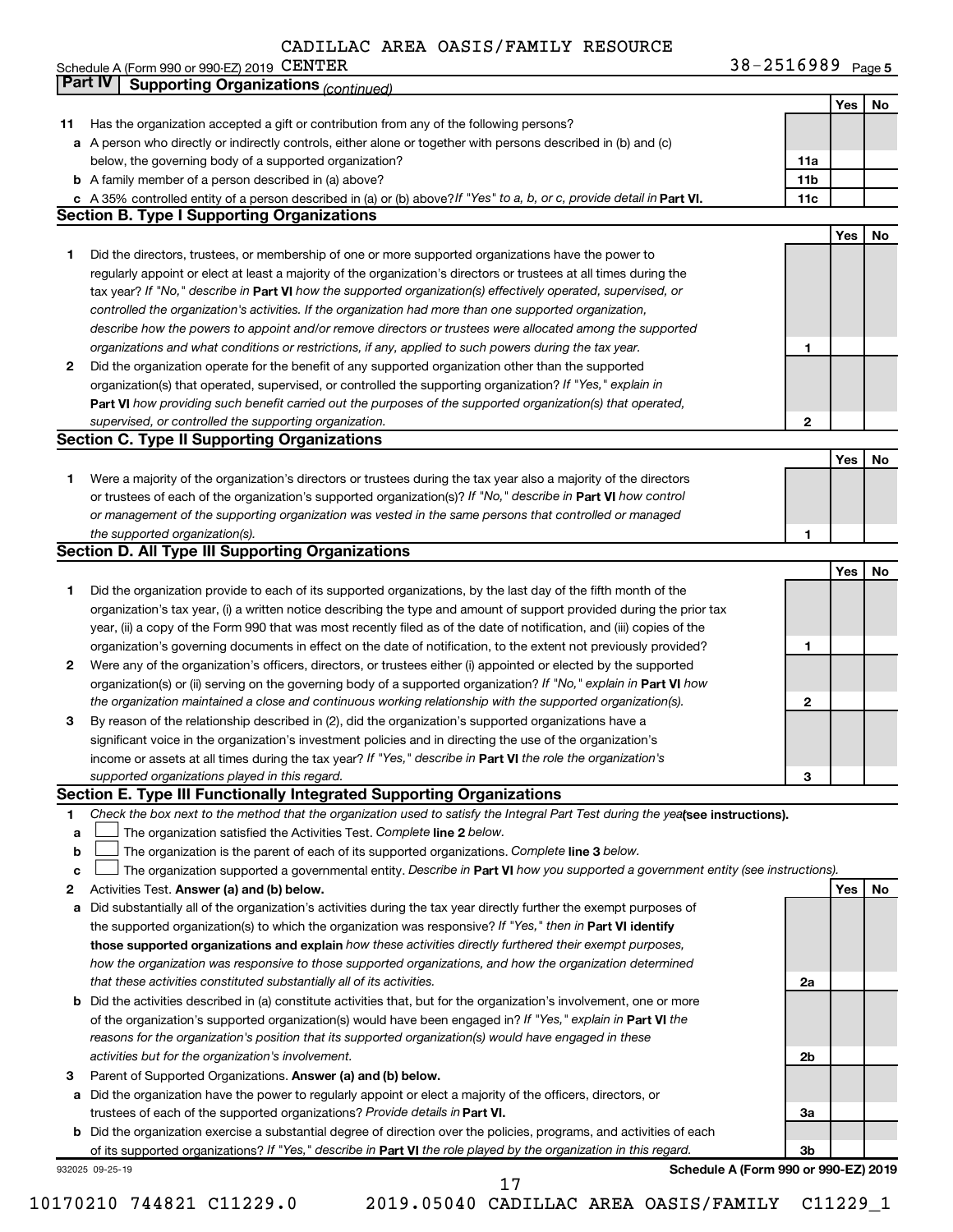|    | Schedule A (Form 990 or 990-EZ) 2019 $\rm \,CENTER$                                                                             | 38-2516989 Page 5                    |     |    |
|----|---------------------------------------------------------------------------------------------------------------------------------|--------------------------------------|-----|----|
|    | <b>Part IV</b><br><b>Supporting Organizations (continued)</b>                                                                   |                                      |     |    |
|    |                                                                                                                                 |                                      | Yes | No |
| 11 | Has the organization accepted a gift or contribution from any of the following persons?                                         |                                      |     |    |
|    | a A person who directly or indirectly controls, either alone or together with persons described in (b) and (c)                  |                                      |     |    |
|    | below, the governing body of a supported organization?                                                                          | 11a                                  |     |    |
|    | <b>b</b> A family member of a person described in (a) above?                                                                    | 11b                                  |     |    |
|    | c A 35% controlled entity of a person described in (a) or (b) above? If "Yes" to a, b, or c, provide detail in Part VI.         | 11c                                  |     |    |
|    | <b>Section B. Type I Supporting Organizations</b>                                                                               |                                      |     |    |
|    |                                                                                                                                 |                                      | Yes | No |
| 1. | Did the directors, trustees, or membership of one or more supported organizations have the power to                             |                                      |     |    |
|    | regularly appoint or elect at least a majority of the organization's directors or trustees at all times during the              |                                      |     |    |
|    | tax year? If "No," describe in Part VI how the supported organization(s) effectively operated, supervised, or                   |                                      |     |    |
|    | controlled the organization's activities. If the organization had more than one supported organization,                         |                                      |     |    |
|    | describe how the powers to appoint and/or remove directors or trustees were allocated among the supported                       |                                      |     |    |
|    | organizations and what conditions or restrictions, if any, applied to such powers during the tax year.                          | 1                                    |     |    |
| 2  | Did the organization operate for the benefit of any supported organization other than the supported                             |                                      |     |    |
|    | organization(s) that operated, supervised, or controlled the supporting organization? If "Yes," explain in                      |                                      |     |    |
|    | Part VI how providing such benefit carried out the purposes of the supported organization(s) that operated,                     |                                      |     |    |
|    | supervised, or controlled the supporting organization.                                                                          | 2                                    |     |    |
|    | <b>Section C. Type II Supporting Organizations</b>                                                                              |                                      |     |    |
|    |                                                                                                                                 |                                      | Yes | No |
| 1. | Were a majority of the organization's directors or trustees during the tax year also a majority of the directors                |                                      |     |    |
|    | or trustees of each of the organization's supported organization(s)? If "No," describe in Part VI how control                   |                                      |     |    |
|    | or management of the supporting organization was vested in the same persons that controlled or managed                          |                                      |     |    |
|    | the supported organization(s).<br><b>Section D. All Type III Supporting Organizations</b>                                       | 1                                    |     |    |
|    |                                                                                                                                 |                                      | Yes | No |
| 1  | Did the organization provide to each of its supported organizations, by the last day of the fifth month of the                  |                                      |     |    |
|    | organization's tax year, (i) a written notice describing the type and amount of support provided during the prior tax           |                                      |     |    |
|    | year, (ii) a copy of the Form 990 that was most recently filed as of the date of notification, and (iii) copies of the          |                                      |     |    |
|    | organization's governing documents in effect on the date of notification, to the extent not previously provided?                | 1                                    |     |    |
| 2  | Were any of the organization's officers, directors, or trustees either (i) appointed or elected by the supported                |                                      |     |    |
|    | organization(s) or (ii) serving on the governing body of a supported organization? If "No," explain in Part VI how              |                                      |     |    |
|    | the organization maintained a close and continuous working relationship with the supported organization(s).                     | 2                                    |     |    |
| 3  | By reason of the relationship described in (2), did the organization's supported organizations have a                           |                                      |     |    |
|    | significant voice in the organization's investment policies and in directing the use of the organization's                      |                                      |     |    |
|    | income or assets at all times during the tax year? If "Yes," describe in Part VI the role the organization's                    |                                      |     |    |
|    | supported organizations played in this regard.                                                                                  | з                                    |     |    |
|    | Section E. Type III Functionally Integrated Supporting Organizations                                                            |                                      |     |    |
| 1  | Check the box next to the method that the organization used to satisfy the Integral Part Test during the yealsee instructions). |                                      |     |    |
| a  | The organization satisfied the Activities Test. Complete line 2 below.                                                          |                                      |     |    |
| b  | The organization is the parent of each of its supported organizations. Complete line 3 below.                                   |                                      |     |    |
| с  | The organization supported a governmental entity. Describe in Part VI how you supported a government entity (see instructions). |                                      |     |    |
| 2  | Activities Test. Answer (a) and (b) below.                                                                                      |                                      | Yes | No |
| а  | Did substantially all of the organization's activities during the tax year directly further the exempt purposes of              |                                      |     |    |
|    | the supported organization(s) to which the organization was responsive? If "Yes," then in Part VI identify                      |                                      |     |    |
|    | those supported organizations and explain how these activities directly furthered their exempt purposes,                        |                                      |     |    |
|    | how the organization was responsive to those supported organizations, and how the organization determined                       |                                      |     |    |
|    | that these activities constituted substantially all of its activities.                                                          | 2a                                   |     |    |
| b  | Did the activities described in (a) constitute activities that, but for the organization's involvement, one or more             |                                      |     |    |
|    | of the organization's supported organization(s) would have been engaged in? If "Yes," explain in Part VI the                    |                                      |     |    |
|    | reasons for the organization's position that its supported organization(s) would have engaged in these                          |                                      |     |    |
|    | activities but for the organization's involvement.                                                                              | 2b                                   |     |    |
| 3  | Parent of Supported Organizations. Answer (a) and (b) below.                                                                    |                                      |     |    |
|    | a Did the organization have the power to regularly appoint or elect a majority of the officers, directors, or                   |                                      |     |    |
|    | trustees of each of the supported organizations? Provide details in Part VI.                                                    | За                                   |     |    |
|    | <b>b</b> Did the organization exercise a substantial degree of direction over the policies, programs, and activities of each    |                                      |     |    |
|    | of its supported organizations? If "Yes," describe in Part VI the role played by the organization in this regard.               | Зb                                   |     |    |
|    | 932025 09-25-19                                                                                                                 | Schedule A (Form 990 or 990-EZ) 2019 |     |    |

10170210 744821 C11229.0 2019.05040 CADILLAC AREA OASIS/FAMILY C11229\_1

17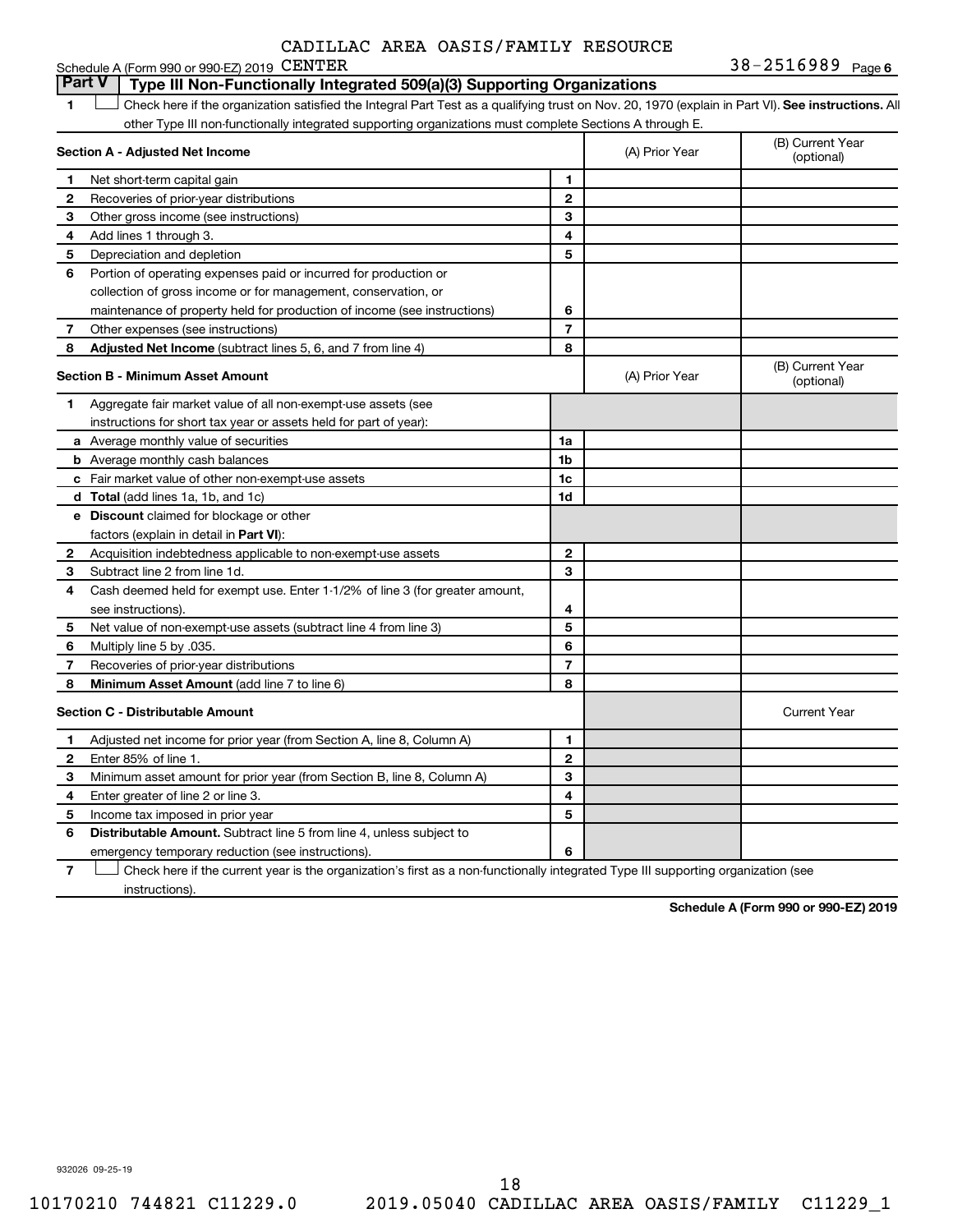#### **6** CENTER 38-2516989 **1 Lett** Check here if the organization satisfied the Integral Part Test as a qualifying trust on Nov. 20, 1970 (explain in Part VI). See instructions. All **Section A - Adjusted Net Income 1 2 3 4 5 6 7 8 1 2 3 4 5 6 7 Adjusted Net Income** (subtract lines 5, 6, and 7 from line 4) **8 8 Section B - Minimum Asset Amount 1 2 3 4 5 6 7 8 a** Average monthly value of securities **b** Average monthly cash balances **c** Fair market value of other non-exempt-use assets **d Total**  (add lines 1a, 1b, and 1c) **e Discount** claimed for blockage or other **1a 1b 1c 1d 2 3 4 5 6 7 8** factors (explain in detail in Part VI): **Minimum Asset Amount**  (add line 7 to line 6) **Section C - Distributable Amount 1 2 3 4 5 6 1 2 3 4 5 6** Distributable Amount. Subtract line 5 from line 4, unless subject to Schedule A (Form 990 or 990-EZ) 2019 CENTER other Type III non-functionally integrated supporting organizations must complete Sections A through E. (B) Current Year (A) Prior Year Net short-term capital gain Recoveries of prior-year distributions Other gross income (see instructions) Add lines 1 through 3. Depreciation and depletion Portion of operating expenses paid or incurred for production or collection of gross income or for management, conservation, or maintenance of property held for production of income (see instructions) Other expenses (see instructions) (B) Current Year  $(A)$  Prior Year  $\left\{\n\begin{array}{ccc}\n\end{array}\n\right\}$  (optional) Aggregate fair market value of all non-exempt-use assets (see instructions for short tax year or assets held for part of year): Acquisition indebtedness applicable to non-exempt-use assets Subtract line 2 from line 1d. Cash deemed held for exempt use. Enter 1-1/2% of line 3 (for greater amount, see instructions). Net value of non-exempt-use assets (subtract line 4 from line 3) Multiply line 5 by .035. Recoveries of prior-year distributions Current Year Adjusted net income for prior year (from Section A, line 8, Column A) Enter 85% of line 1. Minimum asset amount for prior year (from Section B, line 8, Column A) Enter greater of line 2 or line 3. Income tax imposed in prior year emergency temporary reduction (see instructions). **Part V Type III Non-Functionally Integrated 509(a)(3) Supporting Organizations**   $\Box$

**7** Check here if the current year is the organization's first as a non-functionally integrated Type III supporting organization (see † instructions).

**Schedule A (Form 990 or 990-EZ) 2019**

932026 09-25-19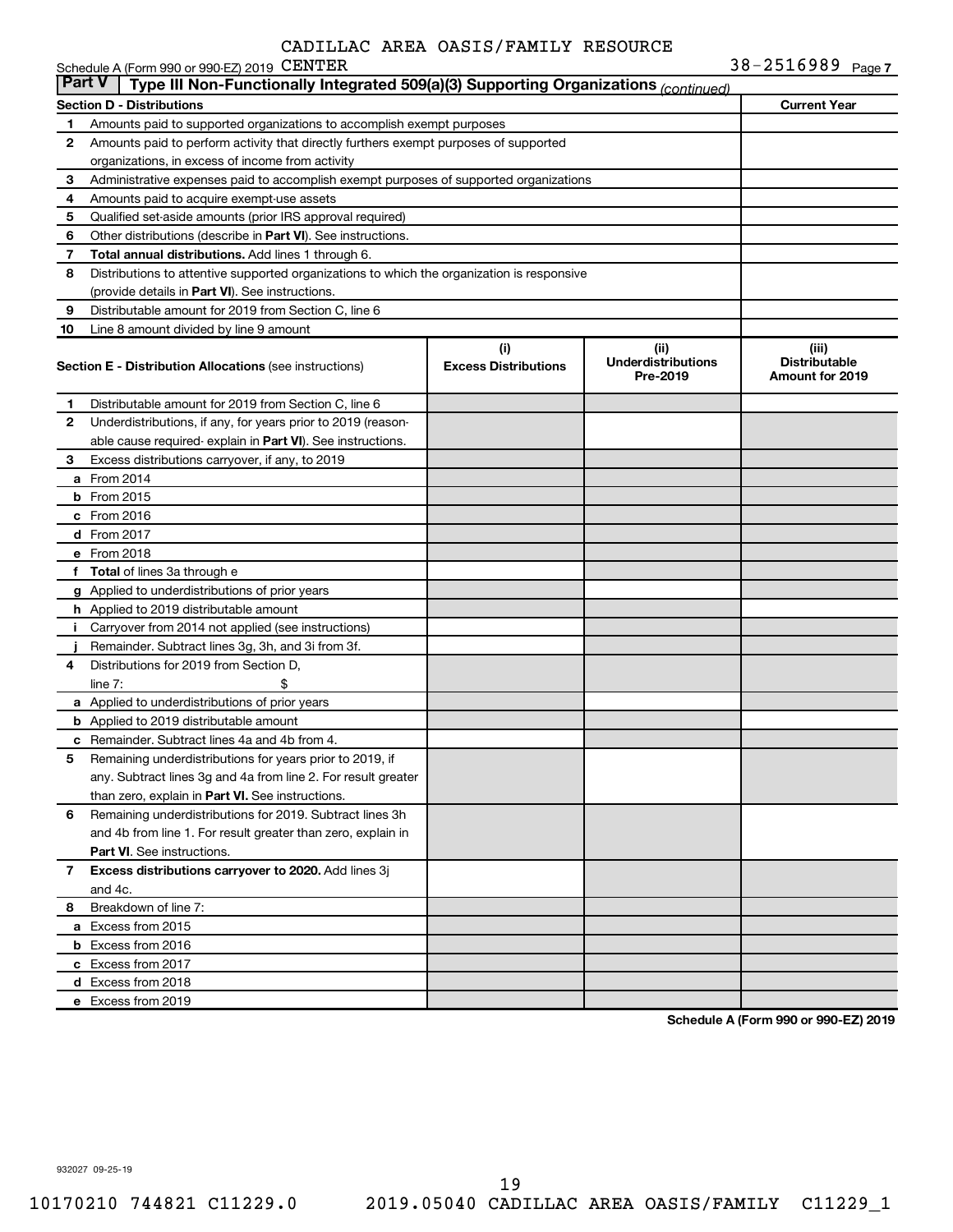|               | Schedule A (Form 990 or 990-EZ) 2019 CENTER                                                |                                    |                                               | 38-2516989 Page 7                                       |
|---------------|--------------------------------------------------------------------------------------------|------------------------------------|-----------------------------------------------|---------------------------------------------------------|
| <b>Part V</b> | Type III Non-Functionally Integrated 509(a)(3) Supporting Organizations (continued)        |                                    |                                               |                                                         |
|               | <b>Section D - Distributions</b>                                                           |                                    |                                               | <b>Current Year</b>                                     |
| 1             | Amounts paid to supported organizations to accomplish exempt purposes                      |                                    |                                               |                                                         |
| 2             | Amounts paid to perform activity that directly furthers exempt purposes of supported       |                                    |                                               |                                                         |
|               | organizations, in excess of income from activity                                           |                                    |                                               |                                                         |
| 3             | Administrative expenses paid to accomplish exempt purposes of supported organizations      |                                    |                                               |                                                         |
| 4             | Amounts paid to acquire exempt-use assets                                                  |                                    |                                               |                                                         |
| 5             | Qualified set-aside amounts (prior IRS approval required)                                  |                                    |                                               |                                                         |
| 6             | Other distributions (describe in <b>Part VI</b> ). See instructions.                       |                                    |                                               |                                                         |
| 7             | <b>Total annual distributions.</b> Add lines 1 through 6.                                  |                                    |                                               |                                                         |
| 8             | Distributions to attentive supported organizations to which the organization is responsive |                                    |                                               |                                                         |
|               | (provide details in Part VI). See instructions.                                            |                                    |                                               |                                                         |
| 9             | Distributable amount for 2019 from Section C, line 6                                       |                                    |                                               |                                                         |
| 10            | Line 8 amount divided by line 9 amount                                                     |                                    |                                               |                                                         |
|               | <b>Section E - Distribution Allocations (see instructions)</b>                             | (i)<br><b>Excess Distributions</b> | (ii)<br><b>Underdistributions</b><br>Pre-2019 | (iii)<br><b>Distributable</b><br><b>Amount for 2019</b> |
| 1             | Distributable amount for 2019 from Section C, line 6                                       |                                    |                                               |                                                         |
| 2             | Underdistributions, if any, for years prior to 2019 (reason-                               |                                    |                                               |                                                         |
|               | able cause required-explain in Part VI). See instructions.                                 |                                    |                                               |                                                         |
| 3             | Excess distributions carryover, if any, to 2019                                            |                                    |                                               |                                                         |
|               | <b>a</b> From 2014                                                                         |                                    |                                               |                                                         |
|               | <b>b</b> From 2015                                                                         |                                    |                                               |                                                         |
|               | $c$ From 2016                                                                              |                                    |                                               |                                                         |
|               | d From 2017                                                                                |                                    |                                               |                                                         |
|               | e From 2018                                                                                |                                    |                                               |                                                         |
|               | f Total of lines 3a through e                                                              |                                    |                                               |                                                         |
|               | g Applied to underdistributions of prior years                                             |                                    |                                               |                                                         |
|               | <b>h</b> Applied to 2019 distributable amount                                              |                                    |                                               |                                                         |
| Ť.            | Carryover from 2014 not applied (see instructions)                                         |                                    |                                               |                                                         |
|               | Remainder. Subtract lines 3g, 3h, and 3i from 3f.                                          |                                    |                                               |                                                         |
| 4             | Distributions for 2019 from Section D.                                                     |                                    |                                               |                                                         |
|               | line $7:$                                                                                  |                                    |                                               |                                                         |
|               | a Applied to underdistributions of prior years                                             |                                    |                                               |                                                         |
|               | <b>b</b> Applied to 2019 distributable amount                                              |                                    |                                               |                                                         |
|               | <b>c</b> Remainder. Subtract lines 4a and 4b from 4.                                       |                                    |                                               |                                                         |
| 5             | Remaining underdistributions for years prior to 2019, if                                   |                                    |                                               |                                                         |
|               | any. Subtract lines 3g and 4a from line 2. For result greater                              |                                    |                                               |                                                         |
|               | than zero, explain in Part VI. See instructions.                                           |                                    |                                               |                                                         |
| 6             | Remaining underdistributions for 2019. Subtract lines 3h                                   |                                    |                                               |                                                         |
|               | and 4b from line 1. For result greater than zero, explain in                               |                                    |                                               |                                                         |
|               | <b>Part VI.</b> See instructions.                                                          |                                    |                                               |                                                         |
| $\mathbf{7}$  | Excess distributions carryover to 2020. Add lines 3j                                       |                                    |                                               |                                                         |
|               | and 4c.                                                                                    |                                    |                                               |                                                         |
| 8             | Breakdown of line 7:                                                                       |                                    |                                               |                                                         |
|               | a Excess from 2015                                                                         |                                    |                                               |                                                         |
|               | <b>b</b> Excess from 2016                                                                  |                                    |                                               |                                                         |
|               | c Excess from 2017                                                                         |                                    |                                               |                                                         |
|               | d Excess from 2018                                                                         |                                    |                                               |                                                         |
|               | e Excess from 2019                                                                         |                                    |                                               |                                                         |
|               |                                                                                            |                                    |                                               |                                                         |

**Schedule A (Form 990 or 990-EZ) 2019**

932027 09-25-19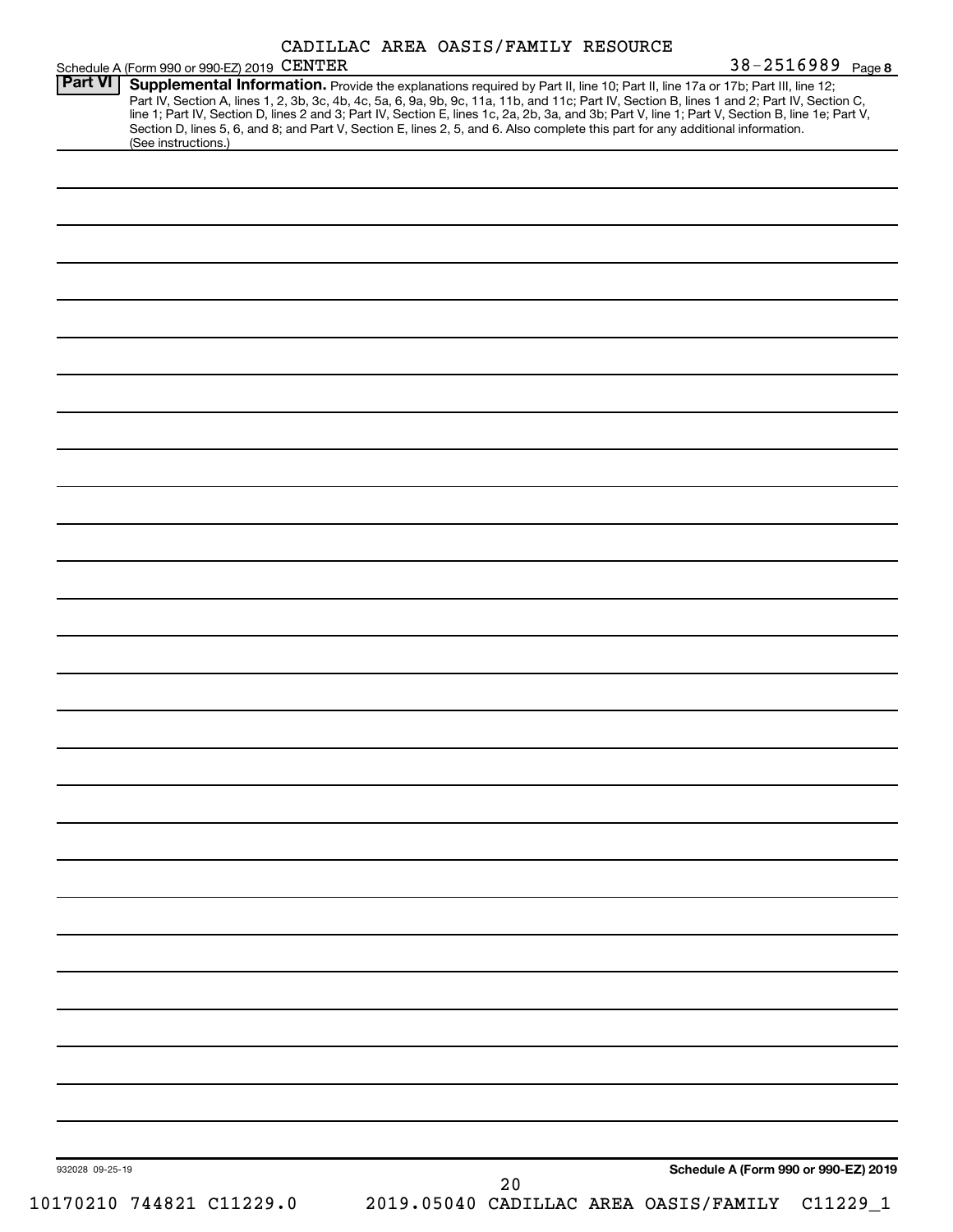| CADILLAC AREA OASIS/FAMILY RESOURCE |  |  |  |  |
|-------------------------------------|--|--|--|--|
|-------------------------------------|--|--|--|--|

| <b>Part VI</b><br>Supplemental Information. Provide the explanations required by Part II, line 10; Part II, line 17a or 17b; Part III, line 12;<br>Part IV, Section A, lines 1, 2, 3b, 3c, 4b, 4c, 5a, 6, 9a, 9b, 9c, 11a, 11b, and 11c; Part IV, Section B, lines 1 and 2; Part IV, Section C,<br>line 1; Part IV, Section D, lines 2 and 3; Part IV, Section E, lines 1c, 2a, 2b, 3a, and 3b; Part V, line 1; Part V, Section B, line 1e; Part V,<br>Section D, lines 5, 6, and 8; and Part V, Section E, lines 2, 5, and 6. Also complete this part for any additional information.<br>(See instructions.)<br>Schedule A (Form 990 or 990-EZ) 2019 | 932028 09-25-19 | 20 |  |  |
|-------------------------------------------------------------------------------------------------------------------------------------------------------------------------------------------------------------------------------------------------------------------------------------------------------------------------------------------------------------------------------------------------------------------------------------------------------------------------------------------------------------------------------------------------------------------------------------------------------------------------------------------------------|-----------------|----|--|--|
|                                                                                                                                                                                                                                                                                                                                                                                                                                                                                                                                                                                                                                                       |                 |    |  |  |
|                                                                                                                                                                                                                                                                                                                                                                                                                                                                                                                                                                                                                                                       |                 |    |  |  |
|                                                                                                                                                                                                                                                                                                                                                                                                                                                                                                                                                                                                                                                       |                 |    |  |  |
|                                                                                                                                                                                                                                                                                                                                                                                                                                                                                                                                                                                                                                                       |                 |    |  |  |
|                                                                                                                                                                                                                                                                                                                                                                                                                                                                                                                                                                                                                                                       |                 |    |  |  |
|                                                                                                                                                                                                                                                                                                                                                                                                                                                                                                                                                                                                                                                       |                 |    |  |  |
|                                                                                                                                                                                                                                                                                                                                                                                                                                                                                                                                                                                                                                                       |                 |    |  |  |
|                                                                                                                                                                                                                                                                                                                                                                                                                                                                                                                                                                                                                                                       |                 |    |  |  |
|                                                                                                                                                                                                                                                                                                                                                                                                                                                                                                                                                                                                                                                       |                 |    |  |  |
|                                                                                                                                                                                                                                                                                                                                                                                                                                                                                                                                                                                                                                                       |                 |    |  |  |
|                                                                                                                                                                                                                                                                                                                                                                                                                                                                                                                                                                                                                                                       |                 |    |  |  |
|                                                                                                                                                                                                                                                                                                                                                                                                                                                                                                                                                                                                                                                       |                 |    |  |  |
|                                                                                                                                                                                                                                                                                                                                                                                                                                                                                                                                                                                                                                                       |                 |    |  |  |
|                                                                                                                                                                                                                                                                                                                                                                                                                                                                                                                                                                                                                                                       |                 |    |  |  |
|                                                                                                                                                                                                                                                                                                                                                                                                                                                                                                                                                                                                                                                       |                 |    |  |  |
|                                                                                                                                                                                                                                                                                                                                                                                                                                                                                                                                                                                                                                                       |                 |    |  |  |
|                                                                                                                                                                                                                                                                                                                                                                                                                                                                                                                                                                                                                                                       |                 |    |  |  |
|                                                                                                                                                                                                                                                                                                                                                                                                                                                                                                                                                                                                                                                       |                 |    |  |  |
|                                                                                                                                                                                                                                                                                                                                                                                                                                                                                                                                                                                                                                                       |                 |    |  |  |
|                                                                                                                                                                                                                                                                                                                                                                                                                                                                                                                                                                                                                                                       |                 |    |  |  |
|                                                                                                                                                                                                                                                                                                                                                                                                                                                                                                                                                                                                                                                       |                 |    |  |  |
|                                                                                                                                                                                                                                                                                                                                                                                                                                                                                                                                                                                                                                                       |                 |    |  |  |
|                                                                                                                                                                                                                                                                                                                                                                                                                                                                                                                                                                                                                                                       |                 |    |  |  |
|                                                                                                                                                                                                                                                                                                                                                                                                                                                                                                                                                                                                                                                       |                 |    |  |  |
|                                                                                                                                                                                                                                                                                                                                                                                                                                                                                                                                                                                                                                                       |                 |    |  |  |
|                                                                                                                                                                                                                                                                                                                                                                                                                                                                                                                                                                                                                                                       |                 |    |  |  |
|                                                                                                                                                                                                                                                                                                                                                                                                                                                                                                                                                                                                                                                       |                 |    |  |  |
|                                                                                                                                                                                                                                                                                                                                                                                                                                                                                                                                                                                                                                                       |                 |    |  |  |
|                                                                                                                                                                                                                                                                                                                                                                                                                                                                                                                                                                                                                                                       |                 |    |  |  |
|                                                                                                                                                                                                                                                                                                                                                                                                                                                                                                                                                                                                                                                       |                 |    |  |  |
|                                                                                                                                                                                                                                                                                                                                                                                                                                                                                                                                                                                                                                                       |                 |    |  |  |
|                                                                                                                                                                                                                                                                                                                                                                                                                                                                                                                                                                                                                                                       |                 |    |  |  |
|                                                                                                                                                                                                                                                                                                                                                                                                                                                                                                                                                                                                                                                       |                 |    |  |  |
|                                                                                                                                                                                                                                                                                                                                                                                                                                                                                                                                                                                                                                                       |                 |    |  |  |
| 38-2516989 Page 8<br>Schedule A (Form 990 or 990-EZ) 2019 CENTER                                                                                                                                                                                                                                                                                                                                                                                                                                                                                                                                                                                      |                 |    |  |  |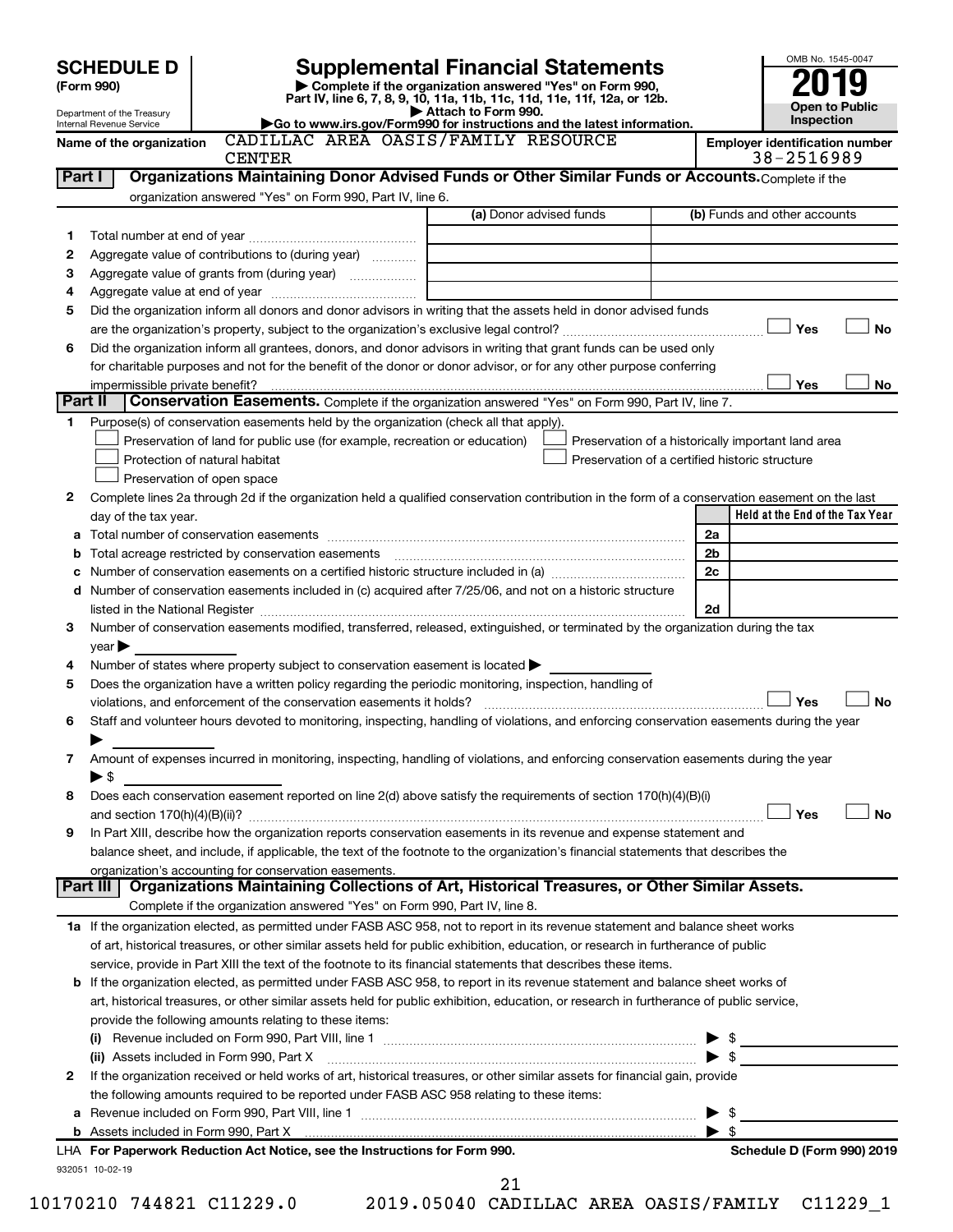|                                                                                                                                  | <b>SCHEDULE D</b>                |                                                                                                        |                                                                                                                                                                                                                                         |                         | OMB No. 1545-0047                     |
|----------------------------------------------------------------------------------------------------------------------------------|----------------------------------|--------------------------------------------------------------------------------------------------------|-----------------------------------------------------------------------------------------------------------------------------------------------------------------------------------------------------------------------------------------|-------------------------|---------------------------------------|
| <b>Supplemental Financial Statements</b><br>Complete if the organization answered "Yes" on Form 990,<br>(Form 990)               |                                  |                                                                                                        |                                                                                                                                                                                                                                         |                         |                                       |
| Part IV, line 6, 7, 8, 9, 10, 11a, 11b, 11c, 11d, 11e, 11f, 12a, or 12b.<br>Attach to Form 990.                                  |                                  |                                                                                                        |                                                                                                                                                                                                                                         |                         | <b>Open to Public</b>                 |
| Department of the Treasury<br>Go to www.irs.gov/Form990 for instructions and the latest information.<br>Internal Revenue Service |                                  |                                                                                                        |                                                                                                                                                                                                                                         |                         | Inspection                            |
| CADILLAC AREA OASIS/FAMILY RESOURCE<br>Name of the organization                                                                  |                                  |                                                                                                        |                                                                                                                                                                                                                                         |                         | <b>Employer identification number</b> |
| <b>CENTER</b>                                                                                                                    |                                  |                                                                                                        |                                                                                                                                                                                                                                         |                         | 38-2516989                            |
| Part I                                                                                                                           |                                  |                                                                                                        | Organizations Maintaining Donor Advised Funds or Other Similar Funds or Accounts. Complete if the                                                                                                                                       |                         |                                       |
|                                                                                                                                  |                                  | organization answered "Yes" on Form 990, Part IV, line 6.                                              |                                                                                                                                                                                                                                         |                         |                                       |
|                                                                                                                                  |                                  |                                                                                                        | (a) Donor advised funds                                                                                                                                                                                                                 |                         | (b) Funds and other accounts          |
| 1                                                                                                                                |                                  |                                                                                                        |                                                                                                                                                                                                                                         |                         |                                       |
| 2                                                                                                                                |                                  | Aggregate value of contributions to (during year)                                                      |                                                                                                                                                                                                                                         |                         |                                       |
| 3                                                                                                                                |                                  |                                                                                                        |                                                                                                                                                                                                                                         |                         |                                       |
| 4                                                                                                                                |                                  |                                                                                                        |                                                                                                                                                                                                                                         |                         |                                       |
| 5                                                                                                                                |                                  |                                                                                                        | Did the organization inform all donors and donor advisors in writing that the assets held in donor advised funds                                                                                                                        |                         |                                       |
|                                                                                                                                  |                                  |                                                                                                        |                                                                                                                                                                                                                                         |                         | Yes<br><b>No</b>                      |
| 6                                                                                                                                |                                  |                                                                                                        | Did the organization inform all grantees, donors, and donor advisors in writing that grant funds can be used only<br>for charitable purposes and not for the benefit of the donor or donor advisor, or for any other purpose conferring |                         |                                       |
|                                                                                                                                  | impermissible private benefit?   |                                                                                                        |                                                                                                                                                                                                                                         |                         | Yes<br>No.                            |
| Part II                                                                                                                          |                                  |                                                                                                        | Conservation Easements. Complete if the organization answered "Yes" on Form 990, Part IV, line 7.                                                                                                                                       |                         |                                       |
| 1.                                                                                                                               |                                  | Purpose(s) of conservation easements held by the organization (check all that apply).                  |                                                                                                                                                                                                                                         |                         |                                       |
|                                                                                                                                  |                                  | Preservation of land for public use (for example, recreation or education)                             | Preservation of a historically important land area                                                                                                                                                                                      |                         |                                       |
|                                                                                                                                  |                                  | Protection of natural habitat                                                                          | Preservation of a certified historic structure                                                                                                                                                                                          |                         |                                       |
|                                                                                                                                  |                                  | Preservation of open space                                                                             |                                                                                                                                                                                                                                         |                         |                                       |
| 2                                                                                                                                |                                  |                                                                                                        | Complete lines 2a through 2d if the organization held a qualified conservation contribution in the form of a conservation easement on the last                                                                                          |                         |                                       |
|                                                                                                                                  | day of the tax year.             |                                                                                                        |                                                                                                                                                                                                                                         |                         | Held at the End of the Tax Year       |
|                                                                                                                                  |                                  |                                                                                                        |                                                                                                                                                                                                                                         | 2a                      |                                       |
| b                                                                                                                                |                                  | Total acreage restricted by conservation easements                                                     |                                                                                                                                                                                                                                         | 2b                      |                                       |
|                                                                                                                                  |                                  |                                                                                                        | Number of conservation easements on a certified historic structure included in (a) manufacture included in (a)                                                                                                                          | 2c                      |                                       |
|                                                                                                                                  |                                  |                                                                                                        | d Number of conservation easements included in (c) acquired after 7/25/06, and not on a historic structure                                                                                                                              |                         |                                       |
|                                                                                                                                  |                                  |                                                                                                        | listed in the National Register [11, 1200] [12] The National Register [11, 1200] [12] The National Register [11, 1200] [12] The National Register [11, 1200] [12] The National Register [11, 1200] [12] The National Register           | 2d                      |                                       |
| 3                                                                                                                                |                                  |                                                                                                        | Number of conservation easements modified, transferred, released, extinguished, or terminated by the organization during the tax                                                                                                        |                         |                                       |
|                                                                                                                                  | $\vee$ ear $\blacktriangleright$ |                                                                                                        |                                                                                                                                                                                                                                         |                         |                                       |
| 4                                                                                                                                |                                  | Number of states where property subject to conservation easement is located >                          |                                                                                                                                                                                                                                         |                         |                                       |
| 5                                                                                                                                |                                  | Does the organization have a written policy regarding the periodic monitoring, inspection, handling of |                                                                                                                                                                                                                                         |                         |                                       |
|                                                                                                                                  |                                  | violations, and enforcement of the conservation easements it holds?                                    |                                                                                                                                                                                                                                         |                         | Yes<br>No                             |
| 6                                                                                                                                |                                  |                                                                                                        | Staff and volunteer hours devoted to monitoring, inspecting, handling of violations, and enforcing conservation easements during the year                                                                                               |                         |                                       |
|                                                                                                                                  |                                  |                                                                                                        |                                                                                                                                                                                                                                         |                         |                                       |
| 7                                                                                                                                |                                  |                                                                                                        | Amount of expenses incurred in monitoring, inspecting, handling of violations, and enforcing conservation easements during the year                                                                                                     |                         |                                       |
|                                                                                                                                  | $\blacktriangleright$ \$         |                                                                                                        |                                                                                                                                                                                                                                         |                         |                                       |
| 8                                                                                                                                |                                  |                                                                                                        | Does each conservation easement reported on line 2(d) above satisfy the requirements of section 170(h)(4)(B)(i)                                                                                                                         |                         |                                       |
|                                                                                                                                  |                                  |                                                                                                        | In Part XIII, describe how the organization reports conservation easements in its revenue and expense statement and                                                                                                                     |                         | Yes<br>No                             |
| 9                                                                                                                                |                                  |                                                                                                        |                                                                                                                                                                                                                                         |                         |                                       |
|                                                                                                                                  |                                  | organization's accounting for conservation easements.                                                  | balance sheet, and include, if applicable, the text of the footnote to the organization's financial statements that describes the                                                                                                       |                         |                                       |
|                                                                                                                                  | <b>Part III</b>                  |                                                                                                        | Organizations Maintaining Collections of Art, Historical Treasures, or Other Similar Assets.                                                                                                                                            |                         |                                       |
|                                                                                                                                  |                                  | Complete if the organization answered "Yes" on Form 990, Part IV, line 8.                              |                                                                                                                                                                                                                                         |                         |                                       |
|                                                                                                                                  |                                  |                                                                                                        | 1a If the organization elected, as permitted under FASB ASC 958, not to report in its revenue statement and balance sheet works                                                                                                         |                         |                                       |
|                                                                                                                                  |                                  |                                                                                                        | of art, historical treasures, or other similar assets held for public exhibition, education, or research in furtherance of public                                                                                                       |                         |                                       |
|                                                                                                                                  |                                  |                                                                                                        | service, provide in Part XIII the text of the footnote to its financial statements that describes these items.                                                                                                                          |                         |                                       |
|                                                                                                                                  |                                  |                                                                                                        | b If the organization elected, as permitted under FASB ASC 958, to report in its revenue statement and balance sheet works of                                                                                                           |                         |                                       |
|                                                                                                                                  |                                  |                                                                                                        | art, historical treasures, or other similar assets held for public exhibition, education, or research in furtherance of public service,                                                                                                 |                         |                                       |
|                                                                                                                                  |                                  | provide the following amounts relating to these items:                                                 |                                                                                                                                                                                                                                         |                         |                                       |
|                                                                                                                                  |                                  |                                                                                                        |                                                                                                                                                                                                                                         |                         |                                       |
|                                                                                                                                  |                                  |                                                                                                        | (ii) Assets included in Form 990, Part X [11] [2000] [2010] Assets included in Form 990, Part X [11] [11] [200                                                                                                                          | $\blacktriangleright$ s |                                       |
| 2                                                                                                                                |                                  |                                                                                                        | If the organization received or held works of art, historical treasures, or other similar assets for financial gain, provide                                                                                                            |                         |                                       |
|                                                                                                                                  |                                  | the following amounts required to be reported under FASB ASC 958 relating to these items:              |                                                                                                                                                                                                                                         |                         |                                       |
|                                                                                                                                  |                                  |                                                                                                        |                                                                                                                                                                                                                                         |                         |                                       |
|                                                                                                                                  |                                  |                                                                                                        |                                                                                                                                                                                                                                         |                         | - \$                                  |
|                                                                                                                                  |                                  | LHA For Paperwork Reduction Act Notice, see the Instructions for Form 990.                             |                                                                                                                                                                                                                                         |                         | Schedule D (Form 990) 2019            |
|                                                                                                                                  | 932051 10-02-19                  |                                                                                                        |                                                                                                                                                                                                                                         |                         |                                       |

21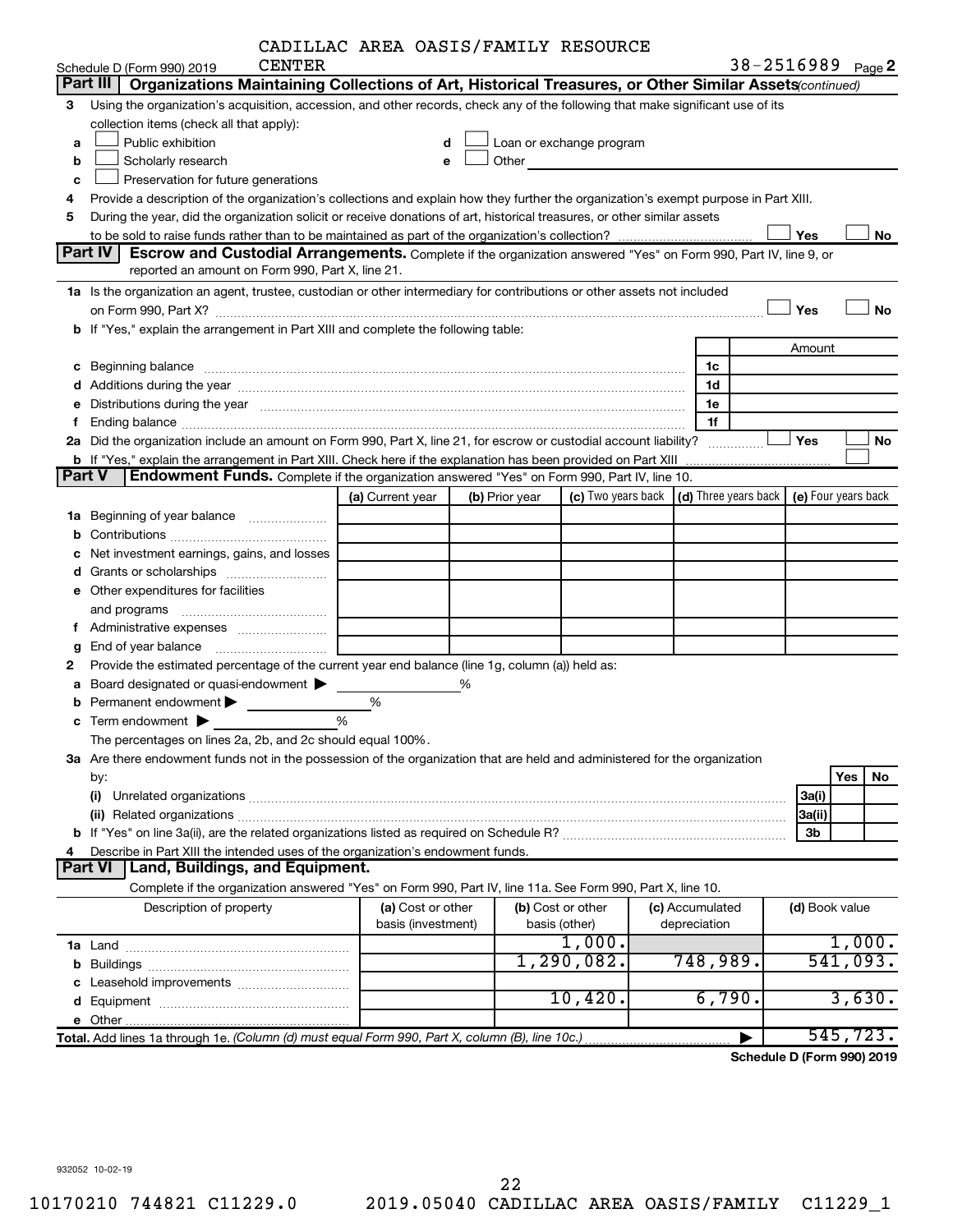| CADILLAC AREA OASIS/FAMILY RESOURCE |  |  |  |
|-------------------------------------|--|--|--|
|-------------------------------------|--|--|--|

|        | <b>CENTER</b><br>Schedule D (Form 990) 2019                                                                                                                                                                                    | CADIULAC ANGA OADID/FAMIUI NGDOONCG |   |                |                          |                                                                             | 38-2516989 Page 2 |           |
|--------|--------------------------------------------------------------------------------------------------------------------------------------------------------------------------------------------------------------------------------|-------------------------------------|---|----------------|--------------------------|-----------------------------------------------------------------------------|-------------------|-----------|
|        | Part III<br>Organizations Maintaining Collections of Art, Historical Treasures, or Other Similar Assets(continued)                                                                                                             |                                     |   |                |                          |                                                                             |                   |           |
| 3      | Using the organization's acquisition, accession, and other records, check any of the following that make significant use of its                                                                                                |                                     |   |                |                          |                                                                             |                   |           |
|        | collection items (check all that apply):                                                                                                                                                                                       |                                     |   |                |                          |                                                                             |                   |           |
| a      | Public exhibition                                                                                                                                                                                                              |                                     | d |                | Loan or exchange program |                                                                             |                   |           |
| b      | Scholarly research                                                                                                                                                                                                             |                                     | е | Other          |                          |                                                                             |                   |           |
| c      | Preservation for future generations                                                                                                                                                                                            |                                     |   |                |                          |                                                                             |                   |           |
| 4      | Provide a description of the organization's collections and explain how they further the organization's exempt purpose in Part XIII.                                                                                           |                                     |   |                |                          |                                                                             |                   |           |
| 5      | During the year, did the organization solicit or receive donations of art, historical treasures, or other similar assets                                                                                                       |                                     |   |                |                          |                                                                             |                   |           |
|        |                                                                                                                                                                                                                                |                                     |   |                |                          |                                                                             | Yes               | No        |
|        | Part IV<br><b>Escrow and Custodial Arrangements.</b> Complete if the organization answered "Yes" on Form 990, Part IV, line 9, or                                                                                              |                                     |   |                |                          |                                                                             |                   |           |
|        | reported an amount on Form 990, Part X, line 21.                                                                                                                                                                               |                                     |   |                |                          |                                                                             |                   |           |
|        | 1a Is the organization an agent, trustee, custodian or other intermediary for contributions or other assets not included                                                                                                       |                                     |   |                |                          |                                                                             |                   |           |
|        |                                                                                                                                                                                                                                |                                     |   |                |                          |                                                                             | Yes               | <b>No</b> |
|        | b If "Yes," explain the arrangement in Part XIII and complete the following table:                                                                                                                                             |                                     |   |                |                          |                                                                             |                   |           |
|        |                                                                                                                                                                                                                                |                                     |   |                |                          |                                                                             | Amount            |           |
| с      | Beginning balance <b>contract to the contract of the contract of the contract of the contract of the contract of t</b>                                                                                                         |                                     |   |                |                          | 1c                                                                          |                   |           |
|        |                                                                                                                                                                                                                                |                                     |   |                |                          | 1d                                                                          |                   |           |
|        |                                                                                                                                                                                                                                |                                     |   |                |                          | 1e                                                                          |                   |           |
| е      | Distributions during the year measurement contains and all the year measurement of the state of the state of the state of the state of the state of the state of the state of the state of the state of the state of the state |                                     |   |                |                          | 1f                                                                          |                   |           |
| f.     | 2a Did the organization include an amount on Form 990, Part X, line 21, for escrow or custodial account liability?                                                                                                             |                                     |   |                |                          |                                                                             | Yes               | No        |
|        |                                                                                                                                                                                                                                |                                     |   |                |                          |                                                                             |                   |           |
| Part V | <b>b</b> If "Yes," explain the arrangement in Part XIII. Check here if the explanation has been provided on Part XIII<br>Endowment Funds. Complete if the organization answered "Yes" on Form 990, Part IV, line 10.           |                                     |   |                |                          |                                                                             |                   |           |
|        |                                                                                                                                                                                                                                | (a) Current year                    |   | (b) Prior year |                          | (c) Two years back $\vert$ (d) Three years back $\vert$ (e) Four years back |                   |           |
|        |                                                                                                                                                                                                                                |                                     |   |                |                          |                                                                             |                   |           |
| 1a     | Beginning of year balance                                                                                                                                                                                                      |                                     |   |                |                          |                                                                             |                   |           |
| b      |                                                                                                                                                                                                                                |                                     |   |                |                          |                                                                             |                   |           |
|        | Net investment earnings, gains, and losses                                                                                                                                                                                     |                                     |   |                |                          |                                                                             |                   |           |
| d      |                                                                                                                                                                                                                                |                                     |   |                |                          |                                                                             |                   |           |
|        | e Other expenditures for facilities                                                                                                                                                                                            |                                     |   |                |                          |                                                                             |                   |           |
|        | and programs                                                                                                                                                                                                                   |                                     |   |                |                          |                                                                             |                   |           |
|        |                                                                                                                                                                                                                                |                                     |   |                |                          |                                                                             |                   |           |
| g      |                                                                                                                                                                                                                                |                                     |   |                |                          |                                                                             |                   |           |
| 2      | Provide the estimated percentage of the current year end balance (line 1g, column (a)) held as:                                                                                                                                |                                     |   |                |                          |                                                                             |                   |           |
| а      | Board designated or quasi-endowment >                                                                                                                                                                                          |                                     | % |                |                          |                                                                             |                   |           |
| b      | Permanent endowment >                                                                                                                                                                                                          | %                                   |   |                |                          |                                                                             |                   |           |
|        | Term endowment $\blacktriangleright$                                                                                                                                                                                           | %                                   |   |                |                          |                                                                             |                   |           |
|        | The percentages on lines 2a, 2b, and 2c should equal 100%.                                                                                                                                                                     |                                     |   |                |                          |                                                                             |                   |           |
|        | 3a Are there endowment funds not in the possession of the organization that are held and administered for the organization                                                                                                     |                                     |   |                |                          |                                                                             |                   |           |
|        | by:                                                                                                                                                                                                                            |                                     |   |                |                          |                                                                             |                   | Yes<br>No |
|        | (i)                                                                                                                                                                                                                            |                                     |   |                |                          |                                                                             | 3a(i)             |           |
|        |                                                                                                                                                                                                                                |                                     |   |                |                          |                                                                             | 3a(ii)            |           |
|        |                                                                                                                                                                                                                                |                                     |   |                |                          |                                                                             | 3b                |           |
| 4      | Describe in Part XIII the intended uses of the organization's endowment funds.                                                                                                                                                 |                                     |   |                |                          |                                                                             |                   |           |
|        | <b>Part VI</b><br>Land, Buildings, and Equipment.                                                                                                                                                                              |                                     |   |                |                          |                                                                             |                   |           |
|        | Complete if the organization answered "Yes" on Form 990, Part IV, line 11a. See Form 990, Part X, line 10.                                                                                                                     |                                     |   |                |                          |                                                                             |                   |           |
|        | Description of property                                                                                                                                                                                                        | (a) Cost or other                   |   |                | (b) Cost or other        | (c) Accumulated                                                             | (d) Book value    |           |
|        |                                                                                                                                                                                                                                | basis (investment)                  |   |                | basis (other)            | depreciation                                                                |                   |           |
|        |                                                                                                                                                                                                                                |                                     |   |                | 1,000.                   |                                                                             |                   | 1,000.    |
| b      |                                                                                                                                                                                                                                |                                     |   |                | 1, 290, 082.             | 748,989.                                                                    |                   | 541,093.  |
|        |                                                                                                                                                                                                                                |                                     |   |                |                          |                                                                             |                   |           |
|        |                                                                                                                                                                                                                                |                                     |   |                | 10,420.                  | 6,790.                                                                      |                   | 3,630.    |
|        |                                                                                                                                                                                                                                |                                     |   |                |                          |                                                                             |                   |           |
|        | Total. Add lines 1a through 1e. (Column (d) must equal Form 990, Part X, column (B), line 10c.)                                                                                                                                |                                     |   |                |                          |                                                                             |                   | 545, 723. |

**Schedule D (Form 990) 2019**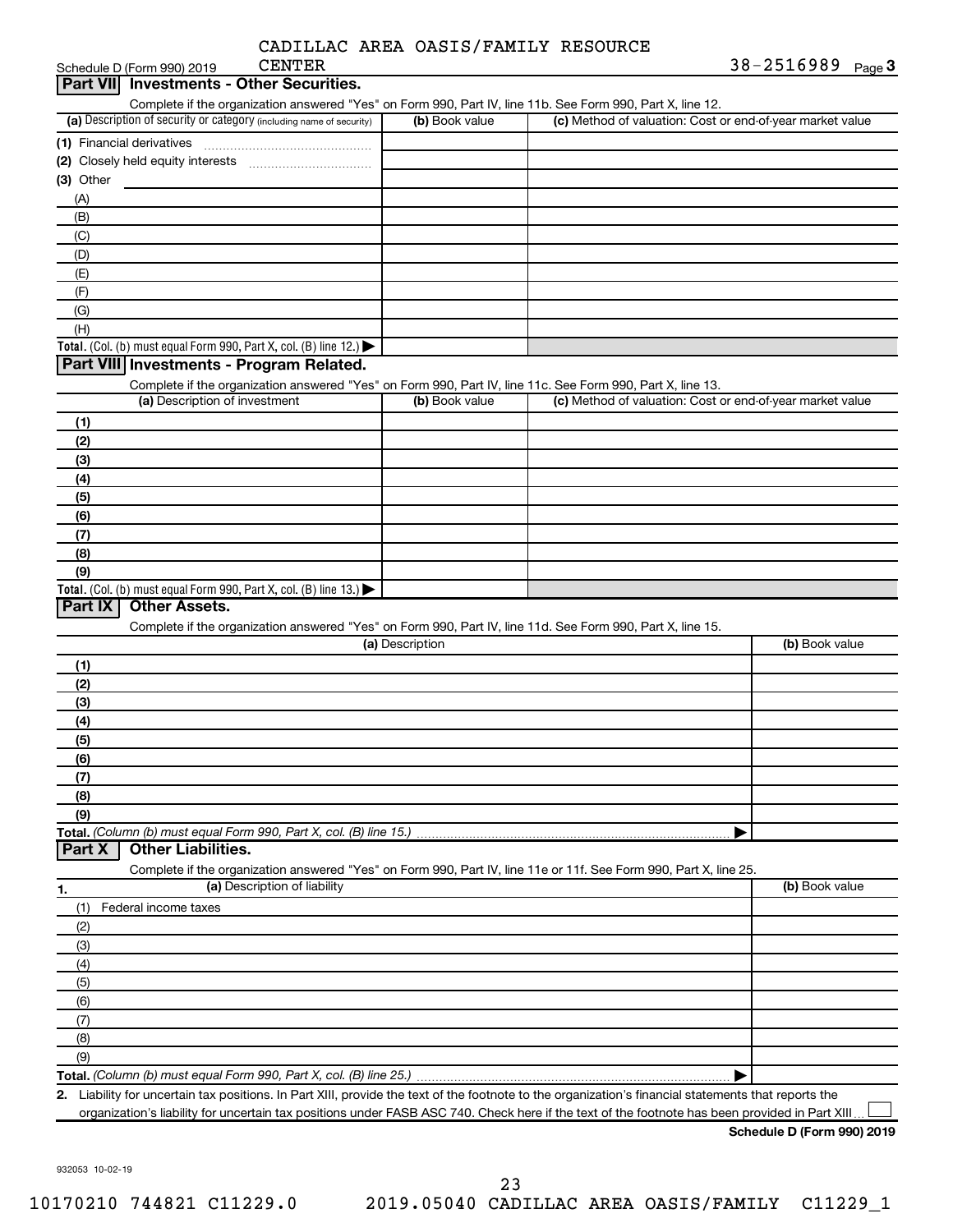| CADILLAC AREA OASIS/FAMILY RESOURCE |  |
|-------------------------------------|--|
|-------------------------------------|--|

| <b>CENTER</b><br>Schedule D (Form 990) 2019                                                                                                          |                 |                                                           | 38-2516989 Page 3 |
|------------------------------------------------------------------------------------------------------------------------------------------------------|-----------------|-----------------------------------------------------------|-------------------|
| <b>Investments - Other Securities.</b><br><b>Part VIII</b>                                                                                           |                 |                                                           |                   |
| Complete if the organization answered "Yes" on Form 990, Part IV, line 11b. See Form 990, Part X, line 12.                                           |                 |                                                           |                   |
| (a) Description of security or category (including name of security)                                                                                 | (b) Book value  | (c) Method of valuation: Cost or end-of-year market value |                   |
| (1) Financial derivatives                                                                                                                            |                 |                                                           |                   |
|                                                                                                                                                      |                 |                                                           |                   |
| (3) Other                                                                                                                                            |                 |                                                           |                   |
| (A)                                                                                                                                                  |                 |                                                           |                   |
| (B)                                                                                                                                                  |                 |                                                           |                   |
| (C)                                                                                                                                                  |                 |                                                           |                   |
| (D)                                                                                                                                                  |                 |                                                           |                   |
|                                                                                                                                                      |                 |                                                           |                   |
| (E)                                                                                                                                                  |                 |                                                           |                   |
| (F)                                                                                                                                                  |                 |                                                           |                   |
| (G)                                                                                                                                                  |                 |                                                           |                   |
| (H)                                                                                                                                                  |                 |                                                           |                   |
| Total. (Col. (b) must equal Form 990, Part X, col. (B) line 12.)                                                                                     |                 |                                                           |                   |
| Part VIII Investments - Program Related.                                                                                                             |                 |                                                           |                   |
| Complete if the organization answered "Yes" on Form 990, Part IV, line 11c. See Form 990, Part X, line 13.                                           |                 |                                                           |                   |
| (a) Description of investment                                                                                                                        | (b) Book value  | (c) Method of valuation: Cost or end-of-year market value |                   |
| (1)                                                                                                                                                  |                 |                                                           |                   |
| (2)                                                                                                                                                  |                 |                                                           |                   |
| (3)                                                                                                                                                  |                 |                                                           |                   |
| (4)                                                                                                                                                  |                 |                                                           |                   |
| (5)                                                                                                                                                  |                 |                                                           |                   |
| (6)                                                                                                                                                  |                 |                                                           |                   |
| (7)                                                                                                                                                  |                 |                                                           |                   |
| (8)                                                                                                                                                  |                 |                                                           |                   |
| (9)                                                                                                                                                  |                 |                                                           |                   |
| Total. (Col. (b) must equal Form 990, Part X, col. (B) line 13.)                                                                                     |                 |                                                           |                   |
| Part IX<br><b>Other Assets.</b>                                                                                                                      |                 |                                                           |                   |
| Complete if the organization answered "Yes" on Form 990, Part IV, line 11d. See Form 990, Part X, line 15.                                           |                 |                                                           |                   |
|                                                                                                                                                      | (a) Description |                                                           | (b) Book value    |
|                                                                                                                                                      |                 |                                                           |                   |
| (1)                                                                                                                                                  |                 |                                                           |                   |
| (2)                                                                                                                                                  |                 |                                                           |                   |
| (3)                                                                                                                                                  |                 |                                                           |                   |
| (4)                                                                                                                                                  |                 |                                                           |                   |
| (5)                                                                                                                                                  |                 |                                                           |                   |
| (6)                                                                                                                                                  |                 |                                                           |                   |
| (7)                                                                                                                                                  |                 |                                                           |                   |
| (8)                                                                                                                                                  |                 |                                                           |                   |
| (9)                                                                                                                                                  |                 |                                                           |                   |
|                                                                                                                                                      |                 |                                                           |                   |
| <b>Other Liabilities.</b><br>Part X                                                                                                                  |                 |                                                           |                   |
| Complete if the organization answered "Yes" on Form 990, Part IV, line 11e or 11f. See Form 990, Part X, line 25.                                    |                 |                                                           |                   |
| (a) Description of liability<br>1.                                                                                                                   |                 |                                                           | (b) Book value    |
| (1)<br>Federal income taxes                                                                                                                          |                 |                                                           |                   |
| (2)                                                                                                                                                  |                 |                                                           |                   |
| (3)                                                                                                                                                  |                 |                                                           |                   |
| (4)                                                                                                                                                  |                 |                                                           |                   |
|                                                                                                                                                      |                 |                                                           |                   |
| (5)                                                                                                                                                  |                 |                                                           |                   |
| (6)                                                                                                                                                  |                 |                                                           |                   |
| (7)                                                                                                                                                  |                 |                                                           |                   |
| (8)                                                                                                                                                  |                 |                                                           |                   |
| (9)                                                                                                                                                  |                 |                                                           |                   |
|                                                                                                                                                      |                 |                                                           |                   |
| 2. Liability for uncertain tax positions. In Part XIII, provide the text of the footnote to the organization's financial statements that reports the |                 |                                                           |                   |
| organization's liability for uncertain tax positions under FASB ASC 740. Check here if the text of the footnote has been provided in Part XIII.      |                 |                                                           |                   |

**Schedule D (Form 990) 2019**

932053 10-02-19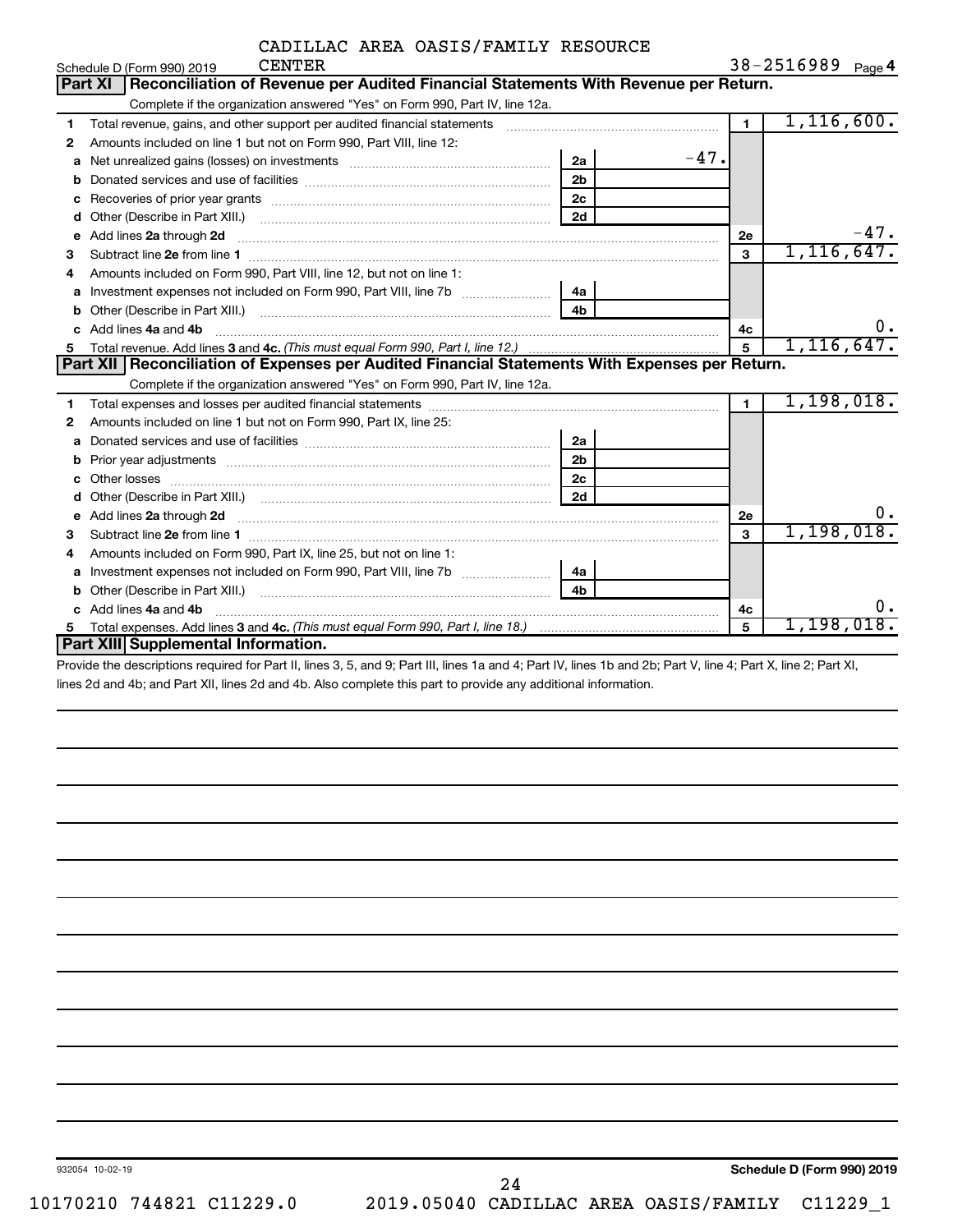| CADILLAC AREA OASIS/FAMILY RESOURCE |  |  |  |
|-------------------------------------|--|--|--|
|-------------------------------------|--|--|--|

|    | <b>CENTER</b><br>Schedule D (Form 990) 2019                                                                             |                |        |                | 38-2516989 Page 4 |        |
|----|-------------------------------------------------------------------------------------------------------------------------|----------------|--------|----------------|-------------------|--------|
|    | Reconciliation of Revenue per Audited Financial Statements With Revenue per Return.<br>Part XI                          |                |        |                |                   |        |
|    | Complete if the organization answered "Yes" on Form 990, Part IV, line 12a.                                             |                |        |                |                   |        |
| 1  | Total revenue, gains, and other support per audited financial statements                                                |                |        | $\blacksquare$ | 1,116,600.        |        |
| 2  | Amounts included on line 1 but not on Form 990, Part VIII, line 12:                                                     |                |        |                |                   |        |
| a  |                                                                                                                         | 2a             | $-47.$ |                |                   |        |
|    |                                                                                                                         | 2 <sub>b</sub> |        |                |                   |        |
|    |                                                                                                                         | 2 <sub>c</sub> |        |                |                   |        |
| d  |                                                                                                                         | 2d             |        |                |                   |        |
| e  | Add lines 2a through 2d                                                                                                 |                |        | 2е             |                   | $-47.$ |
| 3  |                                                                                                                         |                |        | $\mathbf{3}$   | 1, 116, 647.      |        |
| 4  | Amounts included on Form 990, Part VIII, line 12, but not on line 1:                                                    |                |        |                |                   |        |
|    |                                                                                                                         | 4a             |        |                |                   |        |
|    |                                                                                                                         | 4 <sub>b</sub> |        |                |                   |        |
| c. | Add lines 4a and 4b                                                                                                     |                |        | 4c             |                   | 0.     |
|    |                                                                                                                         |                |        | 5              | 1, 116, 647.      |        |
|    |                                                                                                                         |                |        |                |                   |        |
|    | Part XII   Reconciliation of Expenses per Audited Financial Statements With Expenses per Return.                        |                |        |                |                   |        |
|    | Complete if the organization answered "Yes" on Form 990, Part IV, line 12a.                                             |                |        |                |                   |        |
| 1  |                                                                                                                         |                |        | $\blacksquare$ | 1,198,018.        |        |
| 2  | Amounts included on line 1 but not on Form 990, Part IX, line 25:                                                       |                |        |                |                   |        |
| a  |                                                                                                                         | 2a             |        |                |                   |        |
| b  |                                                                                                                         | 2 <sub>b</sub> |        |                |                   |        |
|    |                                                                                                                         | 2 <sub>c</sub> |        |                |                   |        |
| d  |                                                                                                                         | 2d             |        |                |                   |        |
| e  |                                                                                                                         |                |        | 2e             |                   | Ο.     |
| з  | Add lines 2a through 2d <b>continuum contract and all contract and all contract and all contract and all contract a</b> |                |        | 3              | 1,198,018.        |        |
| 4  | Amounts included on Form 990, Part IX, line 25, but not on line 1:                                                      |                |        |                |                   |        |
| a  |                                                                                                                         | 4a             |        |                |                   |        |
| b  |                                                                                                                         | 4 <sub>h</sub> |        |                |                   |        |
|    | c Add lines 4a and 4b                                                                                                   |                |        | 4c             |                   | υ.     |
|    |                                                                                                                         |                |        | 5              | 1,198,018.        |        |
|    | Part XIII Supplemental Information.                                                                                     |                |        |                |                   |        |

Provide the descriptions required for Part II, lines 3, 5, and 9; Part III, lines 1a and 4; Part IV, lines 1b and 2b; Part V, line 4; Part X, line 2; Part XI, lines 2d and 4b; and Part XII, lines 2d and 4b. Also complete this part to provide any additional information.

932054 10-02-19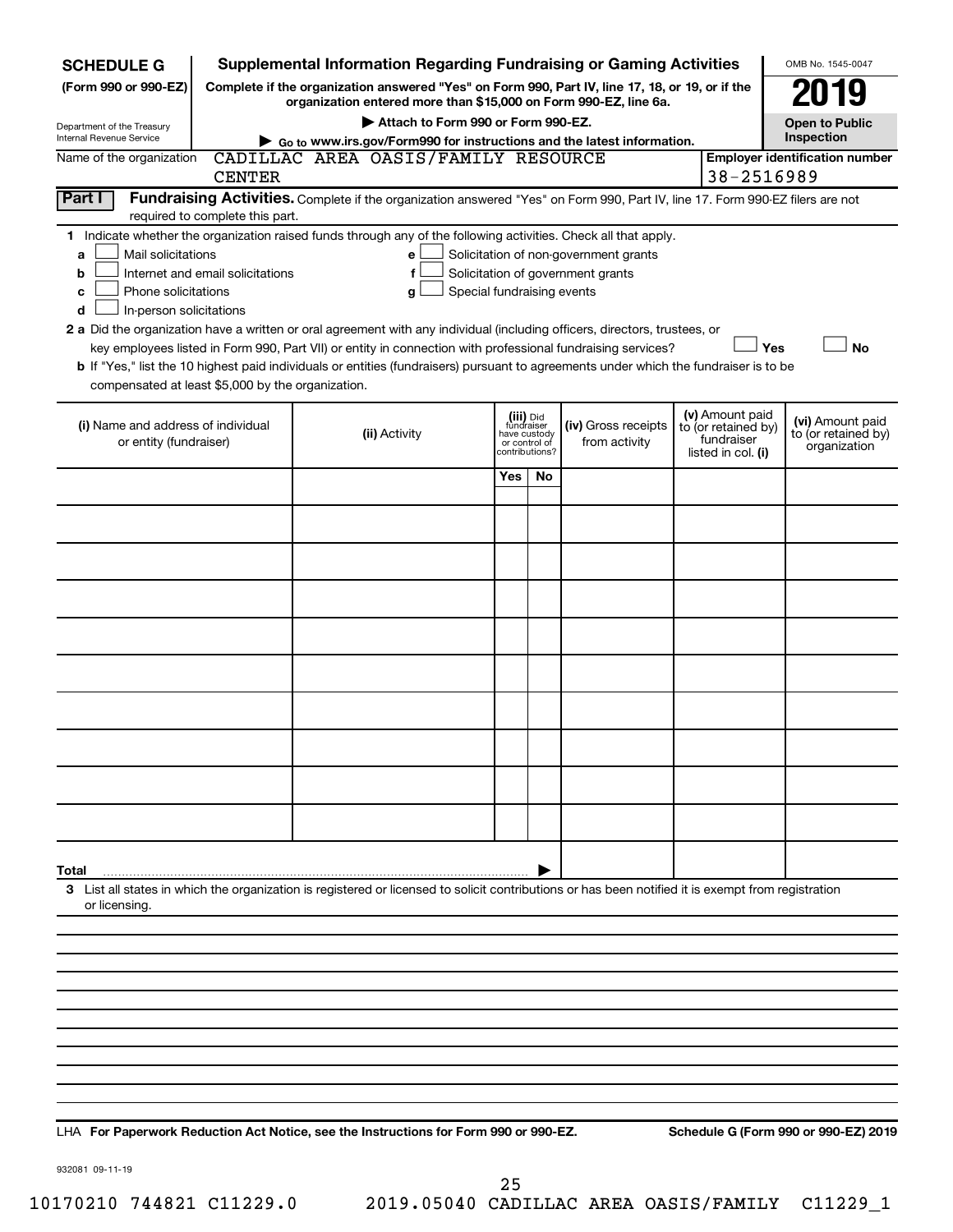| <b>SCHEDULE G</b>                                                                                                                                                                                                                                                                                                                                                                                                                                                                                                                                                                                                                                                                                                                                                                                                                                                            |                                                                                                                                 | <b>Supplemental Information Regarding Fundraising or Gaming Activities</b>                                                                         |                                                                            |     |                                      |                                                                            | OMB No. 1545-0047                                       |  |  |  |
|------------------------------------------------------------------------------------------------------------------------------------------------------------------------------------------------------------------------------------------------------------------------------------------------------------------------------------------------------------------------------------------------------------------------------------------------------------------------------------------------------------------------------------------------------------------------------------------------------------------------------------------------------------------------------------------------------------------------------------------------------------------------------------------------------------------------------------------------------------------------------|---------------------------------------------------------------------------------------------------------------------------------|----------------------------------------------------------------------------------------------------------------------------------------------------|----------------------------------------------------------------------------|-----|--------------------------------------|----------------------------------------------------------------------------|---------------------------------------------------------|--|--|--|
| (Form 990 or 990-EZ)                                                                                                                                                                                                                                                                                                                                                                                                                                                                                                                                                                                                                                                                                                                                                                                                                                                         | Complete if the organization answered "Yes" on Form 990, Part IV, line 17, 18, or 19, or if the                                 | 179                                                                                                                                                |                                                                            |     |                                      |                                                                            |                                                         |  |  |  |
| Department of the Treasury                                                                                                                                                                                                                                                                                                                                                                                                                                                                                                                                                                                                                                                                                                                                                                                                                                                   | organization entered more than \$15,000 on Form 990-EZ, line 6a.<br>Attach to Form 990 or Form 990-EZ.<br><b>Open to Public</b> |                                                                                                                                                    |                                                                            |     |                                      |                                                                            |                                                         |  |  |  |
| Internal Revenue Service<br>Name of the organization                                                                                                                                                                                                                                                                                                                                                                                                                                                                                                                                                                                                                                                                                                                                                                                                                         | Go to www.irs.gov/Form990 for instructions and the latest information.                                                          | Inspection<br><b>Employer identification number</b>                                                                                                |                                                                            |     |                                      |                                                                            |                                                         |  |  |  |
|                                                                                                                                                                                                                                                                                                                                                                                                                                                                                                                                                                                                                                                                                                                                                                                                                                                                              | <b>CENTER</b>                                                                                                                   | CADILLAC AREA OASIS/FAMILY RESOURCE                                                                                                                |                                                                            |     |                                      |                                                                            | 38-2516989                                              |  |  |  |
| Part I                                                                                                                                                                                                                                                                                                                                                                                                                                                                                                                                                                                                                                                                                                                                                                                                                                                                       |                                                                                                                                 | Fundraising Activities. Complete if the organization answered "Yes" on Form 990, Part IV, line 17. Form 990-EZ filers are not                      |                                                                            |     |                                      |                                                                            |                                                         |  |  |  |
| required to complete this part.<br>1 Indicate whether the organization raised funds through any of the following activities. Check all that apply.<br>Mail solicitations<br>Solicitation of non-government grants<br>a<br>е<br>Solicitation of government grants<br>Internet and email solicitations<br>b<br>f<br>Phone solicitations<br>Special fundraising events<br>с<br>g<br>In-person solicitations<br>d<br>2 a Did the organization have a written or oral agreement with any individual (including officers, directors, trustees, or<br>Yes<br><b>No</b><br>key employees listed in Form 990, Part VII) or entity in connection with professional fundraising services?<br>b If "Yes," list the 10 highest paid individuals or entities (fundraisers) pursuant to agreements under which the fundraiser is to be<br>compensated at least \$5,000 by the organization. |                                                                                                                                 |                                                                                                                                                    |                                                                            |     |                                      |                                                                            |                                                         |  |  |  |
| (i) Name and address of individual<br>or entity (fundraiser)                                                                                                                                                                                                                                                                                                                                                                                                                                                                                                                                                                                                                                                                                                                                                                                                                 |                                                                                                                                 | (ii) Activity                                                                                                                                      | (iii) Did<br>fundraiser<br>have custody<br>or control of<br>contributions? |     | (iv) Gross receipts<br>from activity | (v) Amount paid<br>to (or retained by)<br>fundraiser<br>listed in col. (i) | (vi) Amount paid<br>to (or retained by)<br>organization |  |  |  |
|                                                                                                                                                                                                                                                                                                                                                                                                                                                                                                                                                                                                                                                                                                                                                                                                                                                                              |                                                                                                                                 |                                                                                                                                                    | Yes                                                                        | No. |                                      |                                                                            |                                                         |  |  |  |
|                                                                                                                                                                                                                                                                                                                                                                                                                                                                                                                                                                                                                                                                                                                                                                                                                                                                              |                                                                                                                                 |                                                                                                                                                    |                                                                            |     |                                      |                                                                            |                                                         |  |  |  |
|                                                                                                                                                                                                                                                                                                                                                                                                                                                                                                                                                                                                                                                                                                                                                                                                                                                                              |                                                                                                                                 |                                                                                                                                                    |                                                                            |     |                                      |                                                                            |                                                         |  |  |  |
|                                                                                                                                                                                                                                                                                                                                                                                                                                                                                                                                                                                                                                                                                                                                                                                                                                                                              |                                                                                                                                 |                                                                                                                                                    |                                                                            |     |                                      |                                                                            |                                                         |  |  |  |
|                                                                                                                                                                                                                                                                                                                                                                                                                                                                                                                                                                                                                                                                                                                                                                                                                                                                              |                                                                                                                                 |                                                                                                                                                    |                                                                            |     |                                      |                                                                            |                                                         |  |  |  |
|                                                                                                                                                                                                                                                                                                                                                                                                                                                                                                                                                                                                                                                                                                                                                                                                                                                                              |                                                                                                                                 |                                                                                                                                                    |                                                                            |     |                                      |                                                                            |                                                         |  |  |  |
|                                                                                                                                                                                                                                                                                                                                                                                                                                                                                                                                                                                                                                                                                                                                                                                                                                                                              |                                                                                                                                 |                                                                                                                                                    |                                                                            |     |                                      |                                                                            |                                                         |  |  |  |
|                                                                                                                                                                                                                                                                                                                                                                                                                                                                                                                                                                                                                                                                                                                                                                                                                                                                              |                                                                                                                                 |                                                                                                                                                    |                                                                            |     |                                      |                                                                            |                                                         |  |  |  |
|                                                                                                                                                                                                                                                                                                                                                                                                                                                                                                                                                                                                                                                                                                                                                                                                                                                                              |                                                                                                                                 |                                                                                                                                                    |                                                                            |     |                                      |                                                                            |                                                         |  |  |  |
|                                                                                                                                                                                                                                                                                                                                                                                                                                                                                                                                                                                                                                                                                                                                                                                                                                                                              |                                                                                                                                 |                                                                                                                                                    |                                                                            |     |                                      |                                                                            |                                                         |  |  |  |
| Total                                                                                                                                                                                                                                                                                                                                                                                                                                                                                                                                                                                                                                                                                                                                                                                                                                                                        |                                                                                                                                 |                                                                                                                                                    |                                                                            |     |                                      |                                                                            |                                                         |  |  |  |
| or licensing.                                                                                                                                                                                                                                                                                                                                                                                                                                                                                                                                                                                                                                                                                                                                                                                                                                                                |                                                                                                                                 | 3 List all states in which the organization is registered or licensed to solicit contributions or has been notified it is exempt from registration |                                                                            |     |                                      |                                                                            |                                                         |  |  |  |
|                                                                                                                                                                                                                                                                                                                                                                                                                                                                                                                                                                                                                                                                                                                                                                                                                                                                              |                                                                                                                                 |                                                                                                                                                    |                                                                            |     |                                      |                                                                            |                                                         |  |  |  |
|                                                                                                                                                                                                                                                                                                                                                                                                                                                                                                                                                                                                                                                                                                                                                                                                                                                                              |                                                                                                                                 |                                                                                                                                                    |                                                                            |     |                                      |                                                                            |                                                         |  |  |  |
|                                                                                                                                                                                                                                                                                                                                                                                                                                                                                                                                                                                                                                                                                                                                                                                                                                                                              |                                                                                                                                 |                                                                                                                                                    |                                                                            |     |                                      |                                                                            |                                                         |  |  |  |
|                                                                                                                                                                                                                                                                                                                                                                                                                                                                                                                                                                                                                                                                                                                                                                                                                                                                              |                                                                                                                                 |                                                                                                                                                    |                                                                            |     |                                      |                                                                            |                                                         |  |  |  |
|                                                                                                                                                                                                                                                                                                                                                                                                                                                                                                                                                                                                                                                                                                                                                                                                                                                                              |                                                                                                                                 |                                                                                                                                                    |                                                                            |     |                                      |                                                                            |                                                         |  |  |  |
|                                                                                                                                                                                                                                                                                                                                                                                                                                                                                                                                                                                                                                                                                                                                                                                                                                                                              |                                                                                                                                 |                                                                                                                                                    |                                                                            |     |                                      |                                                                            |                                                         |  |  |  |
|                                                                                                                                                                                                                                                                                                                                                                                                                                                                                                                                                                                                                                                                                                                                                                                                                                                                              |                                                                                                                                 |                                                                                                                                                    |                                                                            |     |                                      |                                                                            |                                                         |  |  |  |

**For Paperwork Reduction Act Notice, see the Instructions for Form 990 or 990-EZ. Schedule G (Form 990 or 990-EZ) 2019** LHA

932081 09-11-19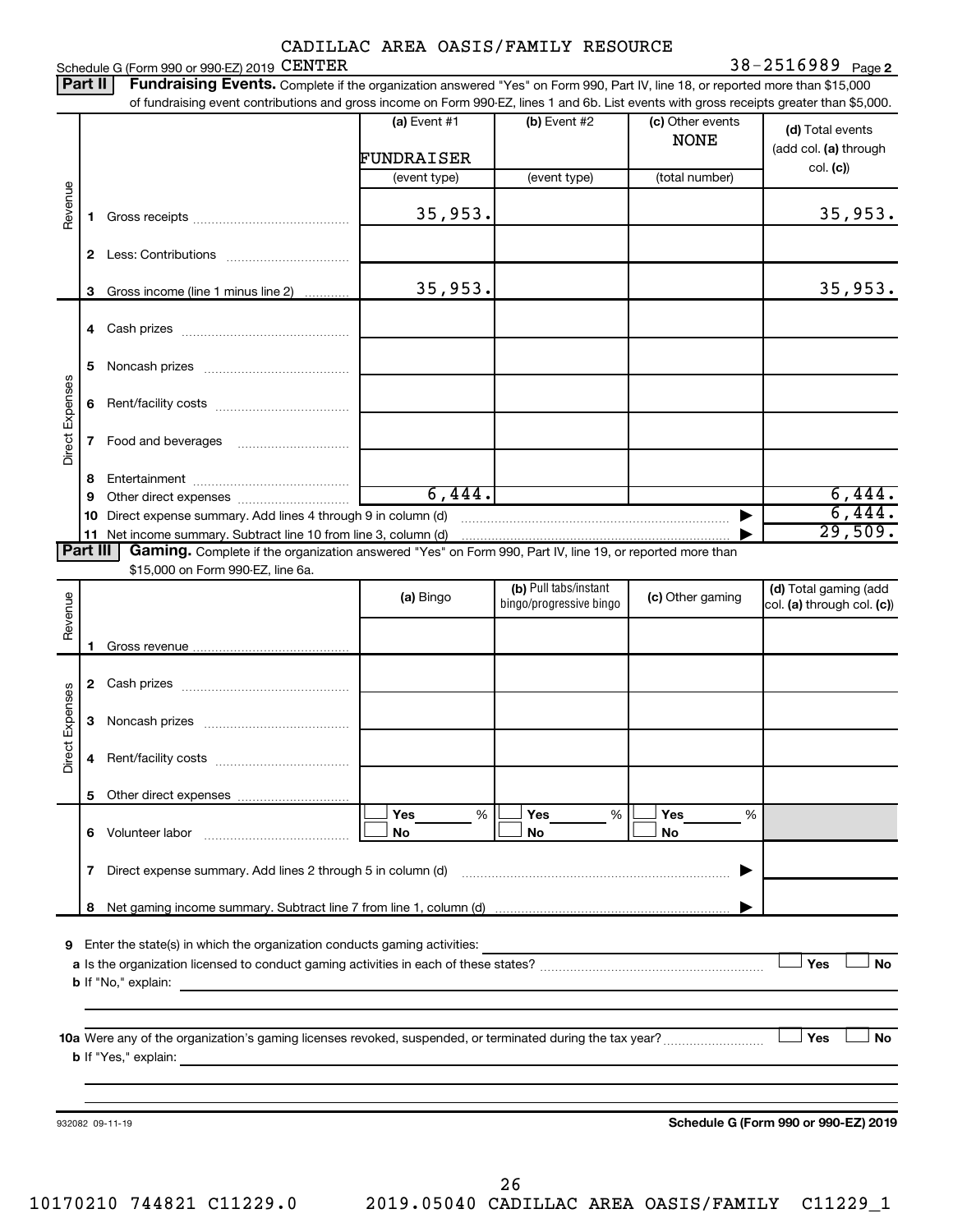Schedule G (Form 990 or 990-FZ)  $2019$  CENTER

|                 |         | Schedule G (Form 990 or 990-EZ) 2019 CENTER                                                                                                                                                                                                                                |              |                         |                                 | $38 - 2516989$ Page 2                               |
|-----------------|---------|----------------------------------------------------------------------------------------------------------------------------------------------------------------------------------------------------------------------------------------------------------------------------|--------------|-------------------------|---------------------------------|-----------------------------------------------------|
|                 | Part II | Fundraising Events. Complete if the organization answered "Yes" on Form 990, Part IV, line 18, or reported more than \$15,000<br>of fundraising event contributions and gross income on Form 990-EZ, lines 1 and 6b. List events with gross receipts greater than \$5,000. |              |                         |                                 |                                                     |
|                 |         |                                                                                                                                                                                                                                                                            | (a) Event #1 | (b) Event #2            | (c) Other events<br><b>NONE</b> | (d) Total events<br>(add col. (a) through           |
|                 |         |                                                                                                                                                                                                                                                                            | FUNDRAISER   |                         |                                 | col. (c)                                            |
|                 |         |                                                                                                                                                                                                                                                                            | (event type) | (event type)            | (total number)                  |                                                     |
| Revenue         | 1.      |                                                                                                                                                                                                                                                                            | 35,953.      |                         |                                 | 35,953.                                             |
|                 |         |                                                                                                                                                                                                                                                                            |              |                         |                                 |                                                     |
|                 |         |                                                                                                                                                                                                                                                                            |              |                         |                                 |                                                     |
|                 | З.      | Gross income (line 1 minus line 2)                                                                                                                                                                                                                                         | 35,953.      |                         |                                 | 35,953.                                             |
|                 |         |                                                                                                                                                                                                                                                                            |              |                         |                                 |                                                     |
|                 | 5       |                                                                                                                                                                                                                                                                            |              |                         |                                 |                                                     |
|                 | 6       |                                                                                                                                                                                                                                                                            |              |                         |                                 |                                                     |
| Direct Expenses | 7       |                                                                                                                                                                                                                                                                            |              |                         |                                 |                                                     |
|                 | 8       |                                                                                                                                                                                                                                                                            |              |                         |                                 |                                                     |
|                 | 9       |                                                                                                                                                                                                                                                                            | 6,444.       |                         |                                 |                                                     |
|                 | 10      |                                                                                                                                                                                                                                                                            |              |                         |                                 | $\frac{6,444.}{6,444.}$                             |
|                 |         |                                                                                                                                                                                                                                                                            |              |                         |                                 | 29,509.                                             |
| <b>Part III</b> |         | Gaming. Complete if the organization answered "Yes" on Form 990, Part IV, line 19, or reported more than                                                                                                                                                                   |              |                         |                                 |                                                     |
|                 |         | \$15,000 on Form 990-EZ, line 6a.                                                                                                                                                                                                                                          |              | (b) Pull tabs/instant   |                                 |                                                     |
|                 |         |                                                                                                                                                                                                                                                                            | (a) Bingo    | bingo/progressive bingo | (c) Other gaming                | (d) Total gaming (add<br>col. (a) through col. (c)) |
| Revenue         |         |                                                                                                                                                                                                                                                                            |              |                         |                                 |                                                     |
|                 |         |                                                                                                                                                                                                                                                                            |              |                         |                                 |                                                     |
|                 |         |                                                                                                                                                                                                                                                                            |              |                         |                                 |                                                     |
|                 |         |                                                                                                                                                                                                                                                                            |              |                         |                                 |                                                     |
| Expenses        |         |                                                                                                                                                                                                                                                                            |              |                         |                                 |                                                     |
| ë<br>å          |         |                                                                                                                                                                                                                                                                            |              |                         |                                 |                                                     |
|                 |         |                                                                                                                                                                                                                                                                            |              |                         |                                 |                                                     |
|                 |         |                                                                                                                                                                                                                                                                            | Yes<br>%     | Yes                     | Yes<br>%<br>%                   |                                                     |
|                 |         |                                                                                                                                                                                                                                                                            | No           | No                      | No                              |                                                     |
|                 | 7       | Direct expense summary. Add lines 2 through 5 in column (d)                                                                                                                                                                                                                |              |                         | ▶                               |                                                     |
|                 | 8       |                                                                                                                                                                                                                                                                            |              |                         |                                 |                                                     |
|                 |         | 9 Enter the state(s) in which the organization conducts gaming activities:                                                                                                                                                                                                 |              |                         |                                 |                                                     |
|                 |         |                                                                                                                                                                                                                                                                            |              |                         |                                 | Yes<br>No                                           |
|                 |         |                                                                                                                                                                                                                                                                            |              |                         |                                 |                                                     |
|                 |         |                                                                                                                                                                                                                                                                            |              |                         |                                 |                                                     |
|                 |         | 10a Were any of the organization's gaming licenses revoked, suspended, or terminated during the tax year?                                                                                                                                                                  |              |                         |                                 | Yes<br>No                                           |
|                 |         |                                                                                                                                                                                                                                                                            |              |                         |                                 |                                                     |
|                 |         |                                                                                                                                                                                                                                                                            |              |                         |                                 |                                                     |
|                 |         | 932082 09-11-19                                                                                                                                                                                                                                                            |              |                         |                                 | Schedule G (Form 990 or 990-EZ) 2019                |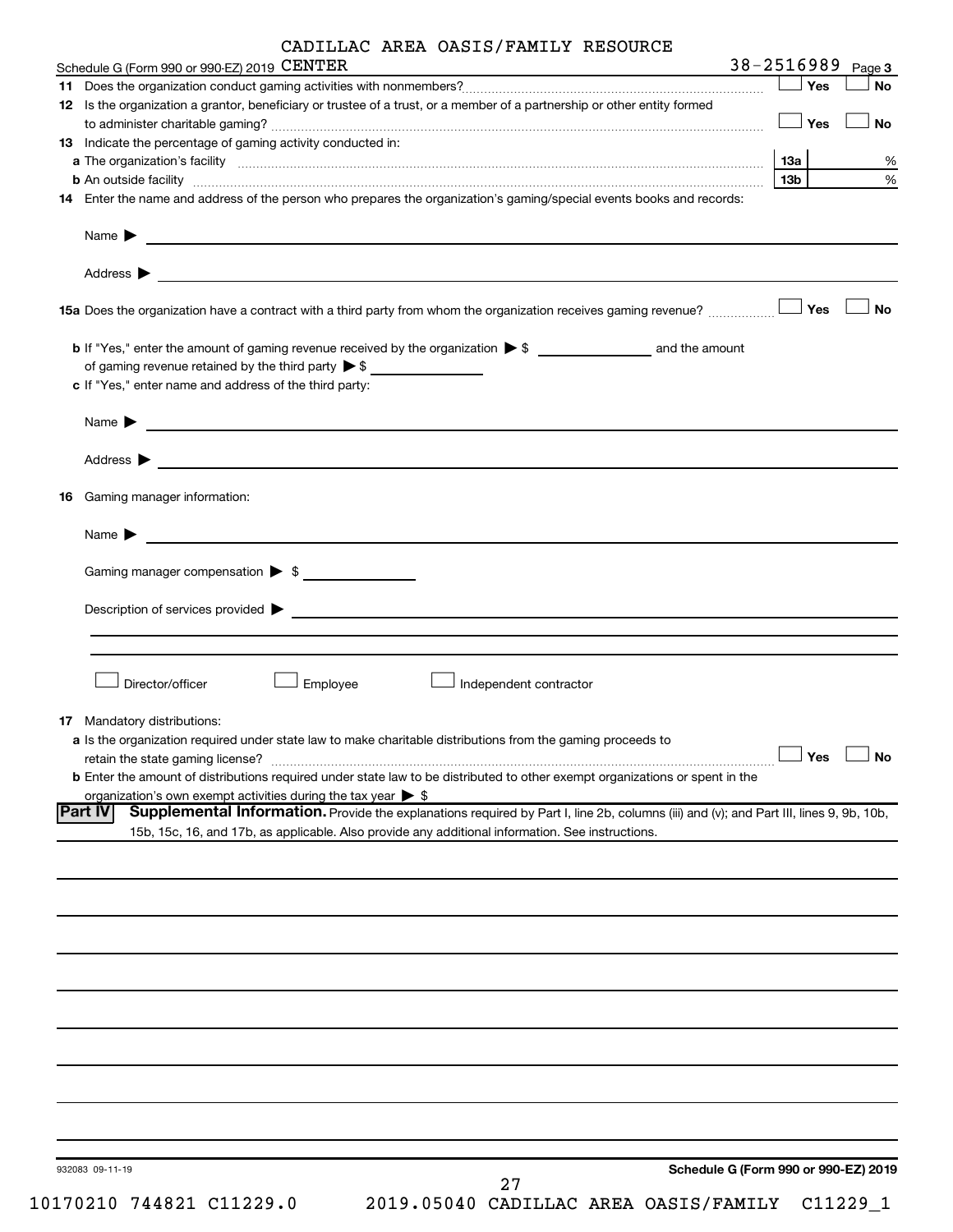| CADILLAC AREA OASIS/FAMILY RESOURCE |  |  |  |  |
|-------------------------------------|--|--|--|--|
|-------------------------------------|--|--|--|--|

|    | Schedule G (Form 990 or 990-EZ) 2019 CENTER                                                                                                                                                                                                                           | 38-2516989                           |       | Page 3               |
|----|-----------------------------------------------------------------------------------------------------------------------------------------------------------------------------------------------------------------------------------------------------------------------|--------------------------------------|-------|----------------------|
| 11 |                                                                                                                                                                                                                                                                       |                                      | ∫ Yes | <b>No</b>            |
|    | 12 Is the organization a grantor, beneficiary or trustee of a trust, or a member of a partnership or other entity formed                                                                                                                                              |                                      | Yes   | <b>No</b>            |
|    | 13 Indicate the percentage of gaming activity conducted in:                                                                                                                                                                                                           |                                      |       |                      |
|    |                                                                                                                                                                                                                                                                       | 13a                                  |       | %                    |
|    | <b>b</b> An outside facility <i>www.communicality www.communicality.communicality www.communicality www.communicality.communicality www.communicality.com</i>                                                                                                         | 13 <sub>b</sub>                      |       | %                    |
|    | 14 Enter the name and address of the person who prepares the organization's gaming/special events books and records:                                                                                                                                                  |                                      |       |                      |
|    | Name $\blacktriangleright$<br><u>and the contract of the contract of the contract of the contract of the contract of the contract of the contract of</u>                                                                                                              |                                      |       |                      |
|    | Address $\blacktriangleright$<br><u>and the state of the state of the state of the state of the state of the state of the state of the state of the state of the state of the state of the state of the state of the state of the state of the state of the state</u> |                                      |       |                      |
|    |                                                                                                                                                                                                                                                                       |                                      |       | <b>No</b>            |
|    |                                                                                                                                                                                                                                                                       |                                      |       |                      |
|    |                                                                                                                                                                                                                                                                       |                                      |       |                      |
|    | c If "Yes," enter name and address of the third party:                                                                                                                                                                                                                |                                      |       |                      |
|    | Name $\blacktriangleright$<br><u>and the state of the state of the state of the state of the state of the state of the state of the state of the state of the state of the state of the state of the state of the state of the state of the state of the state</u>    |                                      |       |                      |
|    | Address ><br><u>and the state of the state of the state of the state of the state of the state of the state of the state of the state of the state of the state of the state of the state of the state of the state of the state of the state</u>                     |                                      |       |                      |
| 16 | Gaming manager information:                                                                                                                                                                                                                                           |                                      |       |                      |
|    | <u> 1989 - Johann John Stein, markin f</u><br>Name $\blacktriangleright$                                                                                                                                                                                              |                                      |       |                      |
|    | Gaming manager compensation > \$                                                                                                                                                                                                                                      |                                      |       |                      |
|    |                                                                                                                                                                                                                                                                       |                                      |       |                      |
|    | Description of services provided <b>by the contract of the contract of the contract of services provided by the contract of the contract of the contract of services provided by</b>                                                                                  |                                      |       |                      |
|    |                                                                                                                                                                                                                                                                       |                                      |       |                      |
|    | Director/officer<br>Employee<br>Independent contractor                                                                                                                                                                                                                |                                      |       |                      |
| 17 | Mandatory distributions:                                                                                                                                                                                                                                              |                                      |       |                      |
|    | a Is the organization required under state law to make charitable distributions from the gaming proceeds to                                                                                                                                                           |                                      |       |                      |
|    | retain the state gaming license?                                                                                                                                                                                                                                      |                                      |       | $\Box$ Yes $\Box$ No |
|    | <b>b</b> Enter the amount of distributions required under state law to be distributed to other exempt organizations or spent in the                                                                                                                                   |                                      |       |                      |
|    | organization's own exempt activities during the tax year $\triangleright$ \$                                                                                                                                                                                          |                                      |       |                      |
|    | <b>Part IV</b><br>Supplemental Information. Provide the explanations required by Part I, line 2b, columns (iii) and (v); and Part III, lines 9, 9b, 10b,<br>15b, 15c, 16, and 17b, as applicable. Also provide any additional information. See instructions.          |                                      |       |                      |
|    |                                                                                                                                                                                                                                                                       |                                      |       |                      |
|    |                                                                                                                                                                                                                                                                       |                                      |       |                      |
|    |                                                                                                                                                                                                                                                                       |                                      |       |                      |
|    |                                                                                                                                                                                                                                                                       |                                      |       |                      |
|    |                                                                                                                                                                                                                                                                       |                                      |       |                      |
|    |                                                                                                                                                                                                                                                                       |                                      |       |                      |
|    |                                                                                                                                                                                                                                                                       |                                      |       |                      |
|    |                                                                                                                                                                                                                                                                       |                                      |       |                      |
|    |                                                                                                                                                                                                                                                                       |                                      |       |                      |
|    |                                                                                                                                                                                                                                                                       |                                      |       |                      |
|    | 932083 09-11-19<br>27                                                                                                                                                                                                                                                 | Schedule G (Form 990 or 990-EZ) 2019 |       |                      |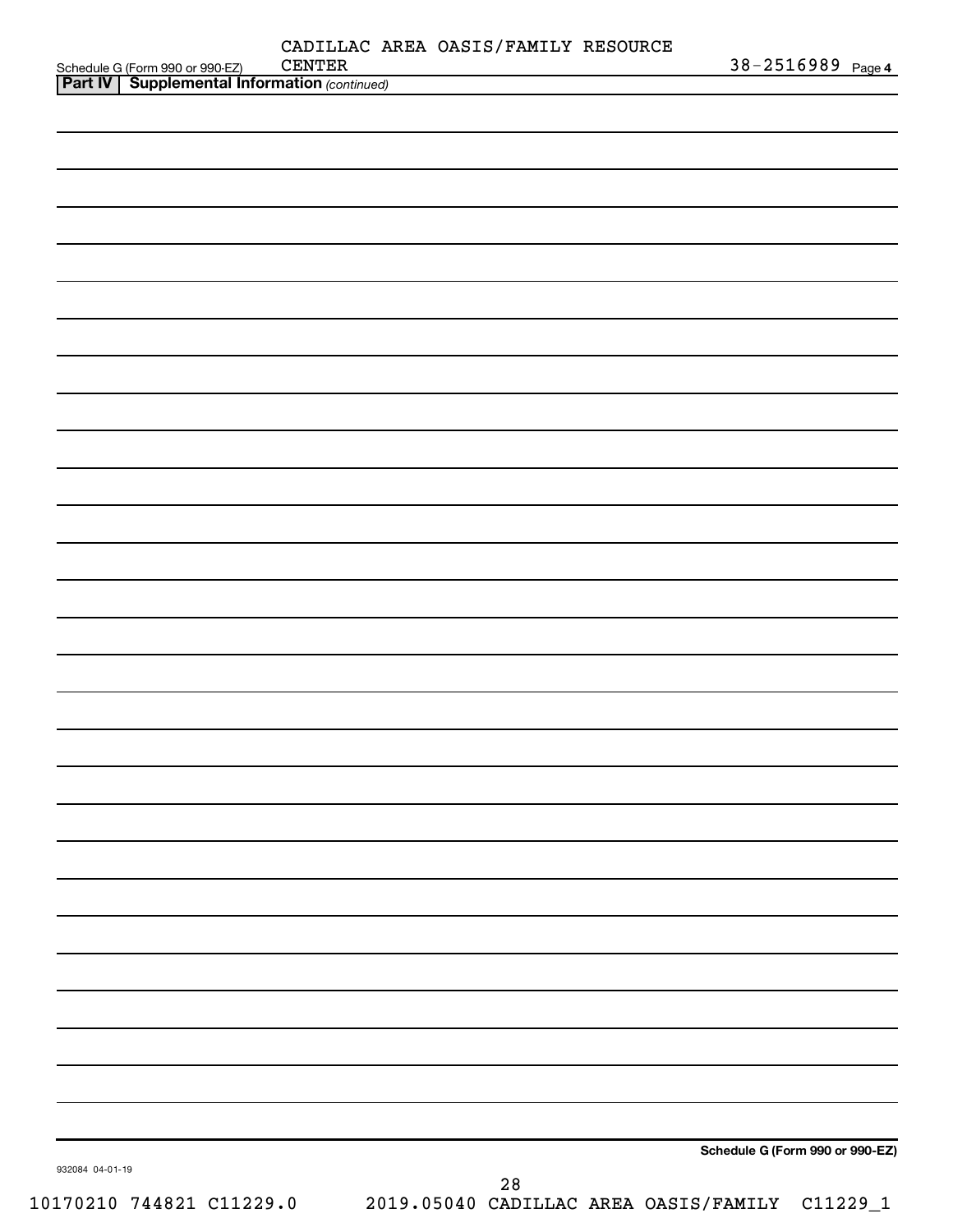|                                                                                                 | 38-2516989 Page 4               |
|-------------------------------------------------------------------------------------------------|---------------------------------|
| Schedule G (Form 990 or 990-EZ) CENTER<br><b>Part IV   Supplemental Information</b> (continued) |                                 |
|                                                                                                 |                                 |
|                                                                                                 |                                 |
|                                                                                                 |                                 |
|                                                                                                 |                                 |
|                                                                                                 |                                 |
|                                                                                                 |                                 |
|                                                                                                 |                                 |
|                                                                                                 |                                 |
|                                                                                                 |                                 |
|                                                                                                 |                                 |
|                                                                                                 |                                 |
|                                                                                                 |                                 |
|                                                                                                 |                                 |
|                                                                                                 |                                 |
|                                                                                                 |                                 |
|                                                                                                 |                                 |
|                                                                                                 |                                 |
|                                                                                                 |                                 |
|                                                                                                 |                                 |
|                                                                                                 |                                 |
|                                                                                                 |                                 |
|                                                                                                 |                                 |
|                                                                                                 |                                 |
|                                                                                                 |                                 |
|                                                                                                 |                                 |
|                                                                                                 |                                 |
|                                                                                                 |                                 |
|                                                                                                 |                                 |
|                                                                                                 |                                 |
|                                                                                                 |                                 |
|                                                                                                 |                                 |
|                                                                                                 |                                 |
|                                                                                                 |                                 |
|                                                                                                 |                                 |
|                                                                                                 |                                 |
|                                                                                                 |                                 |
|                                                                                                 |                                 |
|                                                                                                 |                                 |
|                                                                                                 |                                 |
|                                                                                                 |                                 |
|                                                                                                 |                                 |
|                                                                                                 |                                 |
|                                                                                                 |                                 |
|                                                                                                 |                                 |
|                                                                                                 |                                 |
|                                                                                                 |                                 |
|                                                                                                 |                                 |
|                                                                                                 |                                 |
|                                                                                                 |                                 |
|                                                                                                 |                                 |
|                                                                                                 |                                 |
|                                                                                                 |                                 |
|                                                                                                 | Schedule G (Form 990 or 990-EZ) |
| 932084 04-01-19<br>${\bf 28}$                                                                   |                                 |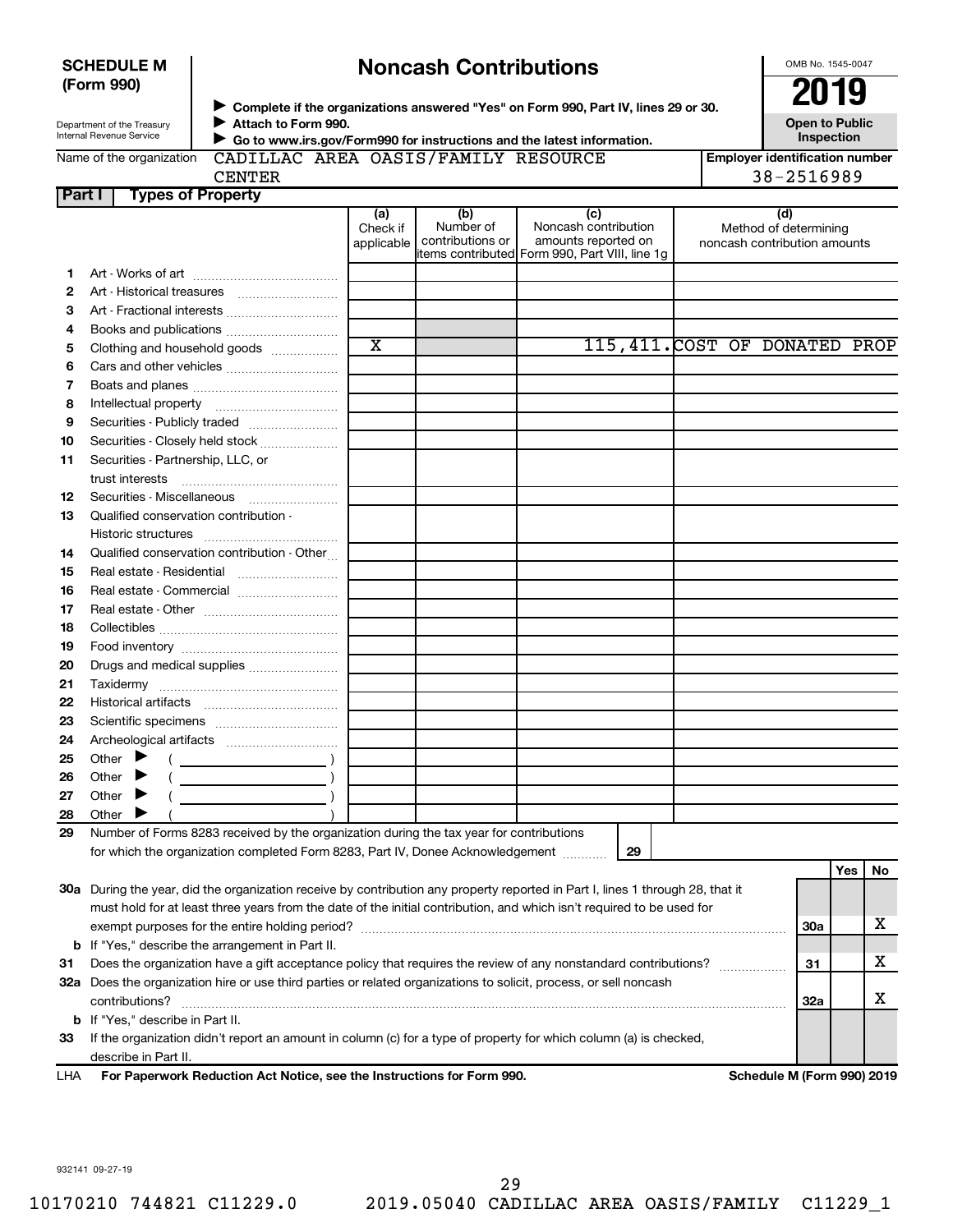| <b>SCHEDULE M</b> |  |
|-------------------|--|
| (Form 990)        |  |

# **Noncash Contributions**

OMB No. 1545-0047

| Department of the Treasury |  |
|----------------------------|--|
| Internal Revenue Service   |  |

◆ Complete if the organizations answered "Yes" on Form 990, Part IV, lines 29 or 30.<br>▶ Complete if the organizations answered "Yes" on Form 990, Part IV, lines 29 or 30. **Attach to Form 990.**  $\blacktriangleright$  $\blacktriangleright$ 

**Open to Public Inspection**

|  | Name of the organization |  |
|--|--------------------------|--|
|  |                          |  |

 **Go to www.irs.gov/Form990 for instructions and the latest information.** CADILLAC AREA OASIS/FAMILY RESOURCE

**Employer identification number** CENTER 38-2516989

|          | CENTER                   |  |
|----------|--------------------------|--|
| Part I I | <b>Types of Property</b> |  |
|          |                          |  |

|    |                                                                                                                                                                                                                                                                                                                                                                                                                                                                                                                                                                                                                   | (a)<br>Check if       | (b)<br>Number of                                                                          | (c)<br>Noncash contribution                                           | (d)<br>Method of determining<br>noncash contribution amounts |                             |     |    |
|----|-------------------------------------------------------------------------------------------------------------------------------------------------------------------------------------------------------------------------------------------------------------------------------------------------------------------------------------------------------------------------------------------------------------------------------------------------------------------------------------------------------------------------------------------------------------------------------------------------------------------|-----------------------|-------------------------------------------------------------------------------------------|-----------------------------------------------------------------------|--------------------------------------------------------------|-----------------------------|-----|----|
|    |                                                                                                                                                                                                                                                                                                                                                                                                                                                                                                                                                                                                                   | applicable            | contributions or                                                                          | amounts reported on<br>items contributed Form 990, Part VIII, line 1g |                                                              |                             |     |    |
| 1. |                                                                                                                                                                                                                                                                                                                                                                                                                                                                                                                                                                                                                   |                       |                                                                                           |                                                                       |                                                              |                             |     |    |
| 2  |                                                                                                                                                                                                                                                                                                                                                                                                                                                                                                                                                                                                                   |                       |                                                                                           |                                                                       |                                                              |                             |     |    |
| з  |                                                                                                                                                                                                                                                                                                                                                                                                                                                                                                                                                                                                                   |                       |                                                                                           |                                                                       |                                                              |                             |     |    |
| 4  |                                                                                                                                                                                                                                                                                                                                                                                                                                                                                                                                                                                                                   |                       |                                                                                           |                                                                       |                                                              |                             |     |    |
| 5  | Clothing and household goods                                                                                                                                                                                                                                                                                                                                                                                                                                                                                                                                                                                      | $\overline{\text{x}}$ |                                                                                           |                                                                       | 115,411. COST OF DONATED PROP                                |                             |     |    |
| 6  |                                                                                                                                                                                                                                                                                                                                                                                                                                                                                                                                                                                                                   |                       |                                                                                           |                                                                       |                                                              |                             |     |    |
| 7  |                                                                                                                                                                                                                                                                                                                                                                                                                                                                                                                                                                                                                   |                       |                                                                                           |                                                                       |                                                              |                             |     |    |
| 8  |                                                                                                                                                                                                                                                                                                                                                                                                                                                                                                                                                                                                                   |                       |                                                                                           |                                                                       |                                                              |                             |     |    |
| 9  |                                                                                                                                                                                                                                                                                                                                                                                                                                                                                                                                                                                                                   |                       |                                                                                           |                                                                       |                                                              |                             |     |    |
|    |                                                                                                                                                                                                                                                                                                                                                                                                                                                                                                                                                                                                                   |                       |                                                                                           |                                                                       |                                                              |                             |     |    |
| 10 | Securities - Closely held stock                                                                                                                                                                                                                                                                                                                                                                                                                                                                                                                                                                                   |                       |                                                                                           |                                                                       |                                                              |                             |     |    |
| 11 | Securities - Partnership, LLC, or                                                                                                                                                                                                                                                                                                                                                                                                                                                                                                                                                                                 |                       |                                                                                           |                                                                       |                                                              |                             |     |    |
|    |                                                                                                                                                                                                                                                                                                                                                                                                                                                                                                                                                                                                                   |                       |                                                                                           |                                                                       |                                                              |                             |     |    |
| 12 |                                                                                                                                                                                                                                                                                                                                                                                                                                                                                                                                                                                                                   |                       |                                                                                           |                                                                       |                                                              |                             |     |    |
| 13 | Qualified conservation contribution -                                                                                                                                                                                                                                                                                                                                                                                                                                                                                                                                                                             |                       |                                                                                           |                                                                       |                                                              |                             |     |    |
|    |                                                                                                                                                                                                                                                                                                                                                                                                                                                                                                                                                                                                                   |                       |                                                                                           |                                                                       |                                                              |                             |     |    |
| 14 | Qualified conservation contribution - Other                                                                                                                                                                                                                                                                                                                                                                                                                                                                                                                                                                       |                       |                                                                                           |                                                                       |                                                              |                             |     |    |
| 15 |                                                                                                                                                                                                                                                                                                                                                                                                                                                                                                                                                                                                                   |                       |                                                                                           |                                                                       |                                                              |                             |     |    |
| 16 | Real estate - Commercial                                                                                                                                                                                                                                                                                                                                                                                                                                                                                                                                                                                          |                       |                                                                                           |                                                                       |                                                              |                             |     |    |
| 17 |                                                                                                                                                                                                                                                                                                                                                                                                                                                                                                                                                                                                                   |                       |                                                                                           |                                                                       |                                                              |                             |     |    |
| 18 |                                                                                                                                                                                                                                                                                                                                                                                                                                                                                                                                                                                                                   |                       |                                                                                           |                                                                       |                                                              |                             |     |    |
| 19 |                                                                                                                                                                                                                                                                                                                                                                                                                                                                                                                                                                                                                   |                       |                                                                                           |                                                                       |                                                              |                             |     |    |
| 20 | Drugs and medical supplies                                                                                                                                                                                                                                                                                                                                                                                                                                                                                                                                                                                        |                       |                                                                                           |                                                                       |                                                              |                             |     |    |
| 21 |                                                                                                                                                                                                                                                                                                                                                                                                                                                                                                                                                                                                                   |                       |                                                                                           |                                                                       |                                                              |                             |     |    |
| 22 |                                                                                                                                                                                                                                                                                                                                                                                                                                                                                                                                                                                                                   |                       |                                                                                           |                                                                       |                                                              |                             |     |    |
| 23 |                                                                                                                                                                                                                                                                                                                                                                                                                                                                                                                                                                                                                   |                       |                                                                                           |                                                                       |                                                              |                             |     |    |
| 24 |                                                                                                                                                                                                                                                                                                                                                                                                                                                                                                                                                                                                                   |                       |                                                                                           |                                                                       |                                                              |                             |     |    |
| 25 | Other $\blacktriangleright$<br>$\left(\begin{array}{ccc} \begin{array}{ccc} \end{array} & \begin{array}{ccc} \end{array} & \begin{array}{ccc} \end{array} & \begin{array}{ccc} \end{array} & \begin{array}{ccc} \end{array} & \begin{array}{ccc} \end{array} & \begin{array}{ccc} \end{array} & \begin{array}{ccc} \end{array} & \begin{array}{ccc} \end{array} & \begin{array}{ccc} \end{array} & \begin{array}{ccc} \end{array} & \begin{array}{ccc} \end{array} & \begin{array}{ccc} \end{array} & \begin{array}{ccc} \end{array} & \begin{array}{ccc} \end{array} & \begin{array}{ccc} \end{array} & \begin{$ |                       |                                                                                           |                                                                       |                                                              |                             |     |    |
| 26 | $\begin{picture}(20,10) \put(0,0){\line(1,0){10}} \put(15,0){\line(1,0){10}} \put(15,0){\line(1,0){10}} \put(15,0){\line(1,0){10}} \put(15,0){\line(1,0){10}} \put(15,0){\line(1,0){10}} \put(15,0){\line(1,0){10}} \put(15,0){\line(1,0){10}} \put(15,0){\line(1,0){10}} \put(15,0){\line(1,0){10}} \put(15,0){\line(1,0){10}} \put(15,0){\line(1$<br>Other $\blacktriangleright$                                                                                                                                                                                                                                |                       |                                                                                           |                                                                       |                                                              |                             |     |    |
| 27 | Other $\blacktriangleright$                                                                                                                                                                                                                                                                                                                                                                                                                                                                                                                                                                                       |                       |                                                                                           |                                                                       |                                                              |                             |     |    |
| 28 | Other                                                                                                                                                                                                                                                                                                                                                                                                                                                                                                                                                                                                             |                       |                                                                                           |                                                                       |                                                              |                             |     |    |
| 29 | Number of Forms 8283 received by the organization during the tax year for contributions                                                                                                                                                                                                                                                                                                                                                                                                                                                                                                                           |                       |                                                                                           |                                                                       |                                                              |                             |     |    |
|    | for which the organization completed Form 8283, Part IV, Donee Acknowledgement                                                                                                                                                                                                                                                                                                                                                                                                                                                                                                                                    |                       |                                                                                           | 29                                                                    |                                                              |                             |     |    |
|    |                                                                                                                                                                                                                                                                                                                                                                                                                                                                                                                                                                                                                   |                       |                                                                                           |                                                                       |                                                              |                             | Yes | No |
|    | 30a During the year, did the organization receive by contribution any property reported in Part I, lines 1 through 28, that it                                                                                                                                                                                                                                                                                                                                                                                                                                                                                    |                       |                                                                                           |                                                                       |                                                              |                             |     |    |
|    | must hold for at least three years from the date of the initial contribution, and which isn't required to be used for                                                                                                                                                                                                                                                                                                                                                                                                                                                                                             |                       |                                                                                           |                                                                       |                                                              |                             |     |    |
|    | exempt purposes for the entire holding period?                                                                                                                                                                                                                                                                                                                                                                                                                                                                                                                                                                    |                       |                                                                                           |                                                                       |                                                              | 30a                         |     | х  |
| b  | If "Yes," describe the arrangement in Part II.                                                                                                                                                                                                                                                                                                                                                                                                                                                                                                                                                                    |                       |                                                                                           |                                                                       |                                                              |                             |     |    |
| 31 | Does the organization have a gift acceptance policy that requires the review of any nonstandard contributions?                                                                                                                                                                                                                                                                                                                                                                                                                                                                                                    |                       |                                                                                           |                                                                       |                                                              | 31                          |     | x  |
|    | 32a Does the organization hire or use third parties or related organizations to solicit, process, or sell noncash                                                                                                                                                                                                                                                                                                                                                                                                                                                                                                 |                       |                                                                                           |                                                                       |                                                              |                             |     |    |
|    | contributions?                                                                                                                                                                                                                                                                                                                                                                                                                                                                                                                                                                                                    |                       |                                                                                           |                                                                       |                                                              | 32a                         |     | х  |
|    | b If "Yes," describe in Part II.                                                                                                                                                                                                                                                                                                                                                                                                                                                                                                                                                                                  |                       |                                                                                           |                                                                       |                                                              |                             |     |    |
| 33 | If the organization didn't report an amount in column (c) for a type of property for which column (a) is checked,                                                                                                                                                                                                                                                                                                                                                                                                                                                                                                 |                       |                                                                                           |                                                                       |                                                              |                             |     |    |
|    | describe in Part II.                                                                                                                                                                                                                                                                                                                                                                                                                                                                                                                                                                                              |                       | the control of the control of the control of the control of the control of the control of |                                                                       |                                                              |                             |     |    |
|    | or Donomuark Reduction Act Nation, see the Instructions for Form 000                                                                                                                                                                                                                                                                                                                                                                                                                                                                                                                                              |                       |                                                                                           |                                                                       |                                                              | Cabadule M (Fauns 000) 0040 |     |    |

**For Paperwork Reduction Act Notice, see the Instructions for Form 990. Schedule M (Form 990) 2019** LHA

932141 09-27-19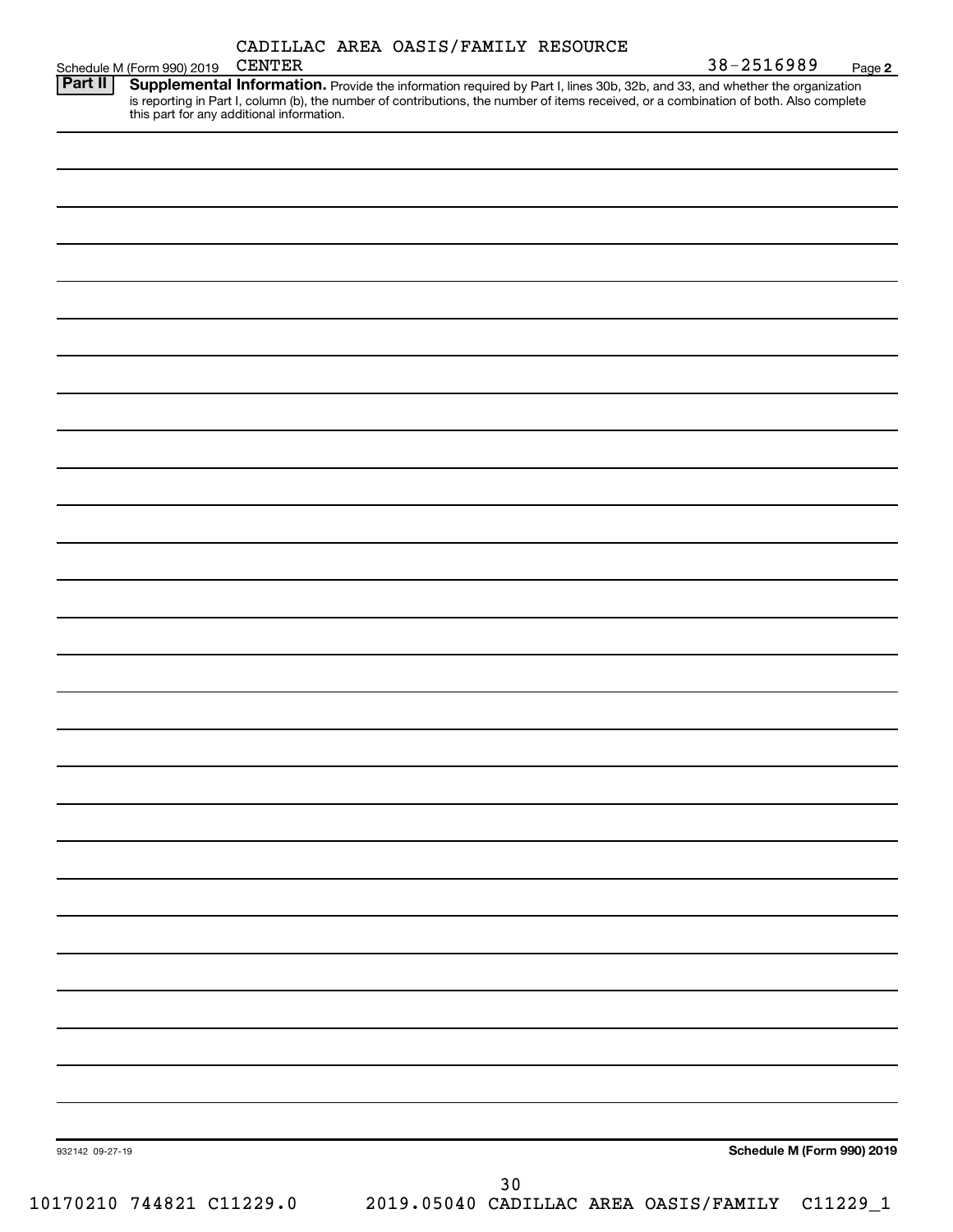| CADILLAC AREA OASIS/FAMILY RESOURCE |  |  |
|-------------------------------------|--|--|
|-------------------------------------|--|--|

| Schedule M (Form 990) 2019 | <b>CENTER</b> |  |                                                                                                                                                                                                                                                                                                                |  | 38-2516989 | Page 2                     |
|----------------------------|---------------|--|----------------------------------------------------------------------------------------------------------------------------------------------------------------------------------------------------------------------------------------------------------------------------------------------------------------|--|------------|----------------------------|
| Part II                    |               |  | Supplemental Information. Provide the information required by Part I, lines 30b, 32b, and 33, and whether the organization<br>is reporting in Part I, column (b), the number of contributions, the number of items received, or a combination of both. Also complete this part for any additional information. |  |            |                            |
|                            |               |  |                                                                                                                                                                                                                                                                                                                |  |            |                            |
|                            |               |  |                                                                                                                                                                                                                                                                                                                |  |            |                            |
|                            |               |  |                                                                                                                                                                                                                                                                                                                |  |            |                            |
|                            |               |  |                                                                                                                                                                                                                                                                                                                |  |            |                            |
|                            |               |  |                                                                                                                                                                                                                                                                                                                |  |            |                            |
|                            |               |  |                                                                                                                                                                                                                                                                                                                |  |            |                            |
|                            |               |  |                                                                                                                                                                                                                                                                                                                |  |            |                            |
|                            |               |  |                                                                                                                                                                                                                                                                                                                |  |            |                            |
|                            |               |  |                                                                                                                                                                                                                                                                                                                |  |            |                            |
|                            |               |  |                                                                                                                                                                                                                                                                                                                |  |            |                            |
|                            |               |  |                                                                                                                                                                                                                                                                                                                |  |            |                            |
|                            |               |  |                                                                                                                                                                                                                                                                                                                |  |            |                            |
|                            |               |  |                                                                                                                                                                                                                                                                                                                |  |            |                            |
|                            |               |  |                                                                                                                                                                                                                                                                                                                |  |            |                            |
|                            |               |  |                                                                                                                                                                                                                                                                                                                |  |            |                            |
|                            |               |  |                                                                                                                                                                                                                                                                                                                |  |            |                            |
|                            |               |  |                                                                                                                                                                                                                                                                                                                |  |            |                            |
|                            |               |  |                                                                                                                                                                                                                                                                                                                |  |            |                            |
|                            |               |  |                                                                                                                                                                                                                                                                                                                |  |            |                            |
|                            |               |  |                                                                                                                                                                                                                                                                                                                |  |            |                            |
|                            |               |  |                                                                                                                                                                                                                                                                                                                |  |            |                            |
|                            |               |  |                                                                                                                                                                                                                                                                                                                |  |            |                            |
|                            |               |  |                                                                                                                                                                                                                                                                                                                |  |            |                            |
|                            |               |  |                                                                                                                                                                                                                                                                                                                |  |            |                            |
|                            |               |  |                                                                                                                                                                                                                                                                                                                |  |            |                            |
|                            |               |  |                                                                                                                                                                                                                                                                                                                |  |            |                            |
|                            |               |  |                                                                                                                                                                                                                                                                                                                |  |            |                            |
|                            |               |  |                                                                                                                                                                                                                                                                                                                |  |            |                            |
|                            |               |  |                                                                                                                                                                                                                                                                                                                |  |            |                            |
| 932142 09-27-19            |               |  |                                                                                                                                                                                                                                                                                                                |  |            | Schedule M (Form 990) 2019 |
|                            |               |  | 30                                                                                                                                                                                                                                                                                                             |  |            |                            |
| 10170210 744821 C11229.0   |               |  | 2019.05040 CADILLAC AREA OASIS/FAMILY C11229_1                                                                                                                                                                                                                                                                 |  |            |                            |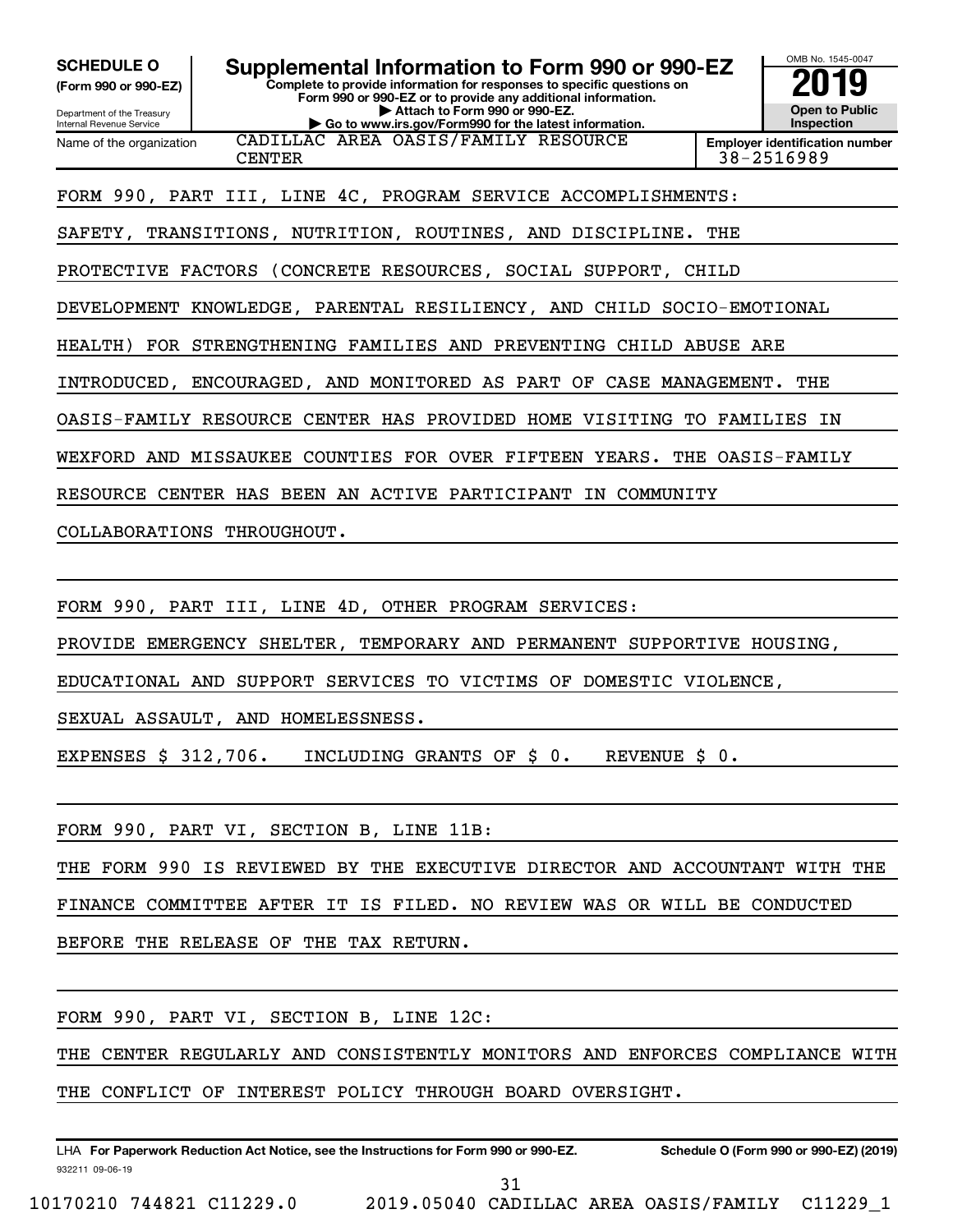**(Form 990 or 990-EZ)**

Department of the Treasury

Internal Revenue Service Name of the organization

**Complete to provide information for responses to specific questions on Form 990 or 990-EZ or to provide any additional information. | Attach to Form 990 or 990-EZ. | Go to www.irs.gov/Form990 for the latest information. SCHEDULE O Supplemental Information to Form 990 or 990-EZ 2019** CADILLAC AREA OASIS/FAMILY RESOURCE



CENTER 38-2516989

FORM 990, PART III, LINE 4C, PROGRAM SERVICE ACCOMPLISHMENTS:

SAFETY, TRANSITIONS, NUTRITION, ROUTINES, AND DISCIPLINE. THE

PROTECTIVE FACTORS (CONCRETE RESOURCES, SOCIAL SUPPORT, CHILD

DEVELOPMENT KNOWLEDGE, PARENTAL RESILIENCY, AND CHILD SOCIO-EMOTIONAL

HEALTH) FOR STRENGTHENING FAMILIES AND PREVENTING CHILD ABUSE ARE

INTRODUCED, ENCOURAGED, AND MONITORED AS PART OF CASE MANAGEMENT. THE

OASIS-FAMILY RESOURCE CENTER HAS PROVIDED HOME VISITING TO FAMILIES IN

WEXFORD AND MISSAUKEE COUNTIES FOR OVER FIFTEEN YEARS. THE OASIS-FAMILY

RESOURCE CENTER HAS BEEN AN ACTIVE PARTICIPANT IN COMMUNITY

COLLABORATIONS THROUGHOUT.

FORM 990, PART III, LINE 4D, OTHER PROGRAM SERVICES:

PROVIDE EMERGENCY SHELTER, TEMPORARY AND PERMANENT SUPPORTIVE HOUSING,

EDUCATIONAL AND SUPPORT SERVICES TO VICTIMS OF DOMESTIC VIOLENCE,

SEXUAL ASSAULT, AND HOMELESSNESS.

EXPENSES \$ 312,706. INCLUDING GRANTS OF \$ 0. REVENUE \$ 0.

FORM 990, PART VI, SECTION B, LINE 11B:

THE FORM 990 IS REVIEWED BY THE EXECUTIVE DIRECTOR AND ACCOUNTANT WITH THE

FINANCE COMMITTEE AFTER IT IS FILED. NO REVIEW WAS OR WILL BE CONDUCTED

BEFORE THE RELEASE OF THE TAX RETURN.

FORM 990, PART VI, SECTION B, LINE 12C:

THE CENTER REGULARLY AND CONSISTENTLY MONITORS AND ENFORCES COMPLIANCE WITH

THE CONFLICT OF INTEREST POLICY THROUGH BOARD OVERSIGHT.

932211 09-06-19 LHA For Paperwork Reduction Act Notice, see the Instructions for Form 990 or 990-EZ. Schedule O (Form 990 or 990-EZ) (2019)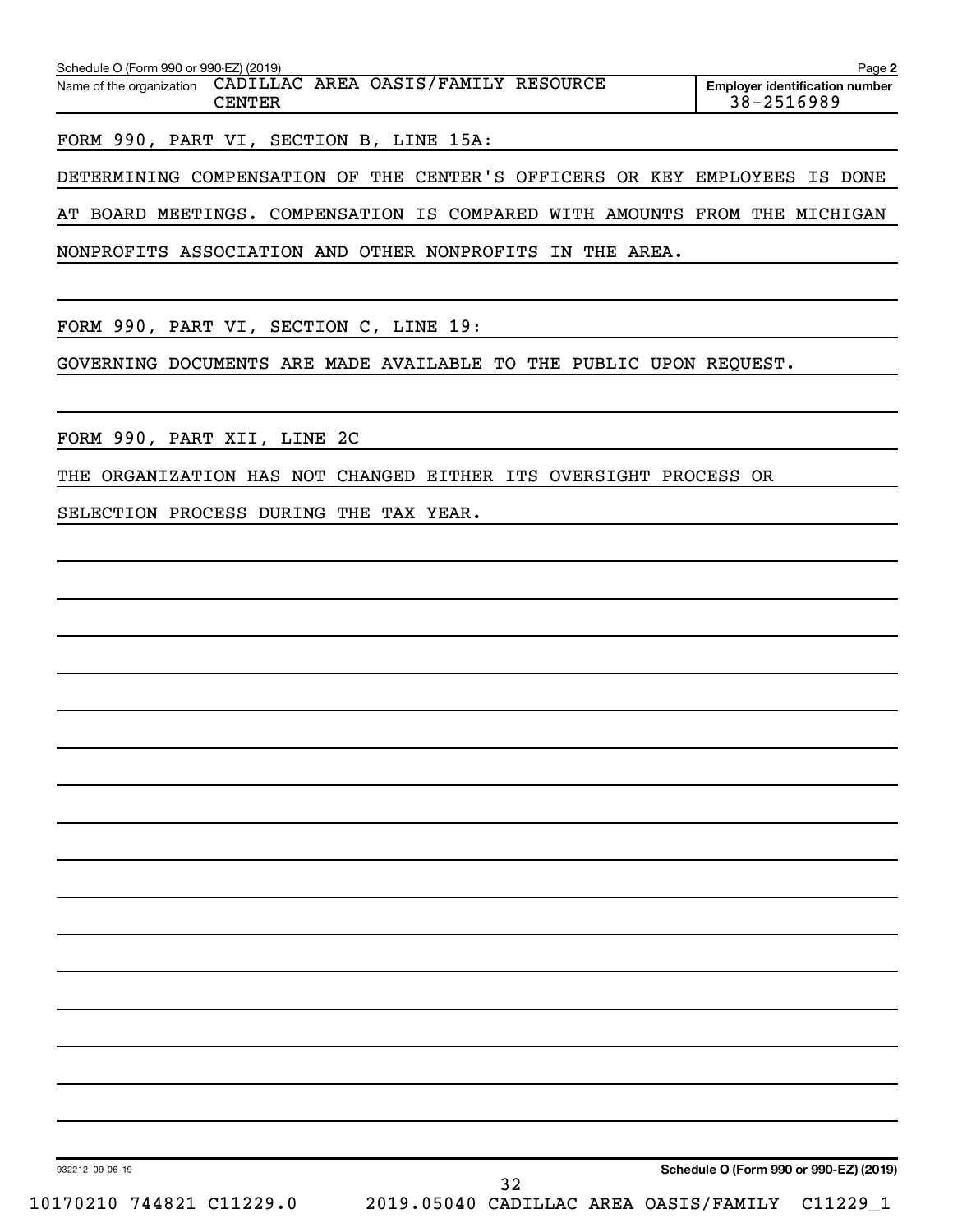| Schedule O (Form 990 or 990-EZ) (2019)<br>Page 2 |        |  |                                     |  |                                                         |  |  |  |
|--------------------------------------------------|--------|--|-------------------------------------|--|---------------------------------------------------------|--|--|--|
| Name of the organization                         | CENTER |  | CADILLAC AREA OASIS/FAMILY RESOURCE |  | <b>Employer identification number</b><br>$38 - 2516989$ |  |  |  |

FORM 990, PART VI, SECTION B, LINE 15A:

DETERMINING COMPENSATION OF THE CENTER'S OFFICERS OR KEY EMPLOYEES IS DONE

AT BOARD MEETINGS. COMPENSATION IS COMPARED WITH AMOUNTS FROM THE MICHIGAN

NONPROFITS ASSOCIATION AND OTHER NONPROFITS IN THE AREA.

FORM 990, PART VI, SECTION C, LINE 19:

GOVERNING DOCUMENTS ARE MADE AVAILABLE TO THE PUBLIC UPON REQUEST.

FORM 990, PART XII, LINE 2C

THE ORGANIZATION HAS NOT CHANGED EITHER ITS OVERSIGHT PROCESS OR

SELECTION PROCESS DURING THE TAX YEAR.